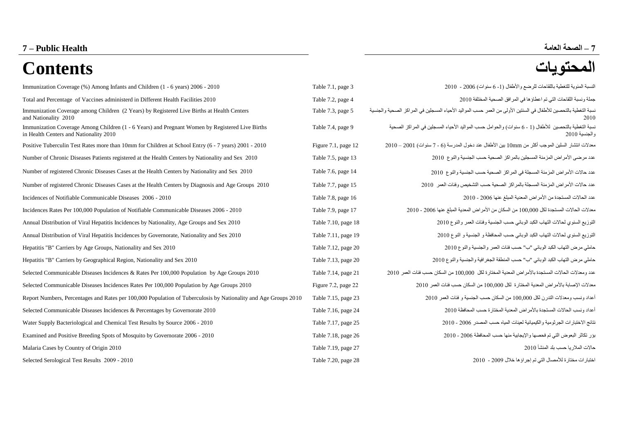# **7 – الصحة العامة Health Public – 7**

# **المحتويات Contents**

| Immunization Coverage (%) Among Infants and Children (1 - 6 years) 2006 - 2010                                                            | Table 7.1, page 3        | النسبة المئوية للتغطية باللقاحات للرضع والأطفال (1- 6 سنوات) 2006 - 2010                                                 |
|-------------------------------------------------------------------------------------------------------------------------------------------|--------------------------|--------------------------------------------------------------------------------------------------------------------------|
| Total and Percentage of Vaccines administerd in Different Health Facilities 2010                                                          | Table 7.2, page 4        | جملة ونسبة اللقاحات التي تم اعطاؤها في المرافق الصحية المختلفة 2010                                                      |
| Immunization Coverage among Children (2 Years) by Registered Live Births at Health Centers<br>and Nationality 2010                        | Table 7.3, page 5        | نسبة التغطية بالتحصين للأطفال في السنتين الأولى من العمر حسب المواليد الأحياء المسجلين في المراكز الصحية والجنسية        |
| Immunization Coverage Among Children (1 - 6 Years) and Pregnant Women by Registered Live Births<br>in Health Centers and Nationality 2010 | Table 7.4, page 9        | نسبة التغطية بالتحصين  للأطفال (1 - 6 سنوات) والحوامل حسب المواليد الأحياء المسجلين في المر اكز  الصحية<br>والجنسية 2010 |
| Positive Tuberculin Test Rates more than 10mm for Children at School Entry (6 - 7 years) 2001 - 2010                                      | Figure $7.1$ , page $12$ | معدلات انتشار  السلين الموجب أكثر من 10mm بين الأطفال عند دخول المدرسة (6 - 7 سنوات) 2001 – 2010                         |
| Number of Chronic Diseases Patients registered at the Health Centers by Nationality and Sex 2010                                          | Table 7.5, page 13       | عدد مرضى الأمر اض المزمنة المسجلين بالمر اكز الصحية حسب الجنسية والنوع 2010                                              |
| Number of registered Chronic Diseases Cases at the Health Centers by Nationality and Sex 2010                                             | Table 7.6, page 14       | عدد حالات الأمراض المزمنة المسجلة في المراكز الصحية حسب الجنسية والنوع 2010                                              |
| Number of registered Chronic Diseases Cases at the Health Centers by Diagnosis and Age Groups 2010                                        | Table 7.7, page 15       | عدد حالات الأمر اص المزمنة المسجلة بالمراكز الصحية حسب التشخيص وفئات العمر _ 2010                                        |
| Incidences of Notifiable Communicable Diseases 2006 - 2010                                                                                | Table 7.8, page 16       | عدد الحالات المستجدة من الأمر اص المعدية المبلغ عنها 2006 - 2010                                                         |
| Incidences Rates Per 100,000 Population of Notifiable Communicable Diseases 2006 - 2010                                                   | Table 7.9, page 17       | معدلات الحالات المستجدة لكل 100,000 من السكان من الأمر اض المعدية المبلغ عنها 2006 - 2010                                |
| Annual Distribution of Viral Hepatitis Incidences by Nationality, Age Groups and Sex 2010                                                 | Table 7.10, page 18      | التوزيع السنوي لحالات التهاب الكبد الوبائي حسب الجنسية وفئات العمر والنوع 2010                                           |
| Annual Distribution of Viral Hepatitis Incidences by Governorate, Nationality and Sex 2010                                                | Table 7.11, page 19      | التوزيع السنوي لحالات التهاب الكبد الوبائي حسب المحافظة و الجنسية و النوع 2010                                           |
| Hepatitis "B" Carriers by Age Groups, Nationality and Sex 2010                                                                            | Table 7.12, page 20      | حاملي مرض التهاب الكبد الوبائي "ب" حسب فئات العمر والجنسية والنوع 2010                                                   |
| Hepatitis "B" Carriers by Geographical Region, Nationality and Sex 2010                                                                   | Table 7.13, page 20      | حاملي مرض التهاب الكبد الوبائي "ب" حسب المنطقة الجغر افية والجنسية والنوع 2010                                           |
| Selected Communicable Diseases Incidences & Rates Per 100,000 Population by Age Groups 2010                                               | Table 7.14, page 21      | عدد و معدلات الحالات المستجدة بالأمر اض المعدية المختار ة لكل  100,000 من السكان حسب فئات العمر  2010                    |
| Selected Communicable Diseases Incidences Rates Per 100,000 Population by Age Groups 2010                                                 | Figure 7.2, page 22      | معدلات الإصابة بالأمراض المعدية المختارة لكل 100,000 من السكان حسب فئات العمر 2010                                       |
| Report Numbers, Percentages and Rates per 100,000 Population of Tuberculosis by Nationality and Age Groups 2010                           | Table 7.15, page 23      | أعداد ونسب ومعدلات التدرن لكل 100,000 من السكان حسب الجنسية و فئات العمر 2010                                            |
| Selected Communicable Diseases Incidences & Percentages by Governorate 2010                                                               | Table 7.16, page 24      | أعداد ونسب الحالات المستجدة بالأمراض المعدية المختارة حسب المحافظة 2010                                                  |
| Water Supply Bacteriological and Chemical Test Results by Source 2006 - 2010                                                              | Table 7.17, page 25      | نتائج الاختبارات الجرثومية والكيميائية لعينات المياه حسب المصدر 2006 - 2010                                              |
| Examined and Positive Breeding Spots of Mosquito by Governorate 2006 - 2010                                                               | Table 7.18, page 26      | بؤر تكاثر البعوض التي تم فحصها والإيجابية منها حسب المحافظة 2006 - 2010                                                  |
| Malaria Cases by Country of Origin 2010                                                                                                   | Table 7.19, page 27      | حالات الملاريا حسب بلد المنشأ 2010                                                                                       |
| Selected Serological Test Results 2009 - 2010                                                                                             | Table 7.20, page 28      | اختبار ات مختارة للأمصال التي تم إجر اؤها خلال 2009 - 2010                                                               |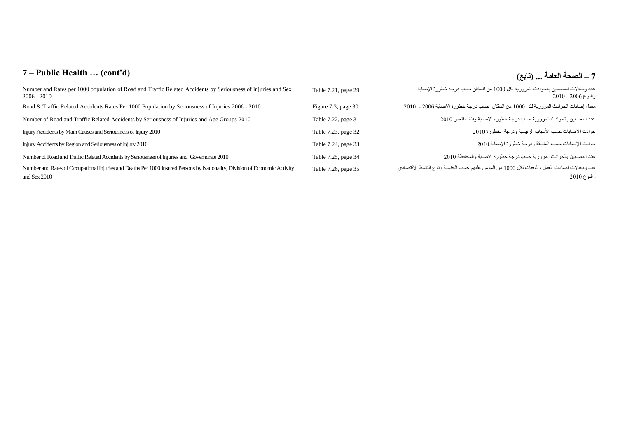# **7 – Public Health … (cont'd) )تابع )... العامة الصحة – 7**

| Number and Rates per 1000 population of Road and Traffic Related Accidents by Seriousness of Injuries and Sex<br>$2006 - 2010$              | Table 7.21, page 29 | عدد ومعدلات المصابين بالحوادث المرورية لكل 1000 من السكان حسب درجة خطورة الإصابة<br>والنوع 2006 - 2010      |
|---------------------------------------------------------------------------------------------------------------------------------------------|---------------------|-------------------------------------------------------------------------------------------------------------|
| Road & Traffic Related Accidents Rates Per 1000 Population by Seriousness of Injuries 2006 - 2010                                           | Figure 7.3, page 30 | معدل إصابات الحوادث المرورية لكل 1000 من السكان حسب درجة خطورة الإصابة 2006 - 2010                          |
| Number of Road and Traffic Related Accidents by Seriousness of Injuries and Age Groups 2010                                                 | Table 7.22, page 31 | عدد المصابين بالحوادث المرورية حسب درجة خطورة الإصابة وفئات العمر 2010                                      |
| Injury Accidents by Main Causes and Seriousness of Injury 2010                                                                              | Table 7.23, page 32 | حوادث الإصابات حسب الأسباب الرئيسية ودرجة الخطورة 2010                                                      |
| Injury Accidents by Region and Seriousness of Injury 2010                                                                                   | Table 7.24, page 33 | حوادث الإصابات حسب المنطقة ودرجة خطورة الإصابة 2010                                                         |
| Number of Road and Traffic Related Accidents by Seriousness of Injuries and Governorate 2010                                                | Table 7.25, page 34 | عدد المصابين بالحوادث المرورية حسب درجة خطورة الإصابة والمحافظة 2010                                        |
| Number and Rates of Occupational Injuries and Deaths Per 1000 Insured Persons by Nationality, Division of Economic Activity<br>and Sex 2010 | Table 7.26, page 35 | عدد ومعدلات إصابات العمل والوفيات لكل 1000 من المؤمن عليهم حسب الجنسية ونوع النشاط الاقتصادي<br>والنوع 2010 |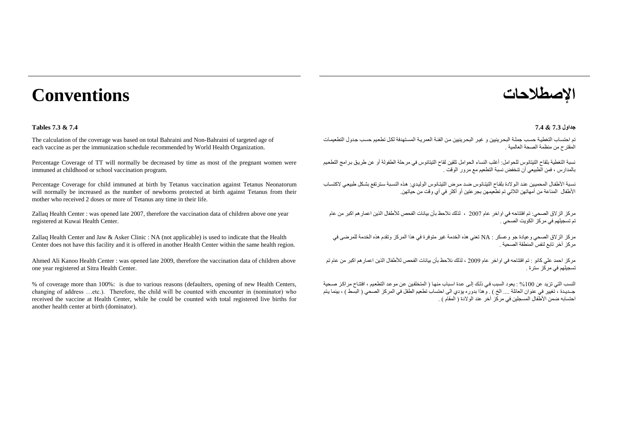# **اإلصطالحات Conventions**

### **جداول 7.3 & 7.4 7.4 & 7.3 Tables**

The calculation of the coverage was based on total Bahraini and Non-Bahraini of targeted age of each vaccine as per the immunization schedule recommended by World Health Organization.

Percentage Coverage of TT will normally be decreased by time as most of the pregnant women were immuned at childhood or school vaccination program.

Percentage Coverage for child immuned at birth by Tetanus vaccination against Tetanus Neonatorum will normally be increased as the number of newborns protected at birth against Tetanus from their mother who received 2 doses or more of Tetanus any time in their life.

Zallaq Health Center : was opened late 2007, therefore the vaccination data of children above one year registered at Kuwai Health Center.

Zallaq Health Center and Jaw & Asker Clinic : NA (not applicable) is used to indicate that the Health Center does not have this facility and it is offered in another Health Center within the same health region.

Ahmed Ali Kanoo Health Center : was opened late 2009, therefore the vaccination data of children above one year registered at Sitra Health Center.

% of coverage more than 100%: is due to various reasons (defaulters, opening of new Health Centers, changing of address …etc.). Therefore, the child will be counted with encounter in (nominator) who received the vaccine at Health Center, while he could be counted with total registered live births for another health center at birth (dominator).

تم احتساب التغطية حسب جملة البحر ينبين و غير البحر ينبين من الفئة العمرية المستهدفة لكل تطعيم حسب جدول التطعيمات المقترح من منظمة الصحة العالمية .

نسبة التغطية بلقاح التيتانوس للحوامل: أغلب النساء الحوامل تلقين لقاح التيتانوس في مرحلة الطفولة أو عن طرياق بارامج التطعايم بالمدارس ، فمن الطبيعي أن تنخفض نسبة التطعيم مع مرور الوقت .

نسبة الأطفال المحميين عند الولادة بلقاح التيتانوس ضد مرض التيتانوس الوليدي: هذه النسبة سترتفع بشكل طبيعي لاكتساب .<br>الأطفال المناعة من أمهاتهن اللاتي تم تطعيمهن بجرعتين أو أكثر في أي وقت من حياتهن.

مركز الزالق الصحي: تم افتتاحه في اواخر عام 0227 ، لنلك نالحظ بأن بيانات الفحص لألطفال النين اعمارهم اكبر من عام تم تسجيلهم في مركز الكويت الصحي .

مركز الزالق الصحي وعيادة جو وعسكر : NA تعني هنه الخدمة غير متوفرة في هنا المركز وتقدم هنه الخدمة للمرضى في مركز آخر تابع لنفس المنطقة الصحية .

مركز احمد علي كانو : تم افتتاحه في اواخر عام 0222 ، لنلك نالحظ بأن بيانات الفحص لألطفال النين اعمارهم اكبر من عام تم تسجيلهم في مركز سترة .

النسب التي تزيد عن 100% : يعود السبب في ذلك إلى عدة اسباب منها ( المتخلفين عن مو عد التطعيم ، افتتاح مر اكز صحية جــديـدة ، تغيير في عنوان العائلة .... الخ ) . وهذا بدوره يؤدي الى احتساب تطعيم الطفل في المركز الصحي ( البسط ) ، بينما يتم احتسابه ضمن الأطفال المسجلين في مر كز آخر ٍ عند الولادة ( المقام ) .<br>احتسابه ضمن الأطفال المسجلين في مركز آخر ٍ عند الولادة ( المقام ) .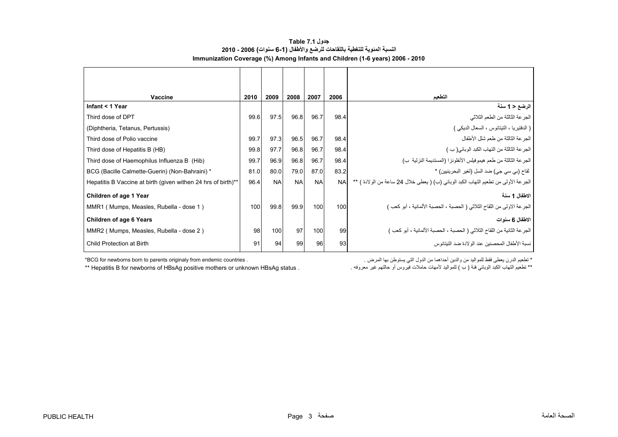# **جدول 7.1 Table النسبة المئوية للتغطية باللقاحات للرضع واألطفال (6-1 سنوات) 2006 - 2010 Immunization Coverage (%) Among Infants and Children (1-6 years) 2006 - 2010**

<span id="page-3-0"></span>

| Vaccine                                                       | 2010 | 2009      | 2008      | 2007      | 2006      | التطعيم                                                                             |
|---------------------------------------------------------------|------|-----------|-----------|-----------|-----------|-------------------------------------------------------------------------------------|
| Infant < 1 Year                                               |      |           |           |           |           | الرضع < 1 سنة                                                                       |
| Third dose of DPT                                             | 99.6 | 97.5      | 96.8      | 96.7      | 98.4      | الجرعة الثالثة من الطعم الثلاثي                                                     |
| (Diphtheria, Tetanus, Pertussis)                              |      |           |           |           |           | ( الدفتيريا ، التيتانوس ، السعال الديكي )                                           |
| Third dose of Polio vaccine                                   | 99.7 | 97.3      | 96.5      | 96.7      | 98.4      | الجر عة الثالثة من طعم شلل الأطفال                                                  |
| Third dose of Hepatitis B (HB)                                | 99.8 | 97.7      | 96.8      | 96.7      | 98.4      | الجرعة الثالثة من التهاب الكبد الوبائي(ب)                                           |
| Third dose of Haemophilus Influenza B (Hib)                   | 99.7 | 96.9      | 96.8      | 96.7      | 98.4      | الجرعة الثالثة من طعم هيموفيلس الأنظونز! (المستديمة النزلية ب)                      |
| BCG (Bacille Calmette-Guerin) (Non-Bahraini) *                | 81.0 | 80.0      | 79.0      | 87.0      | 83.2      | لقاح (بي سي جي) ضد السل (لغير البحرينيين) *                                         |
| Hepatitis B Vaccine at birth (given withen 24 hrs of birth)** | 96.4 | <b>NA</b> | <b>NA</b> | <b>NA</b> | <b>NA</b> | الجرعة الأولى من تطعيم التهاب الكبد الوبائي (ب) ( يعطي خلال 24 ساعة من الولادة ) ** |
| Children of age 1 Year                                        |      |           |           |           |           | الاطفال 1 سنة                                                                       |
| MMR1 (Mumps, Measles, Rubella - dose 1)                       | 100  | 99.8      | 99.9      | 100       | 100       | الجر عة الاولى من اللقاح الثلاثي ( الحصبة ، الحصبة الألمانية ، أبو كعب )            |
| <b>Children of age 6 Years</b>                                |      |           |           |           |           | الاطفال 6 سنوات                                                                     |
| MMR2 (Mumps, Measles, Rubella - dose 2)                       | 98   | 100       | 97        | 100       | 99        | الجر عة الثانية من اللقاح الثلاثي ( الحصبة ، الحصبة الألمانية ، أبو كعب )           |
| Child Protection at Birth                                     | 91   | 94        | 99        | 96        | 93        | نسبة الأطفال المحصنبن عند الو لادة ضد التبتانوس                                     |

\* تطعيم الدرن يعطى فقط للمواليد من والدين أحداھما من الدول التي يستوطن بھا المرض . . countries endemic from originaly parents to born newborns for BCG\* \*\* Hepatitis B for newborns of HBsAg positive mothers or unknown HBsAg status .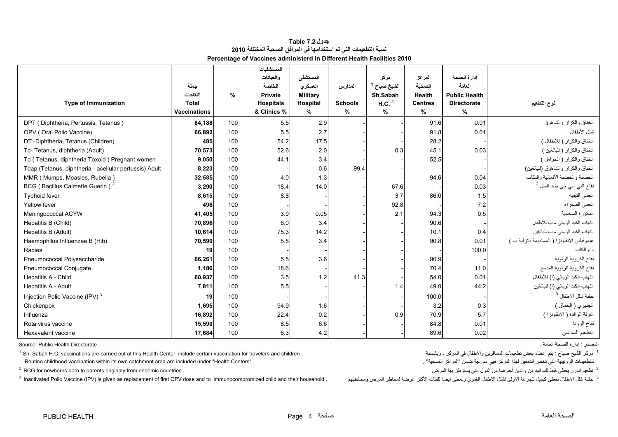## **جدول 7.2 Table نسبة التطعيمات التي تم استخدامھا في المرافق الصحية المختلفة <sup>2010</sup> Percentage of Vaccines administerd in Different Health Facilities 2010**

<span id="page-4-0"></span>

|                                                        |                          |      | المستشفيات                         |                             |                |                                 |                                 |                                            |                                                      |
|--------------------------------------------------------|--------------------------|------|------------------------------------|-----------------------------|----------------|---------------------------------|---------------------------------|--------------------------------------------|------------------------------------------------------|
|                                                        |                          |      | والعيادات                          | المستشفى                    |                | مركز                            | المراكز                         | ادار ة الصحة                               |                                                      |
|                                                        | حملة                     |      | الخاصة                             | العسكري                     | المدارس        | الشيخ صباح <sup>1</sup>         | الصحية                          | العامة                                     |                                                      |
| <b>Type of Immunization</b>                            | اللقاحات<br><b>Total</b> | $\%$ | <b>Private</b><br><b>Hospitals</b> | <b>Military</b><br>Hospital | <b>Schools</b> | Sh.Sabah<br>$H.C.$ <sup>1</sup> | <b>Health</b><br><b>Centres</b> | <b>Public Health</b><br><b>Directorate</b> | نوع التطعيم                                          |
|                                                        | <b>Vaccinations</b>      |      | & Clinics %                        | $\%$                        | $\%$           | %                               | $\%$                            | %                                          |                                                      |
| DPT (Diphtheria, Pertussis, Tetanus)                   | 84,188                   | 100  | 5.5                                | 2.9                         |                |                                 | 91.6                            | 0.01                                       | الخناق والكزاز والشاهوق                              |
| OPV (Oral Polio Vaccine)                               | 66,892                   | 100  | 5.5                                | 2.7                         |                |                                 | 91.8                            | 0.01                                       | شلل الأطفال                                          |
| DT -Diphtheria, Tetanus (Children)                     | 485                      | 100  | 54.2                               | 17.5                        |                |                                 | 28.2                            |                                            | الخناق والكزاز ( للأطفال )                           |
| Td- Tetanus, diphtheria (Adult)                        | 70,573                   | 100  | 52.6                               | 2.0                         |                | 0.3                             | 45.1                            | 0.03                                       | الخناق والكزاز (للبالغين)                            |
| Td (Tetanus, diphtheria Toxoid) Pregnant women         | 9,050                    | 100  | 44.1                               | 3.4                         |                |                                 | 52.5                            |                                            | الخناق والكزاز (الحوامل)                             |
|                                                        |                          | 100  |                                    |                             | 99.4           |                                 |                                 |                                            | الخناق والكزاز والشاهوق (للبالغين)                   |
| Tdap (Tetanus, diphtheria - acellular pertussis) Adult | 8,223                    |      |                                    | 0.6                         |                |                                 |                                 |                                            | الحصبة والحصبة الألمانية والنكاف                     |
| MMR (Mumps, Measles, Rubella)                          | 32,585                   | 100  | 4.0                                | 1.3                         |                |                                 | 94.6                            | 0.04                                       |                                                      |
| BCG (Bacillus Calmette Guerin) <sup>2</sup>            | 3,290                    | 100  | 18.4                               | 14.0                        |                | 67.6                            |                                 | 0.03                                       | لقاح الب <i>ي</i> س <i>ي</i> جي ضد السل <sup>2</sup> |
| Typhoid fever                                          | 8,615                    | 100  | 8.8                                |                             |                | 3.7                             | 86.0                            | 1.5                                        | الحمى النيفيه                                        |
| Yellow fever                                           | 498                      | 100  |                                    |                             |                | 92.8                            |                                 | 7.2                                        | الحمى الصفراء                                        |
| Meningococcal ACYW                                     | 41,405                   | 100  | 3.0                                | 0.05                        |                | 2.1                             | 94.3                            | 0.5                                        | المكورة السحائية                                     |
| Hepatitis B (Child)                                    | 70,896                   | 100  | 6.0                                | 3.4                         |                |                                 | 90.6                            |                                            | التهاب الكبد الوبائي - ب للأطفال                     |
| Hepatitis B (Adult)                                    | 10,614                   | 100  | 75.3                               | 14.2                        |                |                                 | 10.1                            | 0.4                                        | التهاب الكبد الوبائي - ب للبالغين                    |
| Haemophilus Influenzae B (Hib)                         | 70,590                   | 100  | 5.8                                | 3.4                         |                |                                 | 90.8                            | 0.01                                       | هيموفيلس الأنظونزا (المستديمة النزلية ب)             |
| Rabies                                                 | 19                       | 100  |                                    |                             |                |                                 |                                 | 100.0                                      | داء الكلب                                            |
| Pneumococcal Polysaccharide                            | 66,261                   | 100  | 5.5                                | 3.6                         |                |                                 | 90.9                            |                                            | لقاح الكروية الرئوية                                 |
| Pneumococcal Conjugate                                 | 1,186                    | 100  | 18.6                               |                             |                |                                 | 70.4                            | 11.0                                       | لقاح الكروية الرئوية المدمج                          |
| Hepatitis A - Child                                    | 60,937                   | 100  | 3.5                                | 1.2                         | 41.3           |                                 | 54.0                            | 0.01                                       | التهاب الكبد الوبائي (أ) للأطفال                     |
| Hepatitis A - Adult                                    | 7,811                    | 100  | 5.5                                |                             |                | 1.4                             | 49.0                            | 44.2                                       | التهاب الكبد الوبائي (أ) للبالغين                    |
| Injection Polio Vaccine (IPV) <sup>3</sup>             | 19                       | 100  |                                    |                             |                |                                 | 100.0                           |                                            | حقنة شلل الأطفال <sup>3</sup>                        |
| Chickenpox                                             | 1,695                    | 100  | 94.9                               | 1.6                         |                |                                 | 3.2                             | 0.3                                        | الجديري (الحماق )                                    |
| Influenza                                              | 16,892                   | 100  | 22.4                               | 0.2                         |                | 0.9                             | 70.9                            | 5.7                                        | النزلة الوافدة ( الانظونزا )                         |
| Rota virus vaccine                                     | 15,590                   | 100  | 8.5                                | 6.6                         |                |                                 | 84.8                            | 0.01                                       | لقاح الروتا                                          |
| Hexavalent vaccine                                     | 17,684                   | 100  | 6.3                                | 4.2                         |                |                                 | 89.6                            | 0.02                                       | التطعيم السداسي                                      |

المصدر : إدارة الصحة العامة . . Directorate Health Public :Source

<sup>1</sup> Sh. Sabah H.C: vaccinations are carried out at this Health Center include certain vaccination for travelers and children , مركز الشيخ صباح : يتم اعطاء بعض تطعيمات المسافرين والأطفال في المركز ، وبالنسبة الشيخ مركز 19 Routine childhood vaccination within its own catchment area are included under "Health Centers".

<sup>2</sup> BCG for newborns born to parents originaly from endemic countries .

3 Inactivated Polio Vaccine (IPV) is given as replacement of first OPV dose and to immunocompromized child and their household . . ومخالطيھم المرض لمخاطر عرضة األكثر للفئات ايضا وتعطى الفموي االطفال لشلل االولى للجرعة كبديل تعطى األطفال شلل حقنة <sup>3</sup>

. "الصحية المراكز "ضمن مدرجة فھي المركز لھذا التابعين تخص التي الروتينية للتطعيمات

<sup>2</sup> تطعيم الدرن يعطي فقط للمواليد من والدين أحداهما من الدول التي يستوطن بها المرض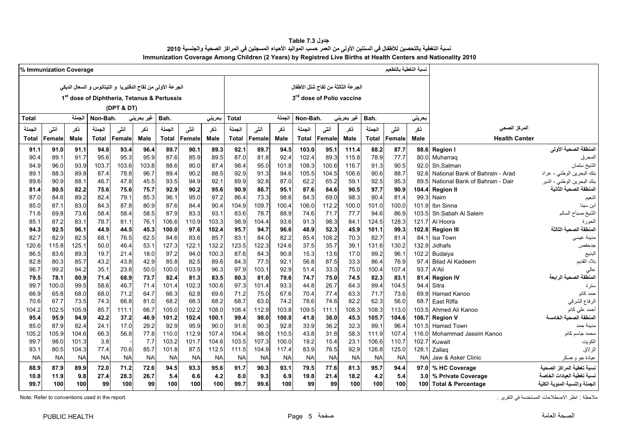**جدول 7.3 Table** .<br>نسبة التغطية بالتحصين للأطفال في السنتين الأولى من العمر حسب المواليد الأحياء المسجلين في المراكز الصحية والجنسية 2010 **Immunization Coverage Among Children (2 Years) by Registred Live Births at Health Centers and Nationality 2010**

<span id="page-5-0"></span>

|              | % Immunization Coverage |                |              |              |                                                              |                |               |                |                |                |                |                                       |               |               | نسبة التغطية بالتطعيم |                |                  |                                 |                               |
|--------------|-------------------------|----------------|--------------|--------------|--------------------------------------------------------------|----------------|---------------|----------------|----------------|----------------|----------------|---------------------------------------|---------------|---------------|-----------------------|----------------|------------------|---------------------------------|-------------------------------|
|              |                         |                |              |              | الجرعة الأولى من لقاح الدفتيريا  و التيتانوس و السعال الديكي |                |               |                |                |                |                | الجرعة الثالثة من لقاح شلل الأطفال    |               |               |                       |                |                  |                                 |                               |
|              |                         |                |              |              | 1 <sup>st</sup> dose of Diphtheria, Tetanus & Pertussis      |                |               |                |                |                |                | 3 <sup>rd</sup> dose of Polio vaccine |               |               |                       |                |                  |                                 |                               |
|              |                         |                |              | (DPT & DT)   |                                                              |                |               |                |                |                |                |                                       |               |               |                       |                |                  |                                 |                               |
|              |                         | الجملة         | Non-Bah.     |              |                                                              |                |               |                |                |                | الجملة         | Non-Bah.                              |               |               | Bah.                  |                |                  |                                 |                               |
| Total        |                         |                |              |              | غير بحريني                                                   | Bah.           |               | بحريني         | <b>Total</b>   |                |                |                                       |               | غير بحريني    |                       |                | بحريني           |                                 |                               |
| الجملة       | أنشى                    | نكر            | الجملة       | أننس         | ذكر                                                          | الجملة         | أننس          | ذکر            | الجملة         | أنشى           | ذكر            | الجملة                                | أنشى          | نكر           | الجملة                | أننسى          | نكر              | المركز الصحى                    |                               |
| Total        | Female                  | <b>Male</b>    | <b>Total</b> | Female       | <b>Male</b>                                                  | <b>Total</b>   | Female        | Male           | Total          | Female         | Male           | <b>Total</b>                          | Female        | <b>Male</b>   | <b>Total</b>          | Female         | <b>Male</b>      | <b>Health Center</b>            |                               |
| 91.1         | 91.0                    | 91.1           | 94.8         | 93.4         | 96.4                                                         | 89.7           | 90.1          | 89.3           | 92.1           | 89.7           | 94.5           | 103.0                                 | 95.1          | 111.4         | 88.2                  | 87.7           | 88.6             | <b>Region I</b>                 | المنطقة الصحية الأولى         |
| 90.4         | 89.1                    | 91.7           | 95.6         | 95.3         | 95.9                                                         | 87.6           | 85.9          | 89.5           | 87.0           | 81.8           | 92.4           | 102.4                                 | 89.3          | 115.8         | 78.9                  | 77.7           | 80.0             | Muharrag                        | المحرق                        |
| 94.9         | 96.0                    | 93.9           | 103.7        | 103.6        | 103.8                                                        | 88.6           | 90.0          | 87.4           | 98.4           | 95.0           | 101.8          | 108.3                                 | 100.6         | 116.7         | 91.3                  | 90.5           | 92.0             | Sh.Salman                       | الشيخ سلمان                   |
| 89.1         | 88.3                    | 89.8           | 87.4         | 78.8         | 96.7                                                         | 89.4           | 90.2          | 88.5           | 92.9           | 91.3           | 94.6           | 105.5                                 | 104.5         | 106.6         | 90.6                  | 88.7           | 92.6             | National Bank of Bahrain - Arad | بنك البحرين الوطني - عراد     |
| 89.6         | 90.9                    | 88.1           | 46.7         | 47.8         | 45.5                                                         | 93.5           | 94.9          | 92.7           | 89.9           | 92.8           | 87.0           | 62.2                                  | 65.2          | 59.1          | 92.5                  | 95.3           | 89.5             | National Bank of Bahrain - Dair | بنك البحرين الوطني - الدير    |
| 81.4         | 80.5                    | 82.2           | 75.6         | 75.6         | 75.7                                                         | 92.9           | 90.2          | 95.6           | 90.9           | 86.7           | 95.1           | 87.6                                  | 84.6          | 90.5          | 97.7                  | 90.9           | 104.4            | <b>Region II</b>                | المنطقة الصحية الثانية        |
| 87.0         | 84.6                    | 89.2           | 82.4         | 79.1         | 85.3                                                         | 96.1           | 95.0          | 97.2           | 86.4           | 73.3           | 98.6           | 84.3                                  | 69.0          | 98.3          | 90.4                  | 81.4           | 99.3             | Naim                            | النعيم                        |
| 85.0         | 87.1<br>69.8            | 83.0<br>73.6   | 84.3         | 87.8<br>58.4 | 80.9<br>58.5                                                 | 87.6<br>87.9   | 84.4<br>83.3  | 90.4<br>93.1   | 104.9<br>83.6  | 109.7<br>78.7  | 100.4<br>88.9  | 106.0<br>74.6                         | 112.2<br>71.7 | 100.0<br>77.7 | 101.0<br>94.6         | 100.0<br>86.9  | 101.9<br>103.5   | Ibn Sinna<br>Sh.Sabah Al Salem  | ابن سينا                      |
| 71.6<br>85.1 | 87.2                    | 83.1           | 58.4<br>78.7 | 81.1         | 76.1                                                         | 106.6          | 110.9         | 103.3          | 98.9           | 104.4          | 93.6           | 91.3                                  | 98.3          | 84.1          | 124.5                 | 128.3          | 121.7            | Al Hoora                        | الشيخ صباح السالم<br>الحورة   |
| 94.3         | 92.5                    | 96.1           | 44.9         | 44.5         | 45.3                                                         | 100.0          | 97.6          | 102.4          | 95.7           | 94.7           | 96.6           | 48.9                                  | 52.3          | 45.9          | 101.1                 | 99.3           | 102.8            | <b>Region III</b>               | المنطقة الصحية الثالثة        |
| 82.7         | 82.9                    | 82.5           | 68.1         | 76.5         | 62.5                                                         | 84.6           | 83.6          | 85.7           | 83.1           | 84.0           | 82.2           | 85.4                                  | 108.2         | 70.3          | 82.7                  | 81.4           | 84.1             | Isa Town                        | مدينة عيسى                    |
| 120.6        | 115.8                   | 125.1          | 50.0         | 46.4         | 53.1                                                         | 127.3          | 122.1         | 132.2          | 123.5          | 122.3          | 124.6          | 37.5                                  | 35.7          | 39.1          | 131.6                 | 130.2          | 132.9            | Jidhafs                         | جدحفص                         |
| 86.5         | 83.6                    | 89.3           | 19.7         | 21.4         | 18.0                                                         | 97.2           | 94.0          | 100.3          | 87.6           | 84.3           | 90.8           | 15.3                                  | 13.6          | 17.0          | 99.2                  | 96.1           | 102.2            | Budaiya                         | البديع                        |
| 82.8         | 80.3                    | 85.7           | 43.2         | 43.8         | 42.9                                                         | 85.8           | 82.5          | 89.6           | 84.3           | 77.5           | 92.1           | 56.8                                  | 87.5          | 33.3          | 86.4                  | 76.9           | 97.4             | <b>Bilad Al Kadeem</b>          | بلاد القديم                   |
| 96.7         | 99.2                    | 94.2           | 35.1         | 23.8         | 50.0                                                         | 100.0          | 103.9         | 96.3           | 97.9           | 103.1          | 92.9           | 51.4                                  | 33.3          | 75.0          | 100.4                 | 107.4          | 93.7             | A'Ali                           |                               |
| 79.5         | 78.1                    | 80.9           | 71.4         | 68.9         | 73.7                                                         | 82.4           | 81.3          | 83.5           | 80.3           | 81.0           | 79.6           | 74.7                                  | 75.0          | 74.5          | 82.3                  | 83.1           | 81.4             | <b>Region IV</b>                | المنطقة الصحبة الر ابعة       |
| 99.7         | 100.0                   | 99.5           | 58.6         | 46.7         | 71.4                                                         | 101.4          | 102.3         | 100.6          | 97.3           | 101.4          | 93.3           | 44.8                                  | 26.7          | 64.3          | 99.4                  | 104.5          | 94.4             | Sitra                           | سترة                          |
| 66.9         | 65.8                    | 68.0           | 68.0         | 71.2         | 64.7                                                         | 66.3           | 62.8          | 69.6           | 71.2           | 75.0           | 67.6           | 70.4                                  | 77.4          | 63.3          | 71.7                  | 73.6           | 69.9             | Hamad Kanoo                     | حمد كانو                      |
| 70.6         | 67.7                    | 73.5           | 74.3         | 66.8         | 81.0                                                         | 68.2           | 68.3          | 68.2           | 68.7           | 63.0           | 74.2           | 78.6                                  | 74.6          | 82.2          | 62.3                  | 56.0           | 68.7             | East Riffa                      | الرفاع الشرقي                 |
| 104.2        | 102.5                   | 105.9          | 85.7         | 111.1        | 66.7                                                         | 105.0          | 102.2         | 108.0          | 108.4          | 112.9          | 103.8          | 109.5                                 | 111.1         | 108.3         | 108.3                 | 113.0          | 103.5            | Ahmed Ali Kanoo                 | أحمد على كانو                 |
| 95.4         | 95.9                    | 94.9           | 42.2         | 37.2         | 46.9                                                         | 101.2          | 102.4         | 100.1          | 99.4           | 98.0           | 100.8          | 41.8                                  | 38.0          | 45.3          | 105.7                 | 104.6          | 106.7            | <b>Region V</b>                 | المنطقة الصحية الخامسة        |
| 85.0         | 87.9                    | 82.4           | 24.1         | 17.0         | 29.2                                                         | 92.9           | 95.9          | 90.0           | 91.6           | 90.3           | 92.8           | 33.9                                  | 36.2          | 32.3          | 99.1                  | 96.4           | 101.5            | <b>Hamad Town</b>               | مدبنة حمد                     |
| 105.2        | 105.9                   | 104.6          | 66.3         | 56.8         | 77.8                                                         | 110.0          | 112.9         | 107.4          | 104.4          | 98.0           | 110.5          | 43.8                                  | 31.8          | 58.3          | 111.9                 | 107.4          | 116.0            | Mohammad Jassim Kanoo           | محمد جاسم كانو                |
| 99.7<br>93.1 | 98.0<br>80.5            | 101.3<br>104.3 | 3.8<br>77.4  | 70.6         | 7.7<br>85.7                                                  | 103.2<br>101.8 | 101.7<br>87.5 | 104.6<br>112.5 | 103.5<br>111.5 | 107.3<br>104.9 | 100.0<br>117.4 | 19.2<br>83.9                          | 15.4<br>76.5  | 23.1<br>92.9  | 106.6<br>126.8        | 110.7<br>125.0 | 102.7<br>128.1   | Kuwait                          | الكويت                        |
| <b>NA</b>    | <b>NA</b>               | <b>NA</b>      | <b>NA</b>    | <b>NA</b>    | <b>NA</b>                                                    | <b>NA</b>      | <b>NA</b>     | <b>NA</b>      | <b>NA</b>      | <b>NA</b>      | <b>NA</b>      | <b>NA</b>                             | <b>NA</b>     | <b>NA</b>     | <b>NA</b>             | <b>NA</b>      | <b>NA</b>        | Zallag<br>Jaw & Asker Clinic    | الزلاق                        |
|              |                         |                |              |              |                                                              |                |               |                |                |                |                |                                       |               |               |                       |                |                  |                                 | عيادة جو وعسكر                |
| 88.9         | 87.9                    | 89.9           | 72.0         | 71.2         | 72.6                                                         | 94.5           | 93.3          | 95.6           | 91.7           | 90.3           | 93.1           | 79.5                                  | 77.6          | 81.3          | 95.7                  | 94.4           | 97.0             | % HC Coverage                   | نسبة تغطية المراكز الصحية     |
| 10.8         | 11.9                    | 9.8            | 27.4         | 28.3         | 26.7<br>99                                                   | 5.4            | 6.6           | 4.2            | 8.0            | 9.3            | 6.9            | 19.8                                  | 21.4          | 18.2<br>100   | 4.2                   | 5.4            | 3.0              | % Private Coverage              | نسبة تغطية العبادات الخاص     |
| 99.7         | 100                     | 100            | 99           | 100          |                                                              | 100            | 100           | 100            | 99.7           | 99.6           | 100            | 99                                    | 99            |               | 100                   | 100            | 100 <sup>1</sup> | <b>Total &amp; Percentage</b>   | الجملة والنسبة المئوية الكلية |

.<br>ملاحظة : انظر الاصطلاحات المستخدمة في التقرير في المستخدمة في التقرير . التقرير المستخدمة المستخدمة المستخدمة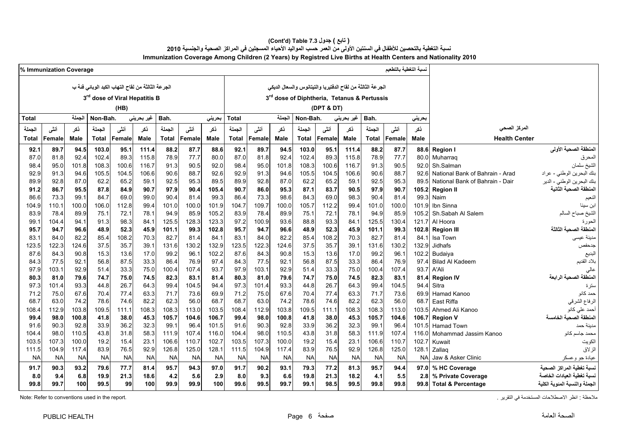### نسبة التغطية بالتحصين للأطفال في السنتين الأولى من العمر حسب المواليد الأحياء المسجلين في المراكز الصحية والجنسية 2010 **Immunization Coverage Among Children (2 Years) by Registred Live Births at Health Centers and Nationality 2010 (Cont'd) Table 7.3 جدول ) تابع(**

|              | % Immunization Coverage |             |           |                                                    |            |              |           |           |           |           |           |              |                                                            |                    |              | نسبة التغطية بالتطعيم |           |                                 |                                          |
|--------------|-------------------------|-------------|-----------|----------------------------------------------------|------------|--------------|-----------|-----------|-----------|-----------|-----------|--------------|------------------------------------------------------------|--------------------|--------------|-----------------------|-----------|---------------------------------|------------------------------------------|
|              |                         |             |           | الجر عة الثالثة من لقاح التهاب الكبد الوبائي فئة ب |            |              |           |           |           |           |           |              | الجرعة الثالثة من لقاح الدفتيريا والتيتانوس والسعال الديكي |                    |              |                       |           |                                 |                                          |
|              |                         |             |           |                                                    |            |              |           |           |           |           |           |              |                                                            |                    |              |                       |           |                                 |                                          |
|              |                         |             |           | 3 <sup>rd</sup> dose of Viral Hepatitis B          |            |              |           |           |           |           |           |              | 3rd dose of Diphtheria, Tetanus & Pertussis                |                    |              |                       |           |                                 |                                          |
|              |                         |             |           | (HB)                                               |            |              |           |           |           |           |           |              | (DPT & DT)                                                 |                    |              |                       |           |                                 |                                          |
| <b>Total</b> |                         | الجملة      | Non-Bah.  |                                                    | غير بحريني | Bah.         |           | بحريني    | Total     |           | الجملة    | Non-Bah.     |                                                            | غیر بحرین <i>ی</i> | Bah.         |                       | بحريني    |                                 |                                          |
| الجملة       | أنشى                    | ذكر         | الجملة    | أننى                                               | ذكر        | الجملة       | أنشى      | ذكر       | الجملة    | أنشى      | نكر       | الجملة       | أننى                                                       | ذكر                | الجملة       | أنشى                  | نكر       | المركز الصحى                    |                                          |
| Total        | Female                  | <b>Male</b> | Total     | Female                                             | Male       | <b>Total</b> | Female    | Male      | Total     | Female    | Male      | <b>Total</b> | Female                                                     | Male               | <b>Total</b> | Female                | Male      | <b>Health Center</b>            |                                          |
| 92.1         | 89.7                    | 94.5        | 103.0     | 95.1                                               | 111.4      | 88.2         | 87.7      | 88.6      | 92.1      | 89.7      | 94.5      | 103.0        | 95.1                                                       | 111.4              | 88.2         | 87.7                  | 88.6      | <b>Region I</b>                 | المنطقة الصحية الأولى                    |
| 87.0         | 81.8                    | 92.4        | 102.4     | 89.3                                               | 115.8      | 78.9         | 77.7      | 80.0      | 87.0      | 81.8      | 92.4      | 102.4        | 89.3                                                       | 115.8              | 78.9         | 77.7                  | 80.0      | Muharrag                        | المحرق                                   |
| 98.4         | 95.0                    | 101.8       | 108.3     | 100.6                                              | 116.7      | 91.3         | 90.5      | 92.0      | 98.4      | 95.0      | 101.8     | 108.3        | 100.6                                                      | 116.7              | 91.3         | 90.5                  | 92.0      | Sh.Salman                       | الشيخ سلمان                              |
| 92.9         | 91.3                    | 94.6        | 105.5     | 104.5                                              | 106.6      | 90.6         | 88.7      | 92.6      | 92.9      | 91.3      | 94.6      | 105.5        | 104.5                                                      | 106.6              | 90.6         | 88.7                  | 92.6      | National Bank of Bahrain - Arad | بنك البحرين الوطني - عراد                |
| 89.9         | 92.8                    | 87.0        | 62.2      | 65.2                                               | 59.1       | 92.5         | 95.3      | 89.5      | 89.9      | 92.8      | 87.0      | 62.2         | 65.2                                                       | 59.1               | 92.5         | 95.3                  | 89.5      | National Bank of Bahrain - Dair | بنك البحرين ا <mark>لوطني -</mark> الدير |
| 91.2         | 86.7                    | 95.5        | 87.8      | 84.9                                               | 90.7       | 97.9         | 90.4      | 105.4     | 90.7      | 86.0      | 95.3      | 87.1         | 83.7                                                       | 90.5               | 97.9         | 90.7                  | 105.2     | <b>Region II</b>                | المنطقة الصحية الثانية                   |
| 86.6         | 73.3                    | 99.1        | 84.7      | 69.0                                               | 99.0       | 90.4         | 81.4      | 993       | 86.4      | 73.3      | 98.6      | 84.3         | 69.0                                                       | 98.3               | 90.4         | 81.4                  | 99.3      | Naim                            | النعيم                                   |
| 104.9        | 110.1                   | 100.0       | 106.0     | 112.8                                              | 99.4       | 101.0        | 100.0     | 101.9     | 104.7     | 109.7     | 100.0     | 105.7        | 112.2                                                      | 99.4               | 101.0        | 100.0                 | 101.9     | Ibn Sinna                       |                                          |
| 83.9         | 78.4                    | 89.9        | 75.1      | 72.1                                               | 78.1       | 94.9         | 85.9      | 105.2     | 83.9      | 78.4      | 89.9      | 75.1         | 72.1                                                       | 78.1               | 94.9         | 85.9                  | 105.2     | Sh.Sabah Al Salem               | الشيخ صباح السالم                        |
| 99.1         | 104.4                   | 94.1        | 91.3      | 98.3                                               | 84.1       | 125.5        | 128.3     | 123.3     | 97.2      | 100.9     | 93.6      | 88.8         | 93.3                                                       | 84.1               | 125.5        | 130.4                 | 121.7     | Al Hoora                        | الحورة                                   |
| 95.7         | 94.7                    | 96.6        | 48.9      | 52.3                                               | 45.9       | 101.1        | 99.3      | 102.8     | 95.7      | 94.7      | 96.6      | 48.9         | 52.3                                                       | 45.9               | 101.1        | 99.3                  | 102.8     | <b>Region III</b>               | المنطقة الصحية الثالثة                   |
| 83.1         | 84.0                    | 82.2        | 85.4      | 108.2                                              | 70.3       | 82.7         | 81.4      | 84.1      | 83.1      | 84.0      | 82.2      | 85.4         | 108.2                                                      | 70.3               | 82.7         | 81.4                  | 84.1      | Isa Town                        | مدينة عيسى                               |
| 123.5        | 122.3                   | 124.6       | 37.5      | 35.7                                               | 39.1       | 131.6        | 130.2     | 132.9     | 123.5     | 122.3     | 124.6     | 37.5         | 35.7                                                       | 39.1               | 131.6        | 130.2                 | 132.9     | <b>Jidhafs</b>                  | جدحفص                                    |
| 87.6         | 84.3                    | 90.8        | 15.3      | 13.6                                               | 17.0       | 99.2         | 96.1      | 102.2     | 87.6      | 84.3      | 90.8      | 15.3         | 13.6                                                       | 17.0               | 99.2         | 96.1                  | 102.2     | Budaiya                         | البديع                                   |
| 84.3         | 77.5                    | 92.1        | 56.8      | 87.5                                               | 33.3       | 86.4         | 76.9      | 97.4      | 84.3      | 77.5      | 92.1      | 56.8         | 87.5                                                       | 33.3               | 86.4         | 76.9                  | 97.4      | <b>Bilad Al Kadeem</b>          | بلاد القديم                              |
| 97.9         | 103.1                   | 92.9        | 51.4      | 33.3                                               | 75.0       | 100.4        | 107.4     | 93.7      | 97.9      | 103.1     | 92.9      | 51.4         | 33.3                                                       | 75.0               | 100.4        | 107.4                 | 93.7      | A'Ali                           |                                          |
| 80.3         | 81.0                    | 79.6        | 74.7      | 75.0                                               | 74.5       | 82.3         | 83.1      | 81.4      | 80.3      | 81.0      | 79.6      | 74.7         | 75.0                                                       | 74.5               | 82.3         | 83.1                  | 81.4      | <b>Region IV</b>                | المنطقة الصحية الرابعة                   |
| 973          | 101.4                   | 93.3        | 44.8      | 26.7                                               | 64.3       | 99.4         | 104.5     | 94.4      | 97.3      | 101.4     | 93.3      | 44.8         | 26.7                                                       | 64.3               | 99.4         | 104.5                 | 94.4      | Sitra                           | سترة                                     |
| 71.2         | 75.0                    | 67.6        | 70.4      | 77.4                                               | 63.3       | 71.7         | 73.6      | 69.9      | 71.2      | 75.0      | 67.6      | 70.4         | 77.4                                                       | 63.3               | 71.7         | 73.6                  | 69.9      | Hamad Kanoo                     | حمد كانو                                 |
| 68.7         | 63.0                    | 74.2        | 78.6      | 74.6                                               | 82.2       | 62.3         | 56.0      | 68.7      | 68.7      | 63.0      | 74.2      | 78.6         | 74.6                                                       | 82.2               | 62.3         | 56.0                  | 68.7      | East Riffa                      | الرفاع الشرقي                            |
| 108.4        | 112.9                   | 103.8       | 109.5     | 111.1                                              | 108.3      | 108.3        | 113.0     | 103.5     | 108.4     | 112.9     | 103.8     | 109.5        | 111.1                                                      | 108.3              | 108.3        | 113.0                 | 103.5     | Ahmed Ali Kanoo                 | أحمد على كانو                            |
| 99.4         | 98.0                    | 100.8       | 41.8      | 38.0                                               | 45.3       | 105.7        | 104.6     | 106.7     | 99.4      | 98.0      | 100.8     | 41.8         | 38.0                                                       | 45.3               | 105.7        | 104.6                 | 106.7     | <b>Region V</b>                 | المنطقة الصحية الخامسة                   |
| 91.6         | 90.3                    | 92.8        | 33.9      | 36.2                                               | 32.3       | 99.1         | 96.4      | 101.5     | 91.6      | 90.3      | 92.8      | 33.9         | 36.2                                                       | 32.3               | 99.1         | 96.4                  | 101.5     | Hamad Town                      | مدينة حمد                                |
| 104.4        | 98.0                    | 110.5       | 43.8      | 31.8                                               | 58.3       | 111.9        | 107.4     | 116.0     | 104.4     | 98.0      | 110.5     | 43.8         | 31.8                                                       | 58.3               | 111.9        | 107.4                 | 116.0     | Mohammad Jassim Kanoo           | محمد جاسم كانو                           |
| 103.5        | 107.3                   | 100.0       | 19.2      | 15.4                                               | 23.1       | 106.6        | 110.7     | 102.7     | 103.5     | 107.3     | 100.0     | 19.2         | 15.4                                                       | 23.1               | 106.6        | 110.7                 | 102.7     | Kuwait                          | الكويت                                   |
| 111.5        | 104.9                   | 117.4       | 83.9      | 76.5                                               | 92.9       | 126.8        | 125.0     | 128.1     | 111.5     | 104.9     | 117.4     | 83.9         | 76.5                                                       | 92.9               | 126.8        | 125.0                 | 128.1     | Zallaq                          | الزلاق                                   |
| NA           | <b>NA</b>               | <b>NA</b>   | <b>NA</b> | <b>NA</b>                                          | <b>NA</b>  | <b>NA</b>    | <b>NA</b> | <b>NA</b> | <b>NA</b> | <b>NA</b> | <b>NA</b> | <b>NA</b>    | <b>NA</b>                                                  | <b>NA</b>          | <b>NA</b>    | <b>NA</b>             | <b>NA</b> | Jaw & Asker Clinic              | عيادة جو وعسكر                           |
| 91.7         | 90.3                    | 93.2        | 79.6      | 77.7                                               | 81.4       | 95.7         | 94.3      | 97.0      | 91.7      | 90.2      | 93.1      | 79.3         | 77.2                                                       | 81.3               | 95.7         | 94.4                  | 97.0      | % HC Coverage                   | نسبة تغطية المر اكز الصحية               |
| 8.0          | 9.4                     | 6.8         | 19.9      | 21.3                                               | 18.6       | 4.2          | 5.6       | 2.9       | 8.0       | 9.3       | 6.6       | 19.8         | 21.3                                                       | 18.2               | 4.1          | 5.5                   | 2.8       | % Private Coverage              | نسبة تغطبة العبادات الخاص                |
| 99.8         | 99.7                    | 100         | 99.5      | 99                                                 | 100        | 99.9         | 99.9      | 100       | 99.6      | 99.5      | 99.7      | 99.1         | 98.5                                                       | 99.5               | 99.8         | 99.8                  | 99.8      | <b>Total &amp; Percentage</b>   | الجملة والنسبة المئوية الكلية            |

Note: Refer to conventions used in the report. . التقرير في المستخدمة االصطالحات انظر : مالحظة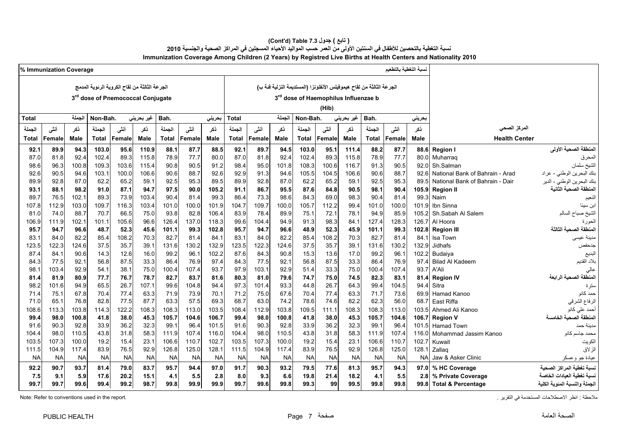### **(Cont'd) Table 7.3 جدول ) تابع(**  نسبة التغطية بالتحصين للأطفال في السنتين الأولى من العمر حسب المواليد الأحياء المسجلين في المراكز الصحية والجنسية 2010 **Immunization Coverage Among Children (2 Years) by Registred Live Births at Health Centers and Nationality 2010**

|                               |                                 |            | سبة التغطية بالتطعيم |              |             |                                                                      |              |           |           |              |           | % Immunization Coverage |              |                    |                                               |              |           |           |        |  |  |  |  |  |
|-------------------------------|---------------------------------|------------|----------------------|--------------|-------------|----------------------------------------------------------------------|--------------|-----------|-----------|--------------|-----------|-------------------------|--------------|--------------------|-----------------------------------------------|--------------|-----------|-----------|--------|--|--|--|--|--|
|                               |                                 |            |                      |              |             | الجرعة الثالثة من لقاح هيموفيلس الأنفلونزا (المستديمة النزلية فنة ب) |              |           |           |              |           |                         |              |                    | الجرعة الثالثة من لقاح الكروية الرئوية المدمج |              |           |           |        |  |  |  |  |  |
|                               |                                 |            |                      |              |             | 3rd dose of Haemophilus Influenzae b                                 |              |           |           |              |           |                         |              |                    | 3rd dose of Pnemococcal Conjugate             |              |           |           |        |  |  |  |  |  |
|                               |                                 |            |                      |              |             |                                                                      |              |           |           |              |           |                         |              |                    |                                               |              |           |           |        |  |  |  |  |  |
|                               |                                 |            |                      |              |             | (Hib)                                                                |              |           |           |              |           |                         |              |                    |                                               |              |           |           |        |  |  |  |  |  |
|                               |                                 | حريني      |                      | Bah.         | غیر بحرینی  |                                                                      | Non-Bah.     | الجملة    |           | Total        | بحرينى    |                         | Bah.         | غیر بحرین <i>ی</i> |                                               | Non-Bah.     | الحملة    |           | Total  |  |  |  |  |  |
| المركز الصحى                  |                                 | نكر        | أنشى                 | الجملة       | نكر         | أننى                                                                 | الجملة       | ذكر       | أنشى      | الحملة       | نكر       | أننشى                   | الجملة       | ذكر                | أننى                                          | الجملة       | نكر       | أنشى      | الجملة |  |  |  |  |  |
| <b>Health Center</b>          |                                 | Male       | <b>Female</b>        | <b>Total</b> | <b>Male</b> | Female                                                               | <b>Total</b> | Male      | Female    | <b>Total</b> | Male      | Female                  | <b>Total</b> | <b>Male</b>        | Female                                        | <b>Total</b> | Male      | Female    | Total  |  |  |  |  |  |
| المنطقة الصحية الأولى         | 88.6 Region I                   |            | 87.7                 | 88.2         | 111.4       | 95.1                                                                 | 103.0        | 94.5      | 89.7      | 92.1         | 88.5      | 87.7                    | 88.1         | 110.9              | 95.6                                          | 103.0        | 94.3      | 89.9      | 92.1   |  |  |  |  |  |
| المحرق                        | 80.0 Muharraq                   |            | 77.7                 | 78.9         | 115.8       | 89.3                                                                 | 102.4        | 92.4      | 81.8      | 87.0         | 80.0      | 77.7                    | 78.9         | 115.8              | 89.3                                          | 102.4        | 92.4      | 81.8      | 87.0   |  |  |  |  |  |
| الشيخ سلمان                   | Sh.Salman                       | 92.0       | 90.5                 | 91.3         | 116.7       | 100.6                                                                | 108.3        | 101.8     | 95.0      | 98.4         | 91.2      | 90.5                    | 90.8         | 115.4              | 103.6                                         | 109.3        | 100.8     | 96.3      | 98.6   |  |  |  |  |  |
| بنك البحرين الوطني - عراد     | National Bank of Bahrain - Arad | 92.6       | 88.7                 | 90.6         | 106.6       | 104.5                                                                | 105.5        | 94.6      | 91.3      | 92.9         | 92.6      | 88.7                    | 90.6         | 106.6              | 100.0                                         | 103.1        | 94.6      | 90.5      | 92.6   |  |  |  |  |  |
| بنك البحرين الوطني - الدير    | National Bank of Bahrain - Dair | 89.5       | 95.3                 | 92.5         | 59.1        | 65.2                                                                 | 62.2         | 87.0      | 92.8      | 89.9         | 89.5      | 95.3                    | 92.5         | 59.1               | 65.2                                          | 62.2         | 87.0      | 92.8      | 89.9   |  |  |  |  |  |
| المنطقة الصحبة الثانبة        | 105.9 Region II                 |            | 90.4                 | 98.1         | 90.5        | 84.8                                                                 | 87.6         | 95.5      | 86.7      | 91.1         | 105.2     | 90.0                    | 97.5         | 94.7               | 87.1                                          | 91.0         | 98.2      | 88.1      | 93.1   |  |  |  |  |  |
|                               | 99.3 Naim                       |            | 81.4                 | 90.4         | 98.3        | 69.0                                                                 | 84.3         | 98.6      | 73.3      | 86.4         | 99.3      | 81.4                    | 90.4         | 103.4              | 73.9                                          | 89.3         | 102.1     | 76.5      | 89.7   |  |  |  |  |  |
|                               | 101.9 Ibn Sinna                 |            | 100.0                | 101.0        | 99.4        | 112.2                                                                | 105.7        | 100.0     | 109.7     | 104.7        | 101.9     | 100.0                   | 101.0        | 103.4              | 116.3                                         | 109.7        | 103.0     | 112.9     | 107.8  |  |  |  |  |  |
| الشيخ صباح السالم             | 105.2 Sh Sabah Al Salem         |            | 85.9                 | 94.9         | 78.1        | 72.1                                                                 | 75.1         | 89.9      | 78.4      | 83.9         | 106.4     | 82.8                    | 93.8         | 75.0               | 66.5                                          | 70.7         | 88.7      | 74.0      | 81.0   |  |  |  |  |  |
| الحورة                        | Al Hoora                        | 126.7      | 128.3                | 127.4        | 84.1        | 98.3                                                                 | 91.3         | 94.9      | 104.4     | 99.6         | 118.3     | 137.0                   | 126.4        | 96.6               | 105.6                                         | 101.1        | 102.1     | 111.9     | 106.9  |  |  |  |  |  |
| المنطقة الصحبة الثالثة        | <b>Region III</b>               | 102.8      | 99.3                 | 101.1        | 45.9        | 52.3                                                                 | 48.9         | 96.6      | 94.7      | 95.7         | 102.8     | 99.3                    | 101.1        | 45.6               | 52.3                                          | 48.7         | 96.6      | 94.7      | 95.7   |  |  |  |  |  |
| مدينة عيسى                    | Isa Town                        | 84.1       | 81.4                 | 82.7         | 70.3        | 108.2                                                                | 85.4         | 82.2      | 84.0      | 83.1         | 84.1      | 81.4                    | 82.7         | 70.3               | 108.2                                         | 85.4         | 82.2      | 84.0      | 83.1   |  |  |  |  |  |
| جدحفص                         | Jidhafs                         | 132.9      | 130.2                | 131.6        | 39.1        | 35.7                                                                 | 37.5         | 124.6     | 122.3     | 123.5        | 132.9     | 130.2                   | 131.6        | 39.1               | 35.7                                          | 37.5         | 124.6     | 122.3     | 123.5  |  |  |  |  |  |
|                               | Budaiva                         | 102.2      | 96.1                 | 99.2         | 17.0        | 13.6                                                                 | 15.3         | 90.8      | 84.3      | 87.6         | 102.2     | 96.7                    | 99.2         | 16.0               | 12.6                                          | 14.3         | 90.6      | 84.1      | 87.4   |  |  |  |  |  |
| بلاد القديم                   | <b>Bilad Al Kadeem</b>          | 97.4       | 76.9                 | 86.4         | 33.3        | 87.5                                                                 | 56.8         | 92.1      | 77.5      | 84.3         | 97.4      | 76.9                    | 86.4         | 33.3               | 87.5                                          | 56.8         | 92.1      | 77.5      | 84.3   |  |  |  |  |  |
|                               | 93.7 A'Ali                      |            | 107.4                | 100.4        | 75.0        | 33.3                                                                 | 51.4         | 92.9      | 103.1     | 97.9         | 93.7      | 107.4                   | 100.4        | 75.0               | 38.1                                          | 54.1         | 92.9      | 103.4     | 98.1   |  |  |  |  |  |
| المنطقة الصحية الرابعة        | <b>Region IV</b>                | 81.4       | 83.1                 | 82.3         | 74.5        | 75.0                                                                 | 74.7         | 79.6      | 81.0      | 80.3         | 81.6      | 83.7                    | 82.7         | 78.7               | 76.7                                          | 77.7         | 80.9      | 81.9      | 81.4   |  |  |  |  |  |
|                               | Sitra                           | 94.4       | 104.5                | 99.4         | 64.3        | 26.7                                                                 | 44.8         | 93.3      | 101.4     | 97.3         | 94.4      | 104.8                   | 99.6         | 107.1              | 26.7                                          | 65.5         | 94.9      | 101.6     | 98.2   |  |  |  |  |  |
| حمد كانو                      | 69.9 Hamad Kanoo                |            | 73.6                 | 71.7         | 63.3        | 77.4                                                                 | 70.4         | 67.6      | 75.0      | 71.2         | 70.1      | 73.9                    | 71.9         | 63.3               | 77.4                                          | 70.4         | 67.8      | 75.1      | 71.4   |  |  |  |  |  |
| الرفاع الشرقي                 | East Riffa                      | 68.7       | 56.0                 | 62.3         | 82.2        | 74.6                                                                 | 78.6         | 74.2      | 63.0      | 68.7         | 69.3      | 57.5                    | 63.3         | 87.7               | 77.5                                          | 82.8         | 76.8      | 65.1      | 71.0   |  |  |  |  |  |
| أحمد على كانو                 | 103.5 Ahmed Ali Kanoo           |            | 113.0                | 108.3        | 108.3       | 111.1                                                                | 109.5        | 103.8     | 112.9     | 108.4        | 103.5     | 113.0                   | 108.3        | 108.3              | 122.2                                         | 114.3        | 103.8     | 113.3     | 108.6  |  |  |  |  |  |
| المنطقة الصحية الخامسة        | <b>Region V</b>                 | 106.7      | 104.6                | 105.7        | 45.3        | 38.0                                                                 | 41.8         | 100.8     | 98.0      | 99.4         | 106.7     | 104.6                   | 105.7        | 45.3               | 38.0                                          | 41.8         | 100.8     | 98.0      | 99.4   |  |  |  |  |  |
| مدينة حمد                     | 101.5 Hamad Town                |            | 96.4                 | 99.1         | 32.3        | 36.2                                                                 | 33.9         | 92.8      | 90.3      | 91.6         | 101.5     | 96.4                    | 99.1         | 32.3               | 36.2                                          | 33.9         | 92.8      | 90.3      | 91.6   |  |  |  |  |  |
| محمد جاسم كانو                | 116.0 Mohammad Jassim Kanoo     |            | 107.4                | 111.9        | 58.3        | 31.8                                                                 | 43.8         | 110.5     | 98.0      | 104.4        | 116.0     | 107.4                   | 111.9        | 58.3               | 31.8                                          | 43.8         | 110.5     | 98.0      | 104.4  |  |  |  |  |  |
| الكويت                        | Kuwait                          | 102.7      | 110.7                | 106.6        | 23.1        | 15.4                                                                 | 19.2         | 100.0     | 107.3     | 103.5        | 102.7     | 110.7                   | 106.6        | 23.1               | 15.4                                          | 19.2         | 100.0     | 107.3     | 103.5  |  |  |  |  |  |
| الزلاق                        | Zallaq                          | 128.1      | 125.0                | 126.8        | 92.9        | 76.5                                                                 | 83.9         | 117.4     | 104.9     | 111.5        | 128.1     | 125.0                   | 126.8        | 92.9               | 76.5                                          | 83.9         | 117.4     | 104.9     | 111.5  |  |  |  |  |  |
| عيادة جو وعسكر                | Jaw & Asker Clinic              | <b>NAI</b> | <b>NA</b>            | <b>NA</b>    | <b>NA</b>   | <b>NA</b>                                                            | <b>NA</b>    | <b>NA</b> | <b>NA</b> | <b>NA</b>    | <b>NA</b> | <b>NA</b>               | <b>NA</b>    | <b>NA</b>          | <b>NA</b>                                     | <b>NA</b>    | <b>NA</b> | <b>NA</b> | NA     |  |  |  |  |  |
| نسبة تغطية المراكز الصحية     | 97.0 % HC Coverage              |            | 94.3                 | 95.7         | 81.3        | 77.6                                                                 | 79.5         | 93.2      | 90.3      | 91.7         | 97.0      | 94.4                    | 95.7         | 83.7               | 79.0                                          | 81.4         | 93.7      | 90.7      | 92.2   |  |  |  |  |  |
| نسبة تغطبة العبادات الخاص     | 2.8 % Private Coverage          |            | 5.5                  | 4.1          | 18.2        | 21.4                                                                 | 19.8         | 6.6       | 9.3       | 8.0          | 2.8       | 5.5                     | 4.1          | 15.1               | 20.2                                          | 17.6         | 5.9       | 9.1       | 7.5    |  |  |  |  |  |
| الجملة والنسبة المئوية الكلية | 99.8 Total & Percentage         |            | 99.8                 | 99.8         | 99.5        | 99                                                                   | 99.3         | 99.8      | 99.6      | 99.7         | 99.9      | 99.9                    | 99.8         | 98.7               | 99.2                                          | 99.4         | 99.6      | 99.7      | 99.7   |  |  |  |  |  |
|                               |                                 |            |                      |              |             |                                                                      |              |           |           |              |           |                         |              |                    |                                               |              |           |           |        |  |  |  |  |  |

.<br>ملاحظة : انظر الاصطلاحات المستخدمة في التقرير في المستخدمة في التقرير . التقرير المستخدمة المستخدمة المستخدمة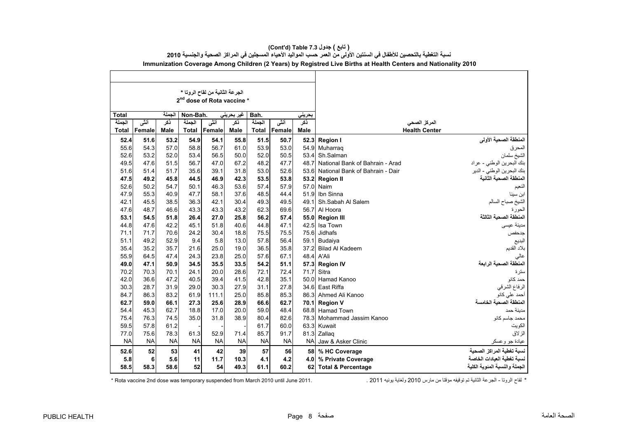|              |               |             |              | الجرعة الثانية من لقاح الروتا *<br>2 <sup>nd</sup> dose of Rota vaccine * |             |           |           |                  |                                 |                               |
|--------------|---------------|-------------|--------------|---------------------------------------------------------------------------|-------------|-----------|-----------|------------------|---------------------------------|-------------------------------|
| Total        |               | الحملة      | Non-Bah.     |                                                                           | غیر بحرینی  | Bah.      |           | بحريني           |                                 |                               |
| الجملة       | أنشى          | ڏکر         | الحملة       | أنشى                                                                      | ذكر         | الحملة    | أنشى      | ڏکر              | المركز الصحى                    |                               |
| <b>Total</b> | <b>Female</b> | <b>Male</b> | <b>Total</b> | Female                                                                    | <b>Male</b> | Total     | Female    | <b>Male</b>      | <b>Health Center</b>            |                               |
| 52.4         | 51.6          | 53.2        | 54.9         | 54.1                                                                      | 55.8        | 51.5      | 50.7      | 52.3             | <b>Region I</b>                 | المنطقة الصحية الأولى         |
| 55.6         | 54.3          | 57.0        | 58.8         | 56.7                                                                      | 61.0        | 53.9      | 53.0      | 54.9             | Muharrag                        | المحرق                        |
| 52.6         | 53.2          | 52.0        | 53.4         | 56.5                                                                      | 50.0        | 52.0      | 50.5      | 53.4             | Sh.Salman                       | الشيخ سلمان                   |
| 49.5         | 47.6          | 51.5        | 56.7         | 47.0                                                                      | 67.2        | 48.2      | 47.7      | 48.7             | National Bank of Bahrain - Arad | بنك البحرين الوطني - عراد     |
| 51.6         | 51.4          | 51.7        | 35.6         | 39.1                                                                      | 31.8        | 53.0      | 52.6      | 53.6             | National Bank of Bahrain - Dair | بنك البحرين الوطني - الدير    |
| 47.5         | 49.2          | 45.8        | 44.5         | 46.9                                                                      | 42.3        | 53.5      | 53.8      |                  | 53.2 Region II                  | المنطقة الصحبة الثانبة        |
| 52.6         | 50.2          | 54.7        | 50.1         | 46.3                                                                      | 53.6        | 57.4      | 57.9      | 57.0             | Naim                            | النعيم                        |
| 47.9         | 55.3          | 40.9        | 47.7         | 58.1                                                                      | 37.6        | 48.5      | 44.4      | 51.9             | Ibn Sinna                       | ابن سينا                      |
| 42.1         | 45.5          | 38.5        | 36.3         | 42.1                                                                      | 30.4        | 49.3      | 49.5      | 49.1             | Sh.Sabah Al Salem               | الشيخ صباح السالم             |
| 47.6         | 48.7          | 46.6        | 43.3         | 43.3                                                                      | 43.2        | 62.3      | 69.6      | 56.7             | Al Hoora                        | الحورة                        |
| 53.1         | 54.5          | 51.8        | 26.4         | 27.0                                                                      | 25.8        | 56.2      | 57.4      | 55.0             | <b>Region III</b>               | لمنطقة الصحية الثالثة         |
| 44.8         | 47.6          | 42.2        | 45.1         | 51.8                                                                      | 40.6        | 44.8      | 47.1      | 42.5             | Isa Town                        | مدينة عيسى                    |
| 71.1         | 71.7          | 70.6        | 24.2         | 30.4                                                                      | 18.8        | 75.5      | 75.5      | 75.6             | Jidhafs                         | جدحفص                         |
| 51.1         | 49.2          | 52.9        | 9.4          | 5.8                                                                       | 13.0        | 57.8      | 56.4      | 59.1             | Budaiya                         | البديع                        |
| 35.4         | 35.2          | 35.7        | 21.6         | 25.0                                                                      | 19.0        | 36.5      | 35.8      | 37.2             | <b>Bilad Al Kadeem</b>          | بلاد القديم                   |
| 55.9         | 64.5          | 47.4        | 24.3         | 23.8                                                                      | 25.0        | 57.6      | 67.1      | 48.4             | A'Ali                           | عالى                          |
| 49.0         | 47.1          | 50.9        | 34.5         | 35.5                                                                      | 33.5        | 54.2      | 51.1      | 57.3             | <b>Region IV</b>                | المنطقة الصحية الرابعة        |
| 70.2         | 70.3          | 70.1        | 24.1         | 20.0                                                                      | 28.6        | 72.1      | 72.4      | 71.7             | Sitra                           | ستر ۃ                         |
| 42.0         | 36.6          | 47.2        | 40.5         | 39.4                                                                      | 41.5        | 42.8      | 35.1      | 50.0             | Hamad Kanoo                     | حمد كانو                      |
| 30.3         | 28.7          | 31.9        | 29.0         | 30.3                                                                      | 27.9        | 31.1      | 27.8      | 34.6             | East Riffa                      | الرفاع الشرقي                 |
| 84.7         | 86.3          | 83.2        | 61.9         | 111.1                                                                     | 25.0        | 85.8      | 85.3      | 863              | Ahmed Ali Kanoo                 | حمد على كانو                  |
| 62.7         | 59.0          | 66.1        | 27.3         | 25.6                                                                      | 28.9        | 66.6      | 62.7      | 70.1             | <b>Region V</b>                 | المنطقة الصحبة الخامسة        |
| 54.4         | 45.3          | 62.7        | 18.8         | 17.0                                                                      | 20.0        | 59.0      | 48.4      |                  | 68.8 Hamad Town                 | مدبنة حمد                     |
| 75.4         | 76.3          | 74.5        | 35.0         | 31.8                                                                      | 38.9        | 80.4      | 82.6      |                  | 78.3 Mohammad Jassim Kanoo      | محمد جاسم كانو                |
| 59.5         | 57.8          | 61.2        |              |                                                                           |             | 61.7      | 60.0      |                  | 63.3 Kuwait                     | الكويت                        |
| 77.0         | 75.6          | 78.3        | 61.3         | 52.9                                                                      | 71.4        | 85.7      | 91.7      | 81.3             | Zallag                          | الزلاق                        |
| <b>NA</b>    | <b>NA</b>     | <b>NA</b>   | <b>NA</b>    | <b>NA</b>                                                                 | <b>NA</b>   | <b>NA</b> | <b>NA</b> | <b>NA</b>        | Jaw & Asker Clinic              | عيادة جو وعسكر                |
| 52.6         | 52            | 53          | 41           | 42                                                                        | 39          | 57        | 56        | 58               | % HC Coverage                   | نسبة تغطية المراكز الصحية     |
| 5.8          | 6             | 5.6         | 11           | 11.7                                                                      | 10.3        | 4.1       | 4.2       | 4.0 <sub>1</sub> | % Private Coverage              | نسبة تغطية العيادات الخاصة    |
| 58.5         | 58.3          | 58.6        | 52           | 54                                                                        | 49.3        | 61.1      | 60.2      |                  | 62 Total & Percentage           | الجملة والنسبة المئوية الكلية |

# **(Cont'd) Table 7.3 جدول ) تابع(**

نسبة التغطية بالتحصين للأطفال في السنتين الأولى من العمر حسب المواليد الأحياء المسجلين في المراكز الصحية والجنسية 2010 **Immunization Coverage Among Children (2 Years) by Registred Live Births at Health Centers and Nationality 2010**

\* Rota vaccine 2nd dose was temporary suspended from March 2010 until June 2011.

\* لقاح الرونا - الجرعة الثانية تم توقيفه مؤقتا من مارس 2010 ولغاية بونيه 2011 .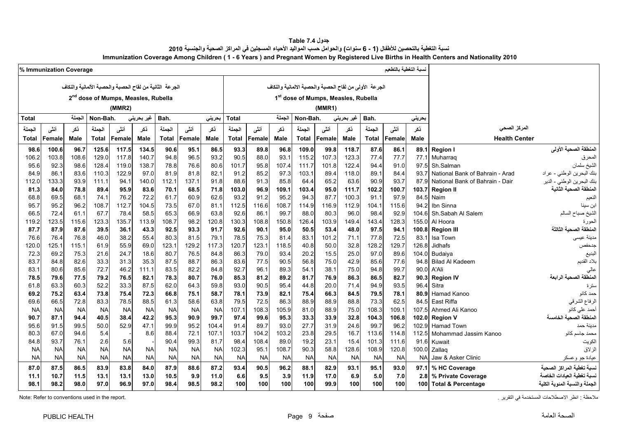| جدول Table 7.4                                                                                                                         |
|----------------------------------------------------------------------------------------------------------------------------------------|
| نسبة التغطية بالتحصين للأطفال (1 - 6 سنوات) والحوامل حسب المواليد الأحياء المسجلين في المراكز الصحية والجنسية 2010                     |
| Immunization Coverage Among Children (1 - 6 Years) and Pregnant Women by Registered Live Births in Health Centers and Nationality 2010 |

<span id="page-9-0"></span>

|              | % Immunization Coverage |           |              |                                                         |            |              |           |           |              |           |           |                                                        |           |            |              | لسبة التغطية بالتطعيم |             |                                 |                               |
|--------------|-------------------------|-----------|--------------|---------------------------------------------------------|------------|--------------|-----------|-----------|--------------|-----------|-----------|--------------------------------------------------------|-----------|------------|--------------|-----------------------|-------------|---------------------------------|-------------------------------|
|              |                         |           |              | الجرعة الثانية من لقاح الحصبة والحصبة الألمانية والنكاف |            |              |           |           |              |           |           | الجرعة الأولى من لقاح الحصبة والحصبة الالمانية والنكاف |           |            |              |                       |             |                                 |                               |
|              |                         |           |              | 2 <sup>nd</sup> dose of Mumps, Measles, Rubella         |            |              |           |           |              |           |           | 1st dose of Mumps, Measles, Rubella                    |           |            |              |                       |             |                                 |                               |
|              |                         |           |              |                                                         |            |              |           |           |              |           |           |                                                        |           |            |              |                       |             |                                 |                               |
|              |                         |           |              | (MMR2)                                                  |            |              |           |           |              |           |           |                                                        | (MMR1)    |            |              |                       |             |                                 |                               |
| <b>Total</b> |                         | الجملة    | Non-Bah.     |                                                         | غیر بحرینی | Bah.         |           | بحريني    | <b>Total</b> |           | لجملة     | Non-Bah.                                               |           | غیر بحرینی | Bah.         |                       | بحريني      |                                 |                               |
| الجملة       | أننى                    | نكر       | الحملة       | أننى                                                    | ذكر        | الجملة       | أننى      | نكر       | الجملة       | أنثى      | ذكر       | الجملة                                                 | أنشى      | ذكر        | الجملة       | أننى                  | ذكر         | المركز الصحى                    |                               |
| Total        | Female                  | Male      | <b>Total</b> | Female                                                  | Male       | <b>Total</b> | Female    | Male      | <b>Total</b> | Female    | Male      | <b>Total</b>                                           | Female    | Male       | <b>Total</b> | Female                | <b>Male</b> | <b>Health Center</b>            |                               |
| 98.6         | 100.6                   | 96.7      | 125.6        | 117.5                                                   | 134.5      | 90.6         | 95.1      | 86.5      | 93.3         | 89.8      | 96.8      | 109.0                                                  | 99.8      | 118.7      | 87.6         | 86.1                  | 89.1        | <b>Region I</b>                 | المنطقة الصحية الأولى         |
| 106.2        | 103.8                   | 108.6     | 129.0        | 117.8                                                   | 140.7      | 94.8         | 96.5      | 93.2      | 90.5         | 88.0      | 93.1      | 115.2                                                  | 107.3     | 123.3      | 77.4         | 77.7                  | 77.1        | Muharraq                        | المحرق                        |
| 95.6         | 92.3                    | 98.6      | 128.4        | 119.0                                                   | 138.7      | 78.8         | 76.6      | 80.6      | 101.7        | 95.8      | 107.4     | 111.7                                                  | 101.8     | 122.4      | 94.4         | 91.0                  | 97.5        | Sh.Salman                       | ۔<br>الشيخ سلمان              |
| 84.9         | 86.7                    | 83.6      | 110.3        | 122.9                                                   | 97.0       | 81.9         | 81.8      | 82.1      | 91.2         | 85.2      | 97.3      | 103.1                                                  | 89.4      | 118.0      | 89.1         | 84.4                  | 93.7        | National Bank of Bahrain - Arad | بنك البحرين الوطني - عراد     |
| 112.0        | 133.3                   | 93.9      | 111.1        | 94.1                                                    | 140.0      | 112.1        | 137.1     | 91.8      | 88.6         | 91.3      | 85.8      | 64.4                                                   | 65.2      | 63.6       | 90.9         | 93.7                  | 87.9        | National Bank of Bahrain - Dair | بنك البحرين الوطني - الدير    |
| 81.3         | 84.0                    | 78.8      | 89.4         | 95.9                                                    | 83.6       | 70.1         | 68.5      | 71.8      | 103.0        | 96.9      | 109.1     | 103.4                                                  | 95.0      | 111.7      | 102.2        | 100.7                 | 103.7       | <b>Region II</b>                | المنطقة الصحية الثانية        |
| 68.8         | 69.5                    | 68.1      | 74.1         | 76.2                                                    | 72.2       | 61.7         | 60.9      | 62.6      | 93.2         | 91.2      | 95.2      | 94.3                                                   | 87.7      | 100.3      | 91.1         | 97.9                  | 84.5        | Naim                            | النعيم                        |
| 95.7         | 95.2                    | 96.2      | 108.7        | 112.7                                                   | 104.5      | 73.5         | 67.0      | 81.1      | 112.5        | 116.6     | 108.7     | 114.9                                                  | 116.9     | 112.9      | 104.1        | 115.6                 | 94.2        | Ibn Sinna                       | ابن سينا                      |
| 66.5         | 72.4                    | 61.1      | 67.7         | 78.4                                                    | 58.5       | 65.3         | 66.9      | 63.8      | 92.6         | 86.1      | 99.7      | 88.0                                                   | 80.3      | 96.0       | 98.4         | 92.9                  | 104.6       | Sh.Sabah Al Salem               | الشيخ صباح السالم             |
| 119.2        | 123.5                   | 115.6     | 123.3        | 135.7                                                   | 113.9      | 108.7        | 98.2      | 120.8     | 130.3        | 108.8     | 150.8     | 126.4                                                  | 103.9     | 149.4      | 143.4        | 128.3                 | 155.0       | Al Hoora                        | الحورة                        |
| 87.7         | 87.9                    | 87.6      | 39.5         | 36.1                                                    | 43.3       | 92.5         | 93.3      | 91.7      | 92.6         | 90.1      | 95.0      | 50.5                                                   | 53.4      | 48.0       | 97.5         | 94.1                  | 100.8       | <b>Region III</b>               | المنطقة الصحية الثالثة        |
| 76.6         | 76.4                    | 76.8      | 46.0         | 38.2                                                    | 55.4       | 80.3         | 81.5      | 79.1      | 78.5         | 75.3      | 81.4      | 83.1                                                   | 101.2     | 71.1       | 77.8         | 72.5                  | 83.1        | Isa Town                        | مدينة عيسى                    |
| 120.0        | 125.1                   | 115.1     | 61.9         | 55.9                                                    | 69.0       | 123.1        | 129.2     | 117.3     | 120.7        | 123.1     | 118.5     | 40.8                                                   | 50.0      | 32.8       | 128.2        | 129.7                 | 126.8       | Jidhafs                         | جدحفص                         |
| 72.3         | 69.2                    | 75.3      | 21.6         | 24.7                                                    | 18.6       | 80.7         | 76.5      | 84.8      | 86.3         | 79.0      | 93.4      | 20.2                                                   | 15.5      | 25.0       | 97.0         | 89.6                  | 104.0       | <b>Budaiva</b>                  | البديع                        |
| 83.7         | 84.8                    | 82.6      | 33.3         | 31.3                                                    | 35.3       | 87.5         | 88.7      | 86.3      | 83.6         | 77.5      | 90.5      | 56.8                                                   | 75.0      | 42.9       | 85.6         | 77.6                  | 94.8        | <b>Bilad Al Kadeem</b>          | بلاد القديم                   |
| 83.1         | 80.6                    | 85.6      | 72.7         | 46.2                                                    | 111.1      | 83.5         | 82.2      | 84.8      | 92.7         | 96.1      | 89.3      | 54.1                                                   | 38.1      | 75.0       | 94.8         | 99.7                  | 90.0        | A'Ali                           |                               |
| 78.5         | 79.6                    | 77.5      | 79.2         | 76.5                                                    | 82.1       | 78.3         | 80.7      | 76.0      | 85.3         | 81.2      | 89.2      | 81.7                                                   | 76.9      | 86.3       | 86.5         | 82.7                  | 90.3        | <b>Region IV</b>                | المنطقة الصحبة الر ابعة       |
| 61.8         | 63.3                    | 60.3      | 52.2         | 33.3                                                    | 87.5       | 62.0         | 64.3      | 59.8      | 93.0         | 90.5      | 95.4      | 44.8                                                   | 20.0      | 71.4       | 94.9         | 93.5                  | 96.4        | Sitra                           | سترة                          |
| 69.2         | 75.2                    | 63.4      | 73.8         | 75.4                                                    | 72.3       | 66.8         | 75.1      | 58.7      | 78.1         | 73.9      | 82.1      | 75.4                                                   | 66.3      | 84.5       | 79.5         | 78.1                  | 80.9        | Hamad Kanoo                     | حمد كانو                      |
| 69.6         | 66.5                    | 72.8      | 83.3         | 78.5                                                    | 88.5       | 61.3         | 58.6      | 63.8      | 79.5         | 72.5      | 86.3      | 88.9                                                   | 88.9      | 88.8       | 73.3         | 62.5                  | 84.5        | East Riffa                      | الرفاع الشرقي                 |
| <b>NA</b>    | <b>NA</b>               | <b>NA</b> | <b>NA</b>    | <b>NA</b>                                               | <b>NA</b>  | <b>NA</b>    | <b>NA</b> | <b>NA</b> | 107.1        | 108.3     | 105.9     | 81.0                                                   | 88.9      | 75.0       | 108.3        | 109.1                 | 107.5       | Ahmed Ali Kanoo                 | أحمد على كانو                 |
| 90.7         | 87.1                    | 94.4      | 40.5         | 38.4                                                    | 42.2       | 95.3         | 90.9      | 99.7      | 97.4         | 99.6      | 95.3      | 33.3                                                   | 33.9      | 32.8       | 104.3        | 106.8                 | 102.0       | <b>Region V</b>                 | المنطقة الصحية الخامسة        |
| 95.6         | 91.5                    | 99.5      | 50.0         | 52.9                                                    | 47.1       | 99.9         | 95.2      | 104.4     | 91.4         | 89.7      | 93.0      | 27.7                                                   | 31.9      | 24.6       | 99.7         | 96.2                  | 102.9       | <b>Hamad Town</b>               | مدينة حمد                     |
| 80.3         | 67.0                    | 94.6      | 5.4          |                                                         | 8.6        | 88.4         | 72.1      | 107.1     | 103.7        | 104.2     | 103.2     | 23.8                                                   | 29.5      | 16.7       | 113.6        | 114.8                 |             | 112.5 Mohammad Jassim Kanoo     | محمد جاسم كانو                |
| 84.8         | 93.7                    | 76.1      | 2.6          | 5.6                                                     |            | 90.4         | 99.3      | 81.7      | 98.4         | 108.4     | 89.0      | 19.2                                                   | 23.1      | 15.4       | 101.3        | 111.6                 | 91.6        | Kuwait                          | الكويت                        |
| <b>NA</b>    | <b>NA</b>               | <b>NA</b> | <b>NA</b>    | <b>NA</b>                                               | <b>NA</b>  | <b>NA</b>    | <b>NA</b> | <b>NA</b> | 102.3        | 95.1      | 108.7     | 90.3                                                   | 58.8      | 128.6      | 108.9        | 120.8                 | 100.0       | Zallaq                          | الزلاق                        |
| <b>NA</b>    | <b>NA</b>               | <b>NA</b> | <b>NA</b>    | <b>NA</b>                                               | <b>NA</b>  | <b>NA</b>    | <b>NA</b> | <b>NA</b> | <b>NA</b>    | <b>NA</b> | <b>NA</b> | <b>NA</b>                                              | <b>NA</b> | <b>NA</b>  | <b>NA</b>    | <b>NA</b>             | <b>NA</b>   | Jaw & Asker Clinic              | عيادة جو وعسكر                |
| 87.0         | 87.5                    | 86.5      | 83.9         | 83.8                                                    | 84.0       | 87.9         | 88.6      | 87.2      | 93.4         | 90.5      | 96.2      | 88.1                                                   | 82.9      | 93.1       | 95.1         | 93.0                  | 97.1        | % HC Coverage                   | نسبة تغطية المراكز الصحية     |
| 11.1         | 10.7                    | 11.5      | 13.1         | 13.1                                                    | 13.0       | 10.5         | 9.9       | 11.0      | 6.6          | 9.5       | 3.9       | 11.9                                                   | 17.0      | 6.9        | 5.0          | 7.0                   | 2.8         | % Private Coverage              | نسبة تغطية العيادات الخاصة    |
| 98.1         | 98.2                    | 98.0      | 97.0         | 96.9                                                    | 97.0       | 98.4         | 98.5      | 98.2      | 100          | 100       | 100       | 100                                                    | 99.9      | 100        | 100          | 100                   |             | 100 Total & Percentage          | الجملة والنسبة المنوية الكلية |
|              |                         |           |              |                                                         |            |              |           |           |              |           |           |                                                        |           |            |              |                       |             |                                 |                               |

.<br>ملاحظة : انظر الاصطلاحات المستخدمة في التقرير في التقرير . التقرير المستخدمة المستخدمة المستخدمة المستخدمة الص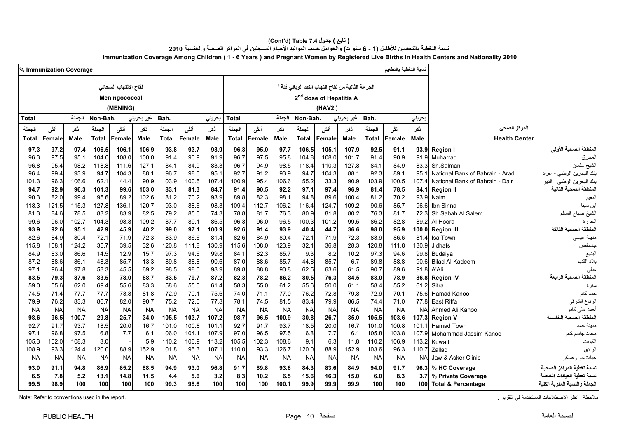| ( تابع ) جدول 7.4 (Cont'd) Table)                                                                                                      |
|----------------------------------------------------------------------------------------------------------------------------------------|
| نسبة التغطية بالتحصين للأطفال (1 - 6 سنوات) والحوامل حسب المواليد الأحياء المسجلين في المراكز الصحية والجنسية 2010                     |
| Immunization Coverage Among Children (1 - 6 Years) and Pregnant Women by Registered Live Births in Health Centers and Nationality 2010 |

|                | % Immunization Coverage |                |              |                       |              |                |               |                |                |               |                |                                                   |                                     |               | لسبة التغطية بالتطعيم |               |                |                                 |                                         |
|----------------|-------------------------|----------------|--------------|-----------------------|--------------|----------------|---------------|----------------|----------------|---------------|----------------|---------------------------------------------------|-------------------------------------|---------------|-----------------------|---------------|----------------|---------------------------------|-----------------------------------------|
|                |                         |                |              | لقاح الالتهاب السحائى |              |                |               |                |                |               |                | الجرعة الثانية من لقاح التهاب الكبد الوبائي فئة أ |                                     |               |                       |               |                |                                 |                                         |
|                |                         |                |              | Meningococcal         |              |                |               |                |                |               |                |                                                   | 2 <sup>nd</sup> dose of Hepatitis A |               |                       |               |                |                                 |                                         |
|                |                         |                |              | (MENING)              |              |                |               |                |                |               |                |                                                   | (HAV2)                              |               |                       |               |                |                                 |                                         |
|                |                         | الجملة         |              |                       |              |                |               |                |                |               |                |                                                   |                                     |               |                       |               |                |                                 |                                         |
| Total          |                         |                | Non-Bah.     |                       | غير بحريني   | Bah.           |               | بحريني         | Total          |               | الجملة         | Non-Bah.                                          |                                     | غير بحريني    | Bah.                  |               | بحريني         |                                 |                                         |
| الجملة         | أنشى                    | ذكر            | الجملة       | أنشى                  | ذكر          | الجملة         | أننى          | ذكر            | الجملة         | أنشى          | ذكر            | الجملة                                            | أنشى                                | ذكر           | الجملة                | أنشى          | ذكر            | المركز الصحى                    |                                         |
| Total          | Female                  | Male           | <b>Total</b> | Female                | Male         | <b>Total</b>   | Female        | Male           | Total          | Female        | Male           | <b>Total</b>                                      | Female                              | Male          | <b>Total</b>          | Female        | <b>Male</b>    | <b>Health Center</b>            |                                         |
| 97.3           | 97.2                    | 97.4           | 106.5        | 106.1                 | 106.9        | 93.8           | 93.7          | 93.9           | 96.3           | 95.0          | 97.7           | 106.5                                             | 105.1                               | 107.9         | 92.5                  | 91.1          | 93.9           | <b>Region I</b>                 | المنطقة الصحية الأولى                   |
| 96.3           | 97.5                    | 95.1           | 104.0        | 108.0                 | 100.0        | 91.4           | 90.9          | 91.9           | 96.7           | 97.5          | 95.8           | 104.8                                             | 108.0                               | 101.7         | 91.4                  | 90.9          | 91.9           | Muharrag                        | لمحرق                                   |
| 96.8           | 95.4                    | 98.2           | 118.8        | 111.6                 | 127.1        | 84.1           | 84.9          | 83.3           | 96.7           | 94.9          | 98.5           | 118.4                                             | 110.3                               | 127.8         | 84.1                  | 84.9          | 83.3           | Sh.Salman                       | الشيخ سلمان                             |
| 96.4           | 99.4                    | 93.9           | 94.7         | 104.3                 | 88.1         | 96.7           | 98.6          | 95.            | 92.7           | 91.2          | 93.9           | 94.7                                              | 104.3                               | 88.1          | 92.3                  | 89.1          | 95.1           | National Bank of Bahrain - Arad | بنك البحرين الوطني - عراد               |
| 101.3          | 96.3                    | 106.6          | 62.1         | 44.4                  | 90.9         | 103.9          | 100.5         | 107.4          | 100.9          | 95.4          | 106.6          | 55.2                                              | 33.3                                | 90.9          | 103.9                 | 100.5         | 107.4          | National Bank of Bahrain - Dair | بنك البحرين الوطني - الدير              |
| 94.7           | 92.9                    | 96.3           | 101.3        | 99.6                  | 103.0        | 83.1           | 81.3          | 84.7           | 91.4           | 90.5          | 92.2           | 97.1                                              | 97.4                                | 96.9          | 81.4                  | 78.5          | 84.1           | <b>Region II</b>                | المنطقة الصحية الثانية                  |
| 90.3           | 82.0                    | 99.4           | 95.6         | 89.2                  | 102.6        | 81.2           | 70.2          | 93.9           | 89.8           | 82.3          | 98.1           | 94.8                                              | 89.6                                | 100.4         | 81.2                  | 70.2          | 93.9           | Naim                            | النعيم                                  |
| 118.3          | 121.5                   | 115.3          | 127.8        | 136.1                 | 120.7        | 93.0           | 88.6          | 98.3           | 109.4          | 112.7         | 106.2          | 116.4                                             | 124.7                               | 109.2         | 90.6                  | 85.7          | 96.6           | Ibn Sinna                       | ابن سينا                                |
| 81.3           | 84.6                    | 78.5           | 83.2         | 83.9                  | 82.5         | 79.2           | 85.6          | 74.3           | 78.8           | 81.7          | 76.3           | 80.9                                              | 81.8                                | 80.2          | 76.3                  | 81.7          | 72.3           | Sh.Sabah Al Salem               | الشيخ صباح السالم                       |
| 99.6           | 96.0                    | 102.7          | 104.3        | 98.8                  | 109.2        | 87.7           | 89.1          | 86.5           | 96.3           | 96.0          | 96.5           | 100.3                                             | 101.2                               | 99.5          | 86.2                  | 82.8          | 89.2           | Al Hoora                        | الحورة                                  |
| 93.9           | 92.6                    | 95.1           | 42.9         | 45.9                  | 40.2         | 99.0           | 97.1          | 100.9          | 92.6           | 91.4          | 93.9           | 40.4                                              | 44.7                                | 36.6          | 98.0                  | 95.9          | 100.0          | <b>Region III</b>               | المنطقة الصحبة الثالثة                  |
| 82.6           | 84.9                    | 80.4           | 72.1         | 71.9                  | 72.3         | 83.9           | 86.6          | 81.4           | 82.6           | 84.9          | 80.4           | 72.1                                              | 71.9                                | 72.3          | 83.9                  | 86.6          | 81.4           | Isa Town                        | مدينة عيسى                              |
| 115.8          | 108.1                   | 124.2          | 35.7         | 39.5                  | 32.6         | 120.8          | 111.8         | 130.9          | 115.6          | 108.0         | 123.9          | 32.1                                              | 36.8                                | 28.3          | 120.8                 | 111.8         | 130.9          | Jidhafs                         | جدحفص                                   |
| 84.9           | 83.0                    | 86.6           | 14.5         | 12.9                  | 15.7         | 97.3           | 94.6          | 99.8           | 84.1           | 82.3          | 85.7           | 9.3                                               | 8.2                                 | 10.2          | 97.3                  | 94.6          | 99.8           | Budaiya                         | لبديع                                   |
| 87.2           | 88.6                    | 86.1           | 48.3         | 85.7                  | 13.3         | 89.8           | 88.8          | 90.6           | 87.0           | 88.6          | 85.7           | 44.8                                              | 85.7                                | 6.7           | 89.8                  | 88.8          | 90.6           | <b>Bilad Al Kadeem</b>          | بلاد القديم                             |
| 97.1           | 96.4                    | 97.8           | 58.3         | 45.5                  | 69.2         | 98.5           | 98.0          | 98.9           | 89.8           | 88.8          | 90.8           | 62.5                                              | 63.6                                | 61.5          | 90.7                  | 89.6          | 91.8           | A'Ali                           |                                         |
| 83.5           | 79.3                    | 87.6           | 83.5         | 78.0                  | 88.7         | 83.5           | 79.7          | 87.2           | 82.3           | 78.2          | 86.2           | 80.5                                              | 76.3                                | 84.5          | 83.0                  | 78.9          | 86.8           | <b>Region IV</b>                | المنطقة الصحية الرابعة                  |
| 59.0           | 55.6                    | 62.0           | 69.4         | 55.6                  | 83.3         | 58.6           | 55.6          | 61.4           | 58.3           | 55.0          | 61.2           | 55.6                                              | 50.0                                | 61.1          | 58.4                  | 55.2          | 61.2           | Sitra                           | سترة                                    |
| 74.5           | 71.4                    | 77.7           | 77.7         | 73.8                  | 81.8         | 72.9           | 70.1          | 75.6           | 74.0           | 71.1          | 77.0           | 76.2                                              | 72.8                                | 79.8          | 72.9                  | 70.1          | 75.6           | Hamad Kanoo                     | حمد كانو                                |
| 79.9           | 76.2                    | 83.3           | 86.7         | 82.0                  | 90.7         | 75.2           | 72.6          | 77.8           | 78.1           | 74.5          | 81.5           | 83.4                                              | 79.9                                | 86.5          | 74.4                  | 71.0          | 77.8           | East Riffa                      | الرفاع الشرقي                           |
| <b>NA</b>      | <b>NA</b>               | <b>NA</b>      | <b>NA</b>    | <b>NA</b>             | <b>NA</b>    | <b>NA</b>      | <b>NA</b>     | <b>NA</b>      | <b>NA</b>      | <b>NA</b>     | <b>NA</b>      | <b>NA</b>                                         | <b>NA</b>                           | <b>NA</b>     | <b>NA</b>             | <b>NA</b>     | <b>NA</b>      | Ahmed Ali Kanoo                 | أحمد على كانو<br>المنطقة الصحية الخامسة |
| 98.6           | 96.5                    | 100.7          | 29.8         | 25.7                  | 34.0         | 105.5          | 103.7         | 107.2          | 98.7           | 96.5          | 100.9          | 30.8                                              | 26.7                                | 35.0          | 105.5                 | 103.6         | 107.3          | <b>Region V</b>                 |                                         |
| 92.7           | 91.7                    | 93.7           | 18.5         | 20.0                  | 16.7         | 101.0          | 100.8         | 101.1          | 92.7           | 91.7          | 93.7           | 18.5                                              | 20.0                                | 16.7          | 101.0                 | 100.8         | 101.1          | <b>Hamad Town</b>               | مدينة حمد                               |
| 97.1           | 96.8                    | 97.5           | 6.8          | 7.7                   | 6.1          | 106.0          | 104.1         | 107.9          | 97.0           | 96.5          | 97.5           | 6.8                                               | 7.7                                 | 6.1           | 105.8                 | 103.8         |                | 107.9 Mohammad Jassim Kanoo     | محمد جاسم كانو                          |
| 105.3<br>108.9 | 102.0<br>93.3           | 108.3<br>124.4 | 3.0<br>120.0 | 88.9                  | 5.9<br>152.9 | 110.2<br>101.8 | 106.9<br>96.3 | 113.2<br>107.1 | 105.5<br>110.0 | 102.3<br>93.3 | 108.6<br>126.7 | 9.1<br>120.0                                      | 6.3<br>88.9                         | 11.8<br>152.9 | 110.2<br>103.6        | 106.9<br>96.3 | 113.2<br>110.7 | Kuwait                          | لكويت<br>أزلاق                          |
| <b>NA</b>      | <b>NA</b>               | <b>NA</b>      | NA           | <b>NA</b>             | <b>NA</b>    | <b>NA</b>      | NA            | <b>NA</b>      | <b>NA</b>      | <b>NA</b>     | <b>NA</b>      | <b>NA</b>                                         | <b>NA</b>                           | NA            | <b>NA</b>             | <b>NA</b>     | <b>NA</b>      | Zallag                          |                                         |
|                |                         |                |              |                       |              |                |               |                |                |               |                |                                                   |                                     |               |                       |               |                | Jaw & Asker Clinic              | عيادة جو وعسكر                          |
| 93.0           | 91.1                    | 94.8           | 86.9         | 85.2                  | 88.5         | 94.9           | 93.0          | 96.8           | 91.7           | 89.8          | 93.6           | 84.3                                              | 83.6                                | 84.9          | 94.0                  | 91.7          | 96.3           | % HC Coverage                   | لسبة تغطية المر اكز الصحية              |
| 6.5            | 7.8                     | 5.2            | 13.1         | 14.8                  | 11.5         | 4.4            | 5.6           | 3.2            | 8.3            | 10.2          | 6.5            | 15.6                                              | 16.3                                | 15.0          | 6.0                   | 8.3           | 3.7            | % Private Coverage              | نسبة تغطية العيادات الخاصا              |
| 99.5           | 98.9                    | 100            | 100          | 100                   | 100          | 99.3           | 98.6          | 100            | 100            | 100           | 100.1          | 99.9                                              | 99.9                                | 99.9          | 100                   | 100           | 100            | <b>Total &amp; Percentage</b>   | الجملة والنسبة المئوية الكلية           |

Note: Refer to conventions used in the report. . التقرير في المستخدمة االصطالحات انظر : مالحظة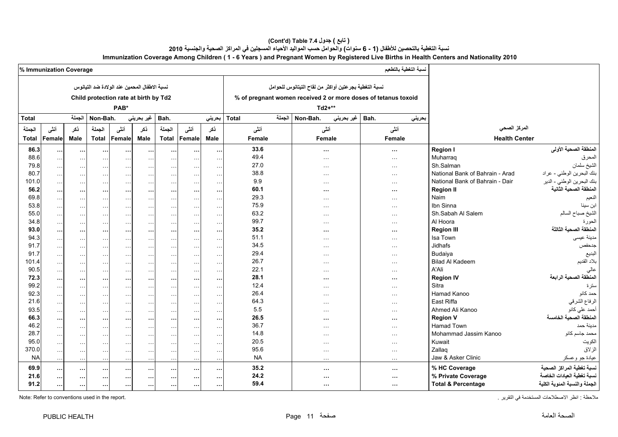### **(Cont'd) Table 7.4 جدول ) تابع(**  نسبة التغطية بالتحصين للأطفال (1 - 6 سنوات) والحوامل حسب المواليد الأحياء المسجلين في المراكز الصحية والجنسية 2010 **Immunization Coverage Among Children ( 1 - 6 Years ) and Pregnant Women by Registered Live Births in Health Centers and Nationality 2010**

|              | % Immunization Coverage |                      |                      |                                              |                      |                      |               |               |                                                      |        |                                                        |            | نسبة التغطية بالتطعيم                                          |                                 |                               |
|--------------|-------------------------|----------------------|----------------------|----------------------------------------------|----------------------|----------------------|---------------|---------------|------------------------------------------------------|--------|--------------------------------------------------------|------------|----------------------------------------------------------------|---------------------------------|-------------------------------|
|              |                         |                      |                      | نسبة الإطفال المحمين عند الولادة ضد التيانوس |                      |                      |               |               |                                                      |        | نسبة التغطية بجر عتين أواكثر من لقاح التيتانوس للحوامل |            |                                                                |                                 |                               |
|              |                         |                      |                      | Child protection rate at birth by Td2        |                      |                      |               |               |                                                      |        |                                                        |            | % of pregnant women received 2 or more doses of tetanus toxoid |                                 |                               |
|              |                         |                      |                      | PAB*                                         |                      |                      |               |               |                                                      |        | $Td2+**$                                               |            |                                                                |                                 |                               |
| <b>Total</b> |                         | الجملة               | Non-Bah.             |                                              | غير بحريني           | Bah.                 |               | بحريني        | <b>Total</b>                                         | الجملة | Non-Bah.                                               | غير بحريني | Bah.<br>بحرينى                                                 |                                 |                               |
|              |                         |                      |                      |                                              |                      |                      |               |               |                                                      |        |                                                        |            |                                                                | المركز الصحى                    |                               |
| الجملة       | أنشى                    | ذكر                  | الجملة               | أنشى                                         | ذكر                  | الجملة               | أننى          | ذكر           | أنثى                                                 |        | أنشى                                                   |            | أنشى                                                           |                                 |                               |
| <b>Total</b> | Female                  | <b>Male</b>          | <b>Total</b>         | Female                                       | <b>Male</b>          | <b>Total</b>         | Female        | <b>Male</b>   | <b>Female</b>                                        |        | Female                                                 |            | Female                                                         | <b>Health Center</b>            |                               |
| 86.3         | $\cdots$                | $\cdots$             | $\cdots$             | $\cdots$                                     | $\cdots$             | $\cdots$             | $\cdots$      | $\cdots$      | 33.6                                                 |        | $\sim$ $\sim$                                          |            | $\cdots$                                                       | <b>Region I</b>                 | المنطقة الصحية الأولى         |
| 88.6         | $\sim$ $\sim$           | $\sim$ $\sim$        | $\sim$ $\sim$        | $\sim$ $\sim$ $\sim$                         | $\ddotsc$            | $\sim$ $\sim$ $\sim$ | $\sim$        | $\sim$ $\sim$ | 49.4                                                 |        | $\sim$ $\sim$ $\sim$                                   |            | $\sim$ $\sim$ $\sim$                                           | Muharraq                        | المحرق                        |
| 79.8         | $\sim$ $\sim$           | $\sim$ $\sim$        | $\sim$ $\sim$        | $\ldots$                                     | $\sim$ $\sim$        | $\sim$ $\sim$        | $\sim$ $\sim$ | $\sim$        | 27.0                                                 |        | $\cdots$                                               |            | $\sim$ $\sim$                                                  | Sh.Salman                       | الشيخ سلمان                   |
| 80.7         | $\sim$                  | $\ldots$             | $\sim$ $\sim$        | $\cdots$                                     | $\sim$ $\sim$        | $\sim 100$           | $\sim$ $\sim$ | $\ddotsc$     | 38.8                                                 |        | $\sim$ $\sim$ $\sim$                                   |            | $\sim$ $\sim$                                                  | National Bank of Bahrain - Arad | بنك البحرين الوطني - عراد     |
| 101.0        | $\sim$ $\sim$           | $\sim$ $\sim$        | $\sim$ $\sim$        | $\sim$ $\sim$                                | $\sim$ $\sim$        | $\sim$ $\sim$        | $\sim$ $\sim$ | $\sim$ $\sim$ | 9.9                                                  |        | $\sim$ $\sim$ $\sim$                                   |            | $\sim$ $\sim$                                                  | National Bank of Bahrain - Dair | بنك البحرين الوطني - الدير    |
| 56.2         | $\cdots$                | $\cdots$             | $\cdots$             | $\cdots$                                     | $\sim$ $\sim$        | $\cdots$             | $\sim$        | $\ddotsc$     | 60.1                                                 |        | $\cdots$                                               |            | $\cdots$                                                       | <b>Region II</b>                | المنطقة الصحية الثانية        |
| 69.8         | $\sim$                  | $\sim$ $\sim$        | $\sim$ $\sim$        | $\sim$ $\sim$                                | $\sim$ $\sim$        | $\sim$ $\sim$        | $\sim$ $\sim$ | $\sim$ $\sim$ | 29.3                                                 |        | $\cdots$                                               |            | $\sim$ $\sim$                                                  | Naim                            | النعيم                        |
| 53.8         | $\sim$ .                | $\sim$ .             | $\sim$ $\sim$        | $\ldots$                                     | $\ddotsc$            | $\cdots$             | $\sim$ $\sim$ | $\ldots$      | 75.9                                                 |        | $\sim$ $\sim$ $\sim$                                   |            | $\sim$ $\sim$                                                  | Ibn Sinna                       | ابن سينا                      |
| 55.0         | $\sim$ $\sim$           | $\sim$ $\sim$        | $\sim$ $\sim$ $\sim$ | $\sim$ $\sim$ $\sim$                         | $\sim$ $\sim$ $\sim$ | $\sim$ $\sim$        | $\sim$ $\sim$ | $\sim$ $\sim$ | 63.2                                                 |        | $\sim$ $\sim$ $\sim$                                   |            | $\sim$ $\sim$ $\sim$                                           | Sh.Sabah Al Salem               | الشيخ صباح السالم             |
| 34.8         | $\sim$                  | $\sim$ $\sim$ $\sim$ | $\sim$ $\sim$        | $\sim$ $\sim$                                | $\sim$ $\sim$        | $\sim$ $\sim$ $\sim$ | $\sim$ $\sim$ | $\sim$ $\sim$ | 99.7<br>$\sim$ $\sim$ $\sim$<br>$\sim$ $\sim$ $\sim$ |        |                                                        | Al Hoora   | الحورة                                                         |                                 |                               |
| 93.0         | $\cdots$                | $\cdots$             | $\sim$ $\sim$        | $\cdots$                                     | $\cdots$             | $\sim$ $\sim$        | $\sim$ $\sim$ | $\cdots$      | 35.2                                                 |        | $\cdots$                                               |            | $\cdots$                                                       | <b>Region III</b>               | المنطقة الصحية الثالثة        |
| 94.3         | $\sim$ $\sim$           | $\sim$ $\sim$        | $\sim$ $\sim$ $\sim$ | $\sim$ $\sim$ $\sim$                         | $\cdots$             | $\sim$ $\sim$        | $\sim$        | $\sim$        | 51.1                                                 |        | $\sim$ $\sim$ $\sim$                                   |            | $\sim$ $\sim$                                                  | Isa Town                        | مدينة عيسى                    |
| 91.7         | $\sim$                  | $\sim$ $\sim$        | $\sim$               | $\sim$ $\sim$                                | $\sim$ $\sim$        | $\sim$ $\sim$        | $\sim$        | $\sim$        | 34.5                                                 |        | $\sim$ $\sim$ $\sim$                                   |            | $\sim$ $\sim$                                                  | <b>Jidhafs</b>                  | جدحفص                         |
| 91.7         | $\sim$                  | $\sim$ $\sim$        | $\sim$ $\sim$        | $\sim$ $\sim$                                | $\sim$ $\sim$        | $\ldots$             | $\sim$        | $\sim$        | 29.4                                                 |        | $\sim$ $\sim$ $\sim$                                   |            | $\sim$ $\sim$ $\sim$                                           | Budaiya                         | البديع                        |
| 101.4        | $\sim$ $\sim$           | $\sim$ $\sim$ $\sim$ | $\sim$ $\sim$ $\sim$ | $\sim$ $\sim$                                | $\sim$               | $\sim$ $\sim$ $\sim$ | $\sim$ $\sim$ | $\sim$ $\sim$ | 26.7                                                 |        | $\sim$ $\sim$ $\sim$                                   |            | $\sim$ $\sim$ $\sim$                                           | <b>Bilad Al Kadeem</b>          | بلاد القديم                   |
| 90.5         | $\sim$ $\sim$           | $\sim$ $\sim$        | $\sim$ $\sim$ $\sim$ | $\ldots$                                     | $\ldots$             | $\sim$ $\sim$ $\sim$ | $\sim$        | $\sim$        | 22.1                                                 |        | $\sim$ $\sim$ $\sim$                                   |            | $\sim$ $\sim$ $\sim$                                           | A'Ali                           | عالى                          |
| 72.3         | $\cdots$                | $\cdots$             | $\cdots$             | $\cdots$                                     | $\cdots$             | $\cdots$             | $\sim$        | $\cdots$      | 28.1                                                 |        |                                                        |            | $\cdots$                                                       | <b>Region IV</b>                | المنطقة الصحية الرابعة        |
| 99.2         | $\ddotsc$               | $\sim$ $\sim$        | $\sim$ $\sim$        | $\sim$ $\sim$                                | $\sim$ $\sim$        | $\cdots$             | $\sim$        | $\ddotsc$     | 12.4                                                 |        | $\cdots$                                               |            | $\sim$ $\sim$                                                  | Sitra                           | ستر ۃ                         |
| 92.3         | $\sim$                  | $\sim$ $\sim$        | $\sim$               | $\ldots$                                     | $\sim$ $\sim$        | $\cdots$             | $\sim$        | $\sim$        | 26.4                                                 |        | $\sim$ $\sim$ $\sim$                                   |            | $\sim$ $\sim$ $\sim$                                           | Hamad Kanoo                     | حمد كانو                      |
| 21.6         | $\ddotsc$               | $\sim$ $\sim$        | $\sim$ $\sim$        | $\sim$ $\sim$                                | $\ddotsc$            | $\sim$ $\sim$ $\sim$ | $\sim$ $\sim$ | $\sim$        | 64.3                                                 |        | $\ddotsc$                                              |            | $\sim 100$                                                     | East Riffa                      | الرفاع الشرقي                 |
| 93.5         | $\sim$                  | $\sim$ .             | $\sim$ $\sim$        | $\sim$ $\sim$                                | $\cdots$             | $\sim$ $\sim$        | $\sim$ $\sim$ | $\ddotsc$     | 5.5                                                  |        | $\sim$ $\sim$ $\sim$                                   |            | $\sim$ $\sim$                                                  | Ahmed Ali Kanoo                 | أحمد على كانو                 |
| 66.3         | $\ddotsc$               | $\cdots$             | $\cdots$             | $\cdots$                                     | $\sim$ $\sim$        | $\sim$ $\sim$        | $\sim$ $\sim$ | $\cdots$      | 26.5                                                 |        | $\cdots$                                               |            | $\cdots$                                                       | <b>Region V</b>                 | المنطقة الصحبة الخامسة        |
| 46.2         | $\sim$ $\sim$           | $\sim$ $\sim$        | $\sim$ $\sim$        | $\sim$ $\sim$                                | $\ddotsc$            | $\cdots$             | $\sim$ $\sim$ | $\sim$ $\sim$ | 36.7                                                 |        | $\cdots$                                               |            | $\cdots$                                                       | <b>Hamad Town</b>               | مدينة حمد                     |
| 28.7         | $\sim$                  | $\sim$ $\sim$        | $\sim$ $\sim$ $\sim$ | $\sim$ $\sim$                                | $\sim$ $\sim$        | $\sim$ $\sim$        | $\sim$ $\sim$ | $\sim$        | 14.8                                                 |        | $\sim$ $\sim$ $\sim$                                   |            | $\sim$ $\sim$ $\sim$                                           | Mohammad Jassim Kanoo           | محمد جاسم كانو                |
| 95.0         | $\sim$ $\sim$           | $\sim$ $\sim$        | $\sim$ $\sim$        | $\sim$ $\sim$                                | $\sim$ $\sim$        | $\sim$ $\sim$        | $\sim$        | $\sim$        | 20.5                                                 |        | $\sim$ $\sim$ $\sim$                                   |            | $\sim$ $\sim$ $\sim$                                           | Kuwait                          | الكويت                        |
| 370.0        | $\sim$ $\sim$           | $\sim$ $\sim$        | $\sim$ $\sim$        | $\sim$ $\sim$                                | $\sim$               | $\sim$ $\sim$        | $\sim$ $\sim$ | $\sim$        | 95.6                                                 |        | $\cdots$                                               |            | $\sim$ $\sim$                                                  | Zallag                          | الزلاق                        |
| <b>NA</b>    | $\sim$ $\sim$           | $\sim$ $\sim$        | $\sim$ $\sim$        | $\sim$ $\sim$                                | $\sim$ $\sim$ $\sim$ | $\sim$ $\sim$        | $\sim$        | $\sim$        | <b>NA</b>                                            |        | $\sim$ $\sim$ $\sim$                                   |            | $\sim$ $\sim$ $\sim$                                           | Jaw & Asker Clinic              | عيادة جو وعسكر                |
| 69.9         | $\cdots$                | $\cdots$             | $\cdots$             | $\sim$ $\sim$                                | $\cdots$             | $\cdots$             | $\sim$ $\sim$ | $\ddotsc$     | 35.2                                                 |        | $\cdots$                                               |            | $\cdots$                                                       | % HC Coverage                   | نسبة تغطية المراكز الصحية     |
| 21.6         | $\cdots$                | $\cdots$             | $\cdots$             | $\cdots$                                     | $\cdots$             | $\sim$ 10 $\pm$      | $\sim$        | $\cdots$      | 24.2                                                 |        | $\sim$ $\sim$                                          |            | $\cdots$                                                       | % Private Coverage              | نسبة تغطية العيادات الخاصة    |
| 91.2         | $\cdots$                | $\cdots$             | $\cdots$             | $\cdots$                                     | $\cdots$             | $\cdots$             | $\cdots$      | $\cdots$      | 59.4                                                 |        | $\cdots$                                               |            | $\cdots$                                                       | <b>Total &amp; Percentage</b>   | الجملة والنسبة المئوية الكلية |
|              |                         |                      |                      |                                              |                      |                      |               |               |                                                      |        |                                                        |            |                                                                |                                 |                               |

ملاحظة : انظر الاصطلاحات المستخدمة في التقرير . التقرير . التقرير . التقرير . التقرير المستخدمة في التقرير . ا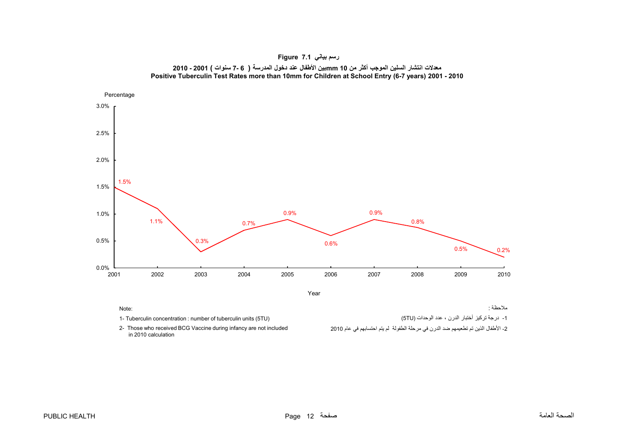<span id="page-12-0"></span>



Note:

- 1- Tuberculin concentration : number of tuberculin units (5TU)
- 2- Those who received BCG Vaccine during infancy are not included in 2010 calculation

مالحظة :

-1 درجة تركيز أختبار الدرن ، عدد الوحدات (TU5(

-2 األطفال الذين تم تطعيمھم ضد الدرن في مرحلة الطفولة لم يتم احتسابھم في عام <sup>2010</sup>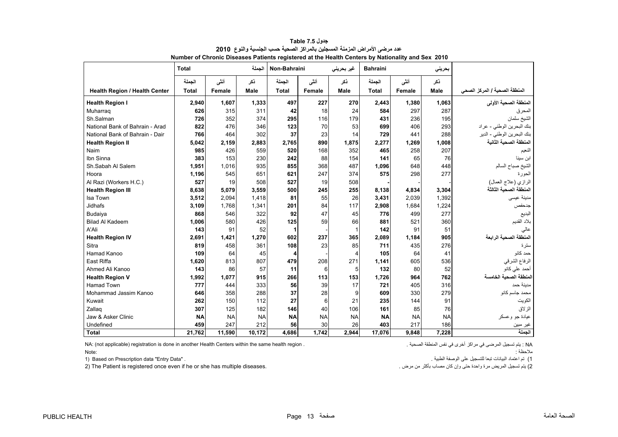|                                      | <b>Total</b> |           | الحملة    | Non-Bahraini |           | غیر بحرینی | <b>Bahraini</b> |           | بحريني      |                               |
|--------------------------------------|--------------|-----------|-----------|--------------|-----------|------------|-----------------|-----------|-------------|-------------------------------|
|                                      | الجملة       | أنشى      | نكر       | الجملة       | أنشى      | نكر        | الجملة          | أنشى      | ذكر         |                               |
| <b>Health Region / Health Center</b> | <b>Total</b> | Female    | Male      | <b>Total</b> | Female    | Male       | <b>Total</b>    | Female    | <b>Male</b> | المنطقة الصحية / المركز الصحي |
| <b>Health Region I</b>               | 2,940        | 1,607     | 1,333     | 497          | 227       | 270        | 2,443           | 1,380     | 1,063       | المنطقة الصحية الأولى         |
| Muharrag                             | 626          | 315       | 311       | 42           | 18        | 24         | 584             | 297       | 287         | المحرق                        |
| Sh.Salman                            | 726          | 352       | 374       | 295          | 116       | 179        | 431             | 236       | 195         | الشيخ سلمان                   |
| National Bank of Bahrain - Arad      | 822          | 476       | 346       | 123          | 70        | 53         | 699             | 406       | 293         | بنك البحرين الوطني - عراد     |
| National Bank of Bahrain - Dair      | 766          | 464       | 302       | 37           | 23        | 14         | 729             | 441       | 288         | بنك البحرين الوطني - الدير    |
| <b>Health Region II</b>              | 5,042        | 2,159     | 2,883     | 2,765        | 890       | 1,875      | 2,277           | 1,269     | 1,008       | المنطقة الصحية الثانية        |
| Naim                                 | 985          | 426       | 559       | 520          | 168       | 352        | 465             | 258       | 207         | النعيم                        |
| Ibn Sinna                            | 383          | 153       | 230       | 242          | 88        | 154        | 141             | 65        | 76          | ابن سينا                      |
| Sh.Sabah Al Salem                    | 1,951        | 1,016     | 935       | 855          | 368       | 487        | 1,096           | 648       | 448         | الشيخ صباح السالم             |
| Hoora                                | 1,196        | 545       | 651       | 621          | 247       | 374        | 575             | 298       | 277         | الحورة                        |
| Al Razi (Workers H.C.)               | 527          | 19        | 508       | 527          | 19        | 508        |                 |           |             | الرازي (علاج العمال)          |
| <b>Health Region III</b>             | 8.638        | 5.079     | 3,559     | 500          | 245       | 255        | 8.138           | 4.834     | 3.304       | المنطقة الصحية الثالثة        |
| Isa Town                             | 3,512        | 2,094     | 1,418     | 81           | 55        | 26         | 3,431           | 2,039     | 1,392       | مدينة عيسى                    |
| <b>Jidhafs</b>                       | 3,109        | 1,768     | 1,341     | 201          | 84        | 117        | 2,908           | 1,684     | 1,224       | جدحفص                         |
| Budaiya                              | 868          | 546       | 322       | 92           | 47        | 45         | 776             | 499       | 277         | البديع                        |
| <b>Bilad Al Kadeem</b>               | 1,006        | 580       | 426       | 125          | 59        | 66         | 881             | 521       | 360         | بلاد القديم                   |
| A'Ali                                | 143          | 91        | 52        | 1            |           |            | 142             | 91        | 51          | عالى                          |
| <b>Health Region IV</b>              | 2,691        | 1,421     | 1,270     | 602          | 237       | 365        | 2,089           | 1,184     | 905         | المنطقة الصحية الرابعة        |
| Sitra                                | 819          | 458       | 361       | 108          | 23        | 85         | 711             | 435       | 276         | ستر ۃ                         |
| Hamad Kanoo                          | 109          | 64        | 45        | 4            |           | 4          | 105             | 64        | 41          | حمد کانو                      |
| East Riffa                           | 1,620        | 813       | 807       | 479          | 208       | 271        | 1,141           | 605       | 536         | الرفاع الشرقي                 |
| Ahmed Ali Kanoo                      | 143          | 86        | 57        | 11           | 6         | 5          | 132             | 80        | 52          | أحمد على كانو                 |
| <b>Health Region V</b>               | 1,992        | 1.077     | 915       | 266          | 113       | 153        | 1,726           | 964       | 762         | لمنطقة الصحية الخامسة         |
| <b>Hamad Town</b>                    | 777          | 444       | 333       | 56           | 39        | 17         | 721             | 405       | 316         | مدبنة حمد                     |
| Mohammad Jassim Kanoo                | 646          | 358       | 288       | 37           | 28        | 9          | 609             | 330       | 279         | محمد جاسم كانو                |
| Kuwait                               | 262          | 150       | 112       | 27           | 6         | 21         | 235             | 144       | 91          | الكويت                        |
| Zallag                               | 307          | 125       | 182       | 146          | 40        | 106        | 161             | 85        | 76          | الزلاق                        |
| Jaw & Asker Clinic                   | <b>NA</b>    | <b>NA</b> | <b>NA</b> | <b>NA</b>    | <b>NA</b> | <b>NA</b>  | <b>NA</b>       | <b>NA</b> | <b>NA</b>   | عيادة جو وعسكر                |
| Undefined                            | 459          | 247       | 212       | 56           | 30        | 26         | 403             | 217       | 186         | غير مبين                      |
| <b>Total</b>                         | 21,762       | 11,590    | 10,172    | 4,686        | 1,742     | 2,944      | 17,076          | 9,848     | 7,228       | الحملة                        |

**جدول 7.5 Table عدد مرضى األمراض المزمنة المسجلين بالمراكز الصحية حسب الجنسية والنوع<sup>2010</sup> Number of Chronic Diseases Patients registered at the Health Centers by Nationality and Sex 2010**

NA: (not applicable) registration is done in another Health Centers within the same health region . . الصحية المنطقة نفس في أخرى مراكز في المرضى تسجيل يتم : NA مالحظة : :NoteNote:

1) تم اعتماد البيانات تبعا للتسجيل على الوصفة الطبية . . "Data Entry "data Prescription on Based) 1 2) The Patient is registered once even if he or she has multiple diseases.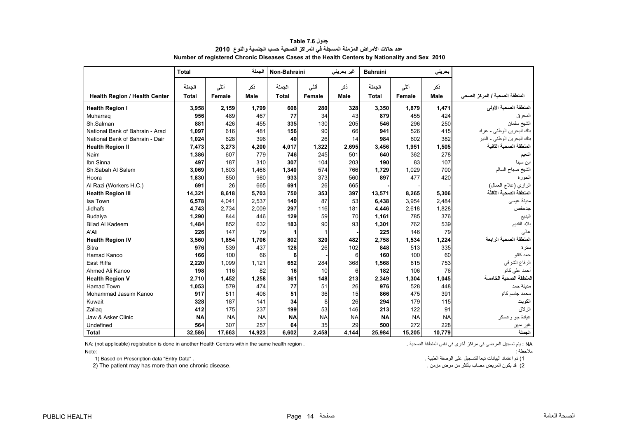<span id="page-14-0"></span>

|                                      | <b>Total</b>           |                | الجملة             | Non-Bahraini           |                | غیر بحرین <i>ی</i> | <b>Bahraini</b>        |                | بحرينى             |                               |
|--------------------------------------|------------------------|----------------|--------------------|------------------------|----------------|--------------------|------------------------|----------------|--------------------|-------------------------------|
| <b>Health Region / Health Center</b> | الجملة<br><b>Total</b> | أنشى<br>Female | نكر<br><b>Male</b> | الجملة<br><b>Total</b> | أننى<br>Female | نكر<br><b>Male</b> | الجملة<br><b>Total</b> | أنشى<br>Female | ذكر<br><b>Male</b> | المنطقة الصحية / المركز الصحى |
| <b>Health Region I</b>               | 3,958                  | 2,159          | 1,799              | 608                    | 280            | 328                | 3,350                  | 1,879          | 1,471              | المنطقة الصحية الأولى         |
| Muharrag                             | 956                    | 489            | 467                | 77                     | 34             | 43                 | 879                    | 455            | 424                | المحرق                        |
| Sh.Salman                            | 881                    | 426            | 455                | 335                    | 130            | 205                | 546                    | 296            | 250                | الشيخ سلمان                   |
| National Bank of Bahrain - Arad      | 1,097                  | 616            | 481                | 156                    | 90             | 66                 | 941                    | 526            | 415                | بنك البحرين الوطني - عراد     |
| National Bank of Bahrain - Dair      | 1,024                  | 628            | 396                | 40                     | 26             | 14                 | 984                    | 602            | 382                | بنك البحرين الوطني - الدير    |
| <b>Health Region II</b>              | 7,473                  | 3,273          | 4,200              | 4,017                  | 1,322          | 2,695              | 3,456                  | 1,951          | 1,505              | المنطقة الصحبة الثانبة        |
| Naim                                 | 1,386                  | 607            | 779                | 746                    | 245            | 501                | 640                    | 362            | 278                | النعيم                        |
| Ibn Sinna                            | 497                    | 187            | 310                | 307                    | 104            | 203                | 190                    | 83             | 107                | ابن سينا                      |
| Sh.Sabah Al Salem                    | 3.069                  | 1.603          | 1.466              | 1,340                  | 574            | 766                | 1,729                  | 1.029          | 700                | الشيخ صباح السالم             |
| Hoora                                | 1,830                  | 850            | 980                | 933                    | 373            | 560                | 897                    | 477            | 420                | الحورة                        |
| Al Razi (Workers H.C.)               | 691                    | 26             | 665                | 691                    | 26             | 665                |                        |                |                    | الرازي (علاج العمال)          |
| <b>Health Region III</b>             | 14,321                 | 8,618          | 5,703              | 750                    | 353            | 397                | 13,571                 | 8,265          | 5,306              | المنطقة الصحية الثالثة        |
| Isa Town                             | 6,578                  | 4.041          | 2,537              | 140                    | 87             | 53                 | 6.438                  | 3,954          | 2,484              | مدينة عيسى                    |
| Jidhafs                              | 4,743                  | 2.734          | 2,009              | 297                    | 116            | 181                | 4.446                  | 2,618          | 1,828              | جدحفص                         |
| Budaiya                              | 1,290                  | 844            | 446                | 129                    | 59             | 70                 | 1,161                  | 785            | 376                | البديع                        |
| <b>Bilad Al Kadeem</b>               | 1,484                  | 852            | 632                | 183                    | 90             | 93                 | 1,301                  | 762            | 539                | بلاد القديم                   |
| A'Ali                                | 226                    | 147            | 79                 | 1                      | 1              |                    | 225                    | 146            | 79                 | عالى                          |
| <b>Health Region IV</b>              | 3,560                  | 1,854          | 1,706              | 802                    | 320            | 482                | 2.758                  | 1,534          | 1,224              | المنطقة الصحية الرابعة        |
| Sitra                                | 976                    | 539            | 437                | 128                    | 26             | 102                | 848                    | 513            | 335                | ستر ۃ                         |
| Hamad Kanoo                          | 166                    | 100            | 66                 | 6                      |                | 6                  | 160                    | 100            | 60                 | حمد كانو                      |
| East Riffa                           | 2,220                  | 1,099          | 1,121              | 652                    | 284            | 368                | 1,568                  | 815            | 753                | الرفاع الشرقي                 |
| Ahmed Ali Kanoo                      | 198                    | 116            | 82                 | 16                     | 10             | 6                  | 182                    | 106            | 76                 | أحمد على كانو                 |
| <b>Health Region V</b>               | 2.710                  | 1,452          | 1,258              | 361                    | 148            | 213                | 2,349                  | 1,304          | 1,045              | لمنطقة الصحية الخامسة         |
| <b>Hamad Town</b>                    | 1,053                  | 579            | 474                | 77                     | 51             | 26                 | 976                    | 528            | 448                | مدينة حمد                     |
| Mohammad Jassim Kanoo                | 917                    | 511            | 406                | 51                     | 36             | 15                 | 866                    | 475            | 391                | محمد جاسم كانو                |
| Kuwait                               | 328                    | 187            | 141                | 34                     | 8              | 26                 | 294                    | 179            | 115                | الكويت                        |
| Zallag                               | 412                    | 175            | 237                | 199                    | 53             | 146                | 213                    | 122            | 91                 | الزلاق                        |
| Jaw & Asker Clinic                   | <b>NA</b>              | <b>NA</b>      | <b>NA</b>          | <b>NA</b>              | <b>NA</b>      | <b>NA</b>          | <b>NA</b>              | <b>NA</b>      | <b>NA</b>          | عيادة جو وعسكر                |
| Undefined                            | 564                    | 307            | 257                | 64                     | 35             | 29                 | 500                    | 272            | 228                | غير مبين                      |
| <b>Total</b>                         | 32.586                 | 17,663         | 14,923             | 6,602                  | 2,458          | 4,144              | 25,984                 | 15,205         | 10,779             | الحملة                        |

**جدول 7.6 Table عدد حاالت األمراض المزمنة المسجلة في المراكز الصحية حسب الجنسية والنوع<sup>2010</sup> Number of registered Chronic Diseases Cases at the Health Centers by Nationality and Sex 2010**

NA: (not applicable) registration is done in another Health Centers within the same health region . . الصحية المنطقة نفس في أخرى مراكز في المرضى تسجيل يتم : NA

:Note

 1) تم اعتماد البيانات تبعا للتسجيل على الوصفة الطبية . . "Data Entry "data Prescription on Based) 1 2) The patient may has more than one chronic disease.

مالحظة :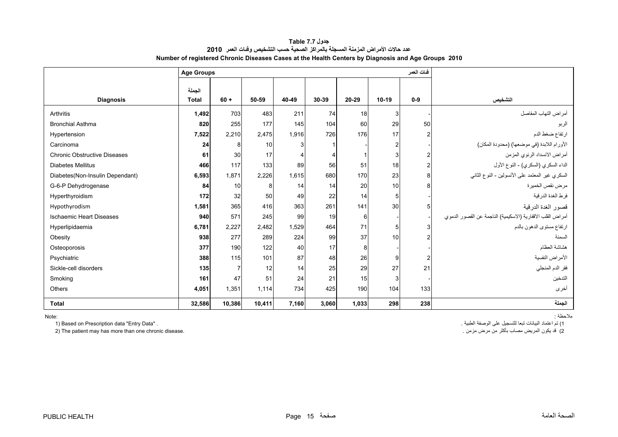**جدول 7.7 Table عدد حاالت األمراض المزمنة المسجلة بالمراكز الصحية حسب التشخيص وفئات العمر 2010 Number of registered Chronic Diseases Cases at the Health Centers by Diagnosis and Age Groups 2010**

<span id="page-15-0"></span>

|                                     | <b>Age Groups</b>      |                |        |       |       |                 |       | فئات العمر |                                                            |
|-------------------------------------|------------------------|----------------|--------|-------|-------|-----------------|-------|------------|------------------------------------------------------------|
| <b>Diagnosis</b>                    | الجملة<br><b>Total</b> | $60 +$         | 50-59  | 40-49 | 30-39 | 20-29           | 10-19 | $0-9$      | التشخيص                                                    |
| Arthritis                           | 1,492                  | 703            | 483    | 211   | 74    | 18              | 3     |            | أمراض التهاب المفاصل                                       |
| <b>Bronchial Asthma</b>             | 820                    | 255            | 177    | 145   | 104   | 60              | 29    | 50         | الربو                                                      |
| Hypertension                        | 7,522                  | 2,210          | 2,475  | 1,916 | 726   | 176             | 17    | 2          | ارتفاع ضغط الدم                                            |
| Carcinoma                           | 24                     | 8              | 10     | 3     |       |                 |       |            | الأورام اللابدة (في موضعها) (محدودة المكان)                |
| <b>Chronic Obstructive Diseases</b> | 61                     | 30             | 17     | 4     |       |                 | 3     |            | أمراض الانسداد الرئوي المزمن                               |
| <b>Diabetes Mellitus</b>            | 466                    | 117            | 133    | 89    | 56    | 51              | 18    | 2          | الداء السكري (السكري) - النوع الأول                        |
| Diabetes(Non-Insulin Dependant)     | 6,593                  | 1,871          | 2,226  | 1,615 | 680   | 170             | 23    | 8          | السكري غير المعتمد على الأنسولين - النوع الثاني            |
| G-6-P Dehydrogenase                 | 84                     | 10             | 8      | 14    | 14    | <b>20</b>       | 10    |            | مرض نقص الخميرة                                            |
| Hyperthyroidism                     | 172                    | 32             | 50     | 49    | 22    | 14              | 5     |            | فرط الغدة الدرقية                                          |
| Hypothyrodism                       | 1,581                  | 365            | 416    | 363   | 261   | 141             | 30    |            | قصور الغدة الدرقية                                         |
| <b>Ischaemic Heart Diseases</b>     | 940                    | 571            | 245    | 99    | 19    | $6 \mid$        |       |            | أمراض القلب الاقفارية (الاسكيمية) الناجمة عن القصور الدموي |
| Hyperlipidaemia                     | 6,781                  | 2,227          | 2,482  | 1,529 | 464   | 71              | 5     |            | ارتفاع مستوى الدهون بالدم                                  |
| Obesity                             | 938                    | 277            | 289    | 224   | 99    | 37              | 10    |            | السمنة                                                     |
| Osteoporosis                        | 377                    | 190            | 122    | 40    | 17    | 8               |       |            | هشاشة العظام                                               |
| Psychiatric                         | 388                    | 115            | 101    | 87    | 48    | 26              | 9     | 2          | الأمراض النفسية                                            |
| Sickle-cell disorders               | 135                    | $\overline{7}$ | 12     | 14    | 25    | 29              | 27    | 21         | فقر الدم المنجلي                                           |
| Smoking                             | 161                    | 47             | 51     | 24    | 21    | 15 <sub>l</sub> |       |            | التدخين                                                    |
| Others                              | 4,051                  | 1,351          | 1,114  | 734   | 425   | 190             | 104   | 133        | أخرى                                                       |
| <b>Total</b>                        | 32,586                 | 10,386         | 10,411 | 7,160 | 3,060 | 1,033           | 298   | 238        | الجملة                                                     |

Note:

 1) تم اعتماد البيانات تبعا للتسجيل على الوصفة الطبية . . "Data Entry "data Prescription on Based) 1 2) The patient may has more than one chronic disease.

مالحظة :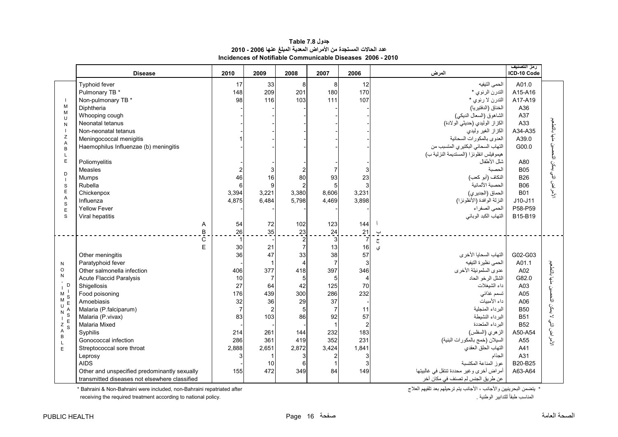# **جدول 7.8 Table عدد الحاالت المستجدة من األمراض المعدية المبلغ عنھا 2006 - 2010 Incidences of Notifiable Communicable Diseases 2006 - 2010**

<span id="page-16-0"></span>

|                                                             | <b>Disease</b>                                                                                               | 2010                 | 2009             | 2008                             | 2007                         | 2006                          | المرض                                                                                                                            | رمز التصنيف<br>ICD-10 Code                       |                                       |
|-------------------------------------------------------------|--------------------------------------------------------------------------------------------------------------|----------------------|------------------|----------------------------------|------------------------------|-------------------------------|----------------------------------------------------------------------------------------------------------------------------------|--------------------------------------------------|---------------------------------------|
| $\blacksquare$                                              | Typhoid fever<br>Pulmonary TB *<br>Non-pulmonary TB *                                                        | 17<br>148<br>98      | 33<br>209<br>116 | 8<br>201<br>103                  | 8<br>180<br>111              | 12<br>170<br>107              | الحمى التيفيه<br>التدرن الرئوي *<br>التدرن لا رئوي *                                                                             | A01.0<br>A15-A16<br>A17-A19                      |                                       |
| M<br>M<br>$\cup$<br>N                                       | Diphtheria<br>Whooping cough<br>Neonatal tetanus                                                             |                      |                  |                                  |                              |                               | الخناق (الدفتيريا)<br>الشاهوق (السعال الديكي)<br>الكزاز الوليدي (حديثي الولادة)                                                  | A36<br>A37<br>A33                                | منها بالتطعيم                         |
| Z<br>A<br>B<br>L                                            | Non-neonatal tetanus<br>Meningococcal menigitis<br>Haemophilus Influenzae (b) meningitis                     |                      |                  |                                  |                              |                               | الكزاز الغير وليدى<br>العدوى بالمكورات السحائية<br>التهاب السحائي البكتيري المتسبب من<br>هيموفيلس انفلونزا (المستديمة النزلية ب) | A34-A35<br>A39.0<br>G00.0                        | ŧ.                                    |
| E<br>D<br>$\blacksquare$                                    | Poliomyelitis<br>Measles<br>Mumps                                                                            | $\overline{2}$<br>46 | 16               | 2<br>80                          | 7<br>93                      | 23                            | شلل الأطفال<br>الحصبة<br>النكاف (أبو كعب)                                                                                        | A80<br><b>B05</b><br><b>B26</b>                  | بعكن التمص<br>ه<br>في                 |
| S<br>E<br>A<br>S                                            | Rubella<br>Chickenpox<br>Influenza<br><b>Yellow Fever</b>                                                    | 6<br>3,394<br>4,875  | 3,221<br>6,484   | $\overline{c}$<br>3,380<br>5,798 | 5<br>8,606<br>4,469          | 3,231<br>3,898                | الحصبة الألمانية<br>الحماق (الجديري)<br>النزلة الوافدة (الأنظونزا)<br>الحمى الصفراء                                              | <b>B06</b><br><b>B01</b><br>$J10-J11$<br>P58-P59 | الأمراض ا                             |
| E<br>S                                                      | Viral hepatitis<br>Α<br>$\overline{\mathsf{B}}$                                                              | 54<br>26             | 72<br>35         | 102<br>23                        | 123<br>$\frac{24}{3}$        | 144<br>$\overline{21}$        | التهاب الكبد الوبائي<br>ڀ                                                                                                        | B15-B19                                          |                                       |
|                                                             | Č<br>E                                                                                                       | $\overline{1}$<br>30 | 21               | $\overline{2}$<br>$\overline{7}$ | 13                           | $\overline{7}$<br>16          | $\overline{\mathsf{C}}$<br>ي                                                                                                     |                                                  |                                       |
|                                                             | Other meningitis                                                                                             | 36                   | 47               | 33                               | 38                           | 57                            | التهاب السحايا الأخرى                                                                                                            | G02-G03                                          |                                       |
| N<br>$\circ$<br>N                                           | Paratyphoid fever<br>Other salmonella infection                                                              | 406                  | 377              | $\overline{4}$<br>418            | $\overline{7}$<br>397        | 3<br>346                      | الحمى نظيرة التيفيه<br>عدوى السلمونيلة الأخرى                                                                                    | A01.1<br>A02                                     | منها بالتطعيم                         |
| D                                                           | <b>Acute Flaccid Paralysis</b><br>Shigellosis                                                                | 10<br>27             | -7<br>64         | $\sqrt{5}$<br>42                 | 5<br>125                     | $\overline{\mathbf{4}}$<br>70 | الشلل الرخو الحاد<br>داء الشيغلات                                                                                                | G82.0<br>A03                                     |                                       |
| M<br>S<br>M                                                 | Food poisoning<br>Amoebiasis                                                                                 | 176<br>32            | 439<br>36        | 300<br>29                        | 286<br>37                    | 232                           | تسمم غذائى<br>داء الأميبات                                                                                                       | A05<br>A06                                       | Ł.                                    |
| U<br>N<br>$\rm s$<br>$\perp$<br>$\frac{1}{2}$ $\frac{1}{S}$ | Malaria (P.falciparum)<br>Malaria (P.vivax)                                                                  | $\overline{7}$<br>83 | 103              | $5\phantom{.0}$<br>86            | $\overline{7}$<br>92         | 11<br>57                      | البر داء المنجلبة<br>البرداء النشيطة<br>البرداء المتعددة                                                                         | <b>B50</b><br><b>B51</b>                         | لا يمكن التم<br>$\tilde{\mathcal{E}}$ |
| A<br>B<br>$\mathsf{L}$                                      | Malaria Mixed<br>Syphilis<br>Gonococcal infection                                                            | 214<br>286           | 261<br>361       | 144<br>419                       | $\overline{1}$<br>232<br>352 | $\overline{2}$<br>183<br>231  | الزهري (السفلس)<br>السيلان (خمج بالمكورات البنية)                                                                                | <b>B52</b><br>A50-A54<br>A55                     | $\bar{\epsilon}$<br>لا<br>مح          |
| E                                                           | Streptococcal sore throat<br>Leprosy                                                                         | 2,888<br>3           | 2,651            | 2,872<br>3                       | 3,424<br>$\overline{2}$      | 1,841                         | التهاب الحلق العقدي<br>الجذام                                                                                                    | A41<br>A31                                       |                                       |
|                                                             | <b>AIDS</b><br>Other and unspecified predominantly sexually<br>transmitted diseases not elsewhere classified | 155                  | 10<br>472        | 6<br>349                         | $\overline{1}$<br>84         | 149                           | عوز المناعة المكتسبة<br>أمراض أخرى وغير محددة تنتقل في غالبيتها<br>عن طريق الجنس لم تصنف في مكان آخر                             | B20-B25<br>A63-A64                               |                                       |

 $*$  Bahraini & Non-Bahraini were included, non-Bahraini repatriated after

receiving the required treatment according to national policy.

\* يتضمن البحرينيين والأجانب ، الأجانب يتم ترحيلهم بعد تلقيهم العلاج<br> المناسب طبقاً للتدابير الوطنية .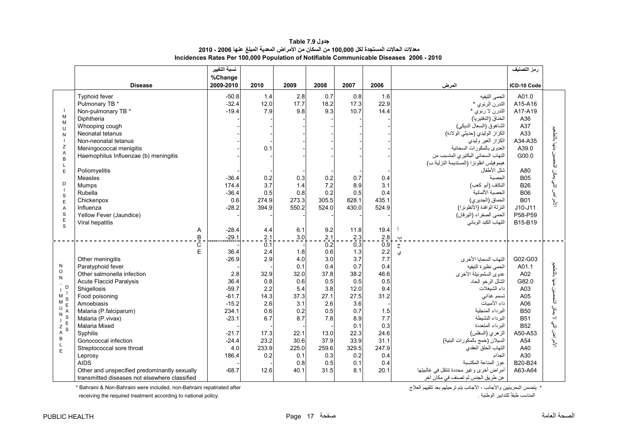# **جدول 7.9 Table معدالت الحاالت المستجدة لكل 100,000 من السكان من األمراض المعدية المبلغ عنھا 2006 - 2010 Incidences Rates Per 100,000 Population of Notifiable Communicable Diseases 2006 - 2010**

<span id="page-17-0"></span>

|                       |                                               | نسبة التغيير |                         |       |                   |                         |            |                                          | رمز التصنيف |                          |
|-----------------------|-----------------------------------------------|--------------|-------------------------|-------|-------------------|-------------------------|------------|------------------------------------------|-------------|--------------------------|
|                       |                                               | %Change      |                         |       |                   |                         |            |                                          |             |                          |
|                       | <b>Disease</b>                                | 2009-2010    | 2010                    | 2009  | 2008              | 2007                    | 2006       | المرض                                    | ICD-10 Code |                          |
|                       | <b>Typhoid fever</b>                          | $-50.8$      | 1.4                     | 2.8   | 0.7               | 0.8                     | 1.6        | الحمى النيفيه                            | A01.0       |                          |
|                       | Pulmonary TB *                                | $-32.4$      | 12.0                    | 17.7  | 18.2              | 17.3                    | 22.9       | التدرن الرئوي *                          | A15-A16     |                          |
|                       | Non-pulmonary TB *                            | $-19.4$      | 7.9                     | 9.8   | 9.3               | 10.7                    | 14.4       | التدرن لا رئوي *                         | A17-A19     |                          |
| M                     | Diphtheria                                    |              |                         |       |                   |                         |            | الخناق (الدفتيريا)                       | A36         |                          |
| M<br>$\cup$           | Whooping cough                                |              |                         |       |                   |                         |            | الشاهوق (السعال الديكي)                  | A37         |                          |
| N                     | Neonatal tetanus                              |              |                         |       |                   |                         |            | الكزاز الوليدي (حديثي الولادة)           | A33         |                          |
| $\overline{1}$        | Non-neonatal tetanus                          |              |                         |       |                   |                         |            | الكزاز الغير وليدى                       | A34-A35     | مذيها بالتطعيم           |
| Z                     | Meningococcal menigitis                       |              | 0.1                     |       |                   |                         |            | العدوى بالمكورات السحائية                | A39.0       |                          |
| A<br>B                | Haemophilus Influenzae (b) meningitis         |              |                         |       |                   |                         |            | التهاب السحائي البكتيري المتسبب من       | G00.0       | لأمراض التي يمكن التحصين |
|                       |                                               |              |                         |       |                   |                         |            | هيموفيلس انفلونز ا (المستديمة النزلية ب) |             |                          |
| E                     | Poliomyelitis                                 |              |                         |       |                   |                         |            | شلل الأطفال                              | A80         |                          |
|                       | Measles                                       | $-36.4$      | 0.2                     | 0.3   | 0.2               | 0.7                     | 0.4        | الحصدة                                   | <b>B05</b>  |                          |
| D                     | Mumps                                         | 174.4        | 3.7                     | 1.4   | 7.2               | 8.9                     | 3.1        | النكاف (أبو كعب)                         | <b>B26</b>  |                          |
| S                     | Rubella                                       | $-36.4$      | 0.5                     | 0.8   | 0.2               | 0.5                     | 0.4        | الحصبة الألمانية                         | <b>B06</b>  |                          |
| E                     | Chickenpox                                    | 0.6          | 274.9                   | 273.3 | 305.5             | 828.1                   | 435.1      | الحماق (الجديري)                         | <b>B01</b>  |                          |
| A                     | Influenza                                     | $-28.2$      | 394.9                   | 550.2 | 524.0             | 430.0                   | 524.9      | النزلة الوافدة (الأنفلونزا)              | $J10-J11$   |                          |
| $\mathbf S$<br>E      | Yellow Fever (Jaundice)                       |              |                         |       |                   |                         |            | الحمى الصفراء (اليرقان)                  | P58-P59     |                          |
| $\mathbf{s}$          | Viral hepatitis                               |              |                         |       |                   |                         |            | التهاب الكبد الوبائي                     | B15-B19     |                          |
|                       | Α                                             | $-28.4$      | 4.4                     | 6.1   | 9.2               | 11.8                    | 19.4       |                                          |             |                          |
|                       | B<br>C                                        | $-29.1$      | 2.1<br>$\overline{0.1}$ | 3.0   | $\frac{2.1}{0.2}$ | 2.3<br>$0.\overline{3}$ | 2.8<br>0.9 | $\overline{a}$                           |             |                          |
|                       | E                                             | 36.4         | 2.4                     | 1.8   | 0.6               | 1.3                     | 2.2        | $\tilde{\epsilon}$<br>ی                  |             |                          |
|                       | Other meningitis                              | $-26.9$      | 2.9                     | 4.0   | 3.0               | 3.7                     | 7.7        | التهاب السحايا الأخرى                    | G02-G03     |                          |
| N                     | Paratyphoid fever                             |              |                         | 0.1   | 0.4               | 0.7                     | 0.4        | الحمى نظيرة التيفيه                      | A01.1       |                          |
| $\circ$               | Other salmonella infection                    | 2.8          | 32.9                    | 32.0  | 37.8              | 38.2                    | 46.6       | عدوى السلمونيلة الأخرى                   | A02         | منها بالتطعيم            |
| N                     | <b>Acute Flaccid Paralysis</b>                | 36.4         | 0.8                     | 0.6   | 0.5               | 0.5                     | 0.5        | الشلل الرخو الحاد                        | G82.0       |                          |
| D                     | Shigellosis                                   | $-59.7$      | 2.2                     | 5.4   | 3.8               | 12.0                    | 9.4        | داء الشيغلات                             | A03         | ŧ.                       |
| М<br>S                | Food poisoning                                | $-61.7$      | 14.3                    | 37.3  | 27.1              | 27.5                    | 31.2       | تسمم غذائى                               | A05         | Ę                        |
| M                     | Amoebiasis                                    | $-15.2$      | 2.6                     | 3.1   | 2.6               | 3.6                     |            | داء الأمبيات                             | A06         |                          |
| U<br>N                | Malaria (P.falciparum)                        | 234.1        | 0.6                     | 0.2   | 0.5               | 0.7                     | 1.5        | البر داء المنجلبة                        | <b>B50</b>  | تي<br>گ                  |
| S                     | Malaria (P. vivax)                            | $-23.1$      | 6.7                     | 8.7   | 7.8               | 8.9                     | 7.7        | البر داء النشيطة                         | <b>B51</b>  |                          |
| $Z$ <sup>E</sup><br>S | Malaria Mixed                                 |              |                         |       |                   | 0.1                     | 0.3        | البر داء المتعددة                        | <b>B52</b>  | لأمراض التي لا           |
| Α                     | Syphilis                                      | $-21.7$      | 17.3                    | 22.1  | 13.0              | 22.3                    | 24.6       | الزهري (السفلس)                          | A50-A53     |                          |
| B<br>L                | Gonococcal infection                          | $-24.4$      | 23.2                    | 30.6  | 37.9              | 33.9                    | 31.1       | السيلان (خمج بالمكورات البنية)           | A54         |                          |
| E                     | Streptococcal sore throat                     | 4.0          | 233.9                   | 225.0 | 259.6             | 329.5                   | 247.9      | التهاب الحلق العقدي                      | A40         |                          |
|                       | Leprosy                                       | 186.4        | 0.2                     | 0.1   | 0.3               | 0.2                     | 0.4        | الجذام                                   | A30         |                          |
|                       | <b>AIDS</b>                                   |              |                         | 0.8   | 0.5               | 0.1                     | 0.4        | عوز المناعة المكتسبة                     | B20-B24     |                          |
|                       | Other and unspecified predominantly sexually  | $-68.7$      | 12.6                    | 40.1  | 31.5              | 8.1                     | 20.1       | أمراض أخرى وغير محددة تنتقل في غالبيتها  | A63-A64     |                          |
|                       | transmitted diseases not elsewhere classified |              |                         |       |                   |                         |            | عن طريق الجنس لم تصنف في مكان آخر        |             |                          |

\* يتضمن البحرينيين والأجانب ، الأجانب يتم ترحيلهم بعد تلقيهم العلاج يتضمن البحرينيين واألجانب ، األجانب يتم ترحيلھم بعد تلقيھم العالج after repatriated Bahraini-non ,included were Bahraini-Non & Bahraini\*

receiving the required treatment according to national policy.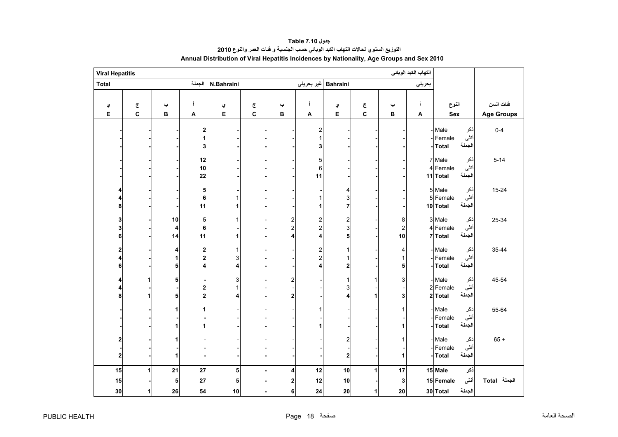<span id="page-18-0"></span>

| التهاب الكبد الوبائي<br><b>Viral Hepatitis</b> |                         |               |                                                  |                        |                         |                               |                                   |                                   |        |                           |        |                                                           |                   |
|------------------------------------------------|-------------------------|---------------|--------------------------------------------------|------------------------|-------------------------|-------------------------------|-----------------------------------|-----------------------------------|--------|---------------------------|--------|-----------------------------------------------------------|-------------------|
| Total                                          |                         |               | الجملة                                           | N.Bahraini             |                         |                               |                                   | Bahraini  غیر بحرین <i>ي</i>      |        |                           | بحريني |                                                           |                   |
|                                                |                         |               |                                                  |                        |                         |                               |                                   |                                   |        |                           |        |                                                           |                   |
| ي                                              | $\overline{\mathbb{C}}$ | پ             | j                                                | ي                      | $\overline{\mathbb{C}}$ | پ                             | Ĵ                                 | ي                                 | ج      | پ                         | j      | النوع                                                     | فئات السن         |
| E                                              | $\mathbf{C}$            | в             | A                                                | E                      | C                       | в                             | A                                 | E                                 | C      | в                         | A      | Sex                                                       | <b>Age Groups</b> |
|                                                |                         |               | $\overline{\mathbf{2}}$<br>3                     |                        |                         |                               | $\overline{\mathbf{c}}$<br>1<br>3 |                                   |        |                           |        | Male<br>ذكر<br>أنثى<br>Female<br>الجملة<br>-Total         | $0 - 4$           |
|                                                |                         |               | 12<br>10<br>22                                   |                        |                         |                               | 5<br>6<br>11                      |                                   |        |                           |        | 7 Male<br>ذكر<br>أنثى<br>4 Female<br>الجملة<br>11 Total   | $5 - 14$          |
| 8                                              |                         |               | 5<br>6<br>11                                     | 1                      |                         |                               | 1<br>1                            | 4<br>3<br>$\overline{7}$          |        |                           |        | 5 Male<br>ذكر<br>أنثى<br>5 Female<br>الجملة<br>10 Total   | $15 - 24$         |
| 3<br>3<br>6                                    |                         | 10<br>4<br>14 | 5<br>6<br>11                                     | $\mathbf{1}$<br>1      |                         | 2<br>$\overline{c}$<br>4      | $\frac{2}{2}$<br>4                | $\overline{\mathbf{c}}$<br>3<br>5 |        | 8<br>$\overline{2}$<br>10 |        | 3 Male<br>نكر<br>أنثى<br>4 Female<br>الجملة<br>7 Total    | 25-34             |
| 2<br>6                                         |                         | 4<br>1<br>5   | $\boldsymbol{2}$<br>$\overline{\mathbf{c}}$<br>4 | 1<br>3<br>4            |                         |                               | $\frac{2}{2}$<br>4                | 1<br>2                            |        | 4<br>1<br>5               |        | - Male<br>ذكر<br>أنثى<br>Female<br>الجملة<br><b>Total</b> | 35-44             |
| 4<br>8                                         |                         | 5<br>5        | 2<br>$\mathbf 2$                                 | 3<br>$\mathbf{1}$<br>4 |                         | $\overline{2}$<br>$\mathbf 2$ |                                   | 1<br>3<br>4                       | 1<br>1 | 3<br>3                    |        | ذكر<br>Male<br>أنثى<br>2 Female<br>الجملة<br>2 Total      | 45-54             |
|                                                |                         | 1<br>1        |                                                  |                        |                         |                               | 1                                 |                                   |        | 1                         |        | - Male<br>ذكر<br>أنثى<br>Female<br>الجملة<br><b>Total</b> | 55-64             |
| 2<br>$\mathbf 2$                               |                         | 1<br>1        |                                                  |                        |                         |                               |                                   | 2<br>$\mathbf 2$                  |        | 1                         |        | ذكر<br>- Male<br>أنثى<br>Female<br>الجملة<br><b>Total</b> | $65 +$            |
| 15                                             |                         | 21            | 27                                               | 5                      |                         | 4                             | 12                                | 10                                | 1      | 17                        |        | ذكر<br>15 Male                                            |                   |
| 15                                             |                         | 5             | 27                                               | 5                      |                         | $\mathbf{2}$                  | 12                                | 10                                |        | 3                         |        | أننى<br>15 Female                                         | الجملة Total      |
| 30                                             | 1                       | 26            | 54                                               | 10                     |                         | 6                             | 24                                | 20                                | 1      | 20                        |        | الجملة<br>30 Total                                        |                   |

# **جدول 7.10 Table التوزيع السنوي لحاالت التھاب الكبد الوبائي حسب الجنسية <sup>و</sup> فئات العمر والنوع <sup>2010</sup> Annual Distribution of Viral Hepatitis Incidences by Nationality, Age Groups and Sex 2010**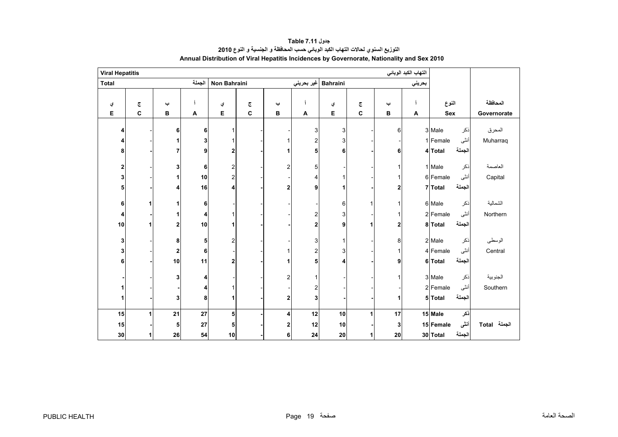<span id="page-19-0"></span>

| <b>Viral Hepatitis</b>  |                         |             |            |                         |   |                         |            |                 |                         |              | التهاب الكبد الوبائي |           |        |              |
|-------------------------|-------------------------|-------------|------------|-------------------------|---|-------------------------|------------|-----------------|-------------------------|--------------|----------------------|-----------|--------|--------------|
| <b>Total</b>            |                         |             | الجملة     | Non Bahraini            |   |                         | غير بحريني | <b>Bahraini</b> |                         |              | بحريني               |           |        |              |
|                         |                         |             |            |                         |   |                         |            |                 |                         |              |                      |           |        |              |
| ي                       | $\overline{\mathbb{C}}$ | پ           |            | ي                       | چ | پ                       |            | ي               | $\overline{\mathbb{C}}$ | پ            |                      | النوع     |        | المحافظة     |
| Е                       | $\mathbf{C}$            | В           | A          | Е                       | C | В                       | A          | Е               | $\mathbf{C}$            | в            | A                    | Sex       |        | Governorate  |
| 4                       |                         | 6           | 6          | 1                       |   |                         | 3          | 3               |                         | 6            |                      | 3 Male    | ذكر    | المحرق       |
| 4                       |                         |             | 3          | 1                       |   |                         | 2          | 3               |                         |              |                      | 1 Female  | أنثى   | Muharraq     |
| 8                       |                         | 7           | 9          | $\overline{\mathbf{2}}$ |   |                         | 5          | 6               |                         | 6            |                      | 4 Total   | الجملة |              |
|                         |                         |             |            |                         |   |                         |            |                 |                         |              |                      |           |        |              |
| $\overline{\mathbf{2}}$ |                         | 3           | 6          | $\overline{\mathbf{c}}$ |   | 2                       | 5          |                 |                         | 1            |                      | 1 Male    | ذكر    | العاصمة      |
| 3                       |                         |             | 10         | $\overline{\mathbf{c}}$ |   |                         | Δ          |                 |                         | 1            |                      | 6 Female  | أنثى   | Capital      |
| 5                       |                         |             | 16         | 4                       |   | $\overline{2}$          | 9          | 1               |                         | $\mathbf{2}$ |                      | 7 Total   | الجملة |              |
|                         |                         |             |            |                         |   |                         |            |                 |                         |              |                      |           |        |              |
| 6                       | 1                       |             | 6          |                         |   |                         |            | 6               | 1                       | 1            |                      | 6 Male    | ذكر    | الشمالية     |
| 4                       |                         |             | 4          | 1                       |   |                         | 2          | 3               |                         | 1            |                      | 2 Female  | أنثى   | Northern     |
| 10                      |                         | 2           | 10         | 1                       |   |                         | 2          | 9               | 1                       | 2            |                      | 8 Total   | الجملة |              |
| 3                       |                         | 8           | 5          | $\overline{\mathbf{c}}$ |   |                         | 3          | 1               |                         | 8            |                      | 2 Male    | ذكر    | الوسطى       |
| 3                       |                         | $\mathbf 2$ | 6          |                         |   |                         | 2          | 3               |                         | $\mathbf{1}$ |                      | 4 Female  | أنثى   | Central      |
| 6                       |                         | 10          | 11         | $\overline{\mathbf{c}}$ |   |                         |            | 4               |                         | 9            |                      | 6 Total   | الجملة |              |
|                         |                         |             |            |                         |   |                         |            |                 |                         |              |                      |           |        |              |
|                         |                         | 3           | 4          |                         |   | $\overline{\mathbf{c}}$ |            |                 |                         | 1            |                      | 3 Male    | ذكر    | الجنوبية     |
| 1                       |                         |             | 4          | 1                       |   |                         | 2          |                 |                         |              |                      | 2 Female  | أنثى   | Southern     |
| 1                       |                         | 3           | 8          | 1                       |   | $\mathbf 2$             | 3          |                 |                         | 1            |                      | 5 Total   | الجملة |              |
|                         |                         |             |            |                         |   |                         |            |                 |                         |              |                      |           |        |              |
| 15                      | 1                       | 21          | ${\bf 27}$ | 5                       |   | 4                       | 12         | 10              | 1                       | 17           |                      | 15 Male   | ذكر    |              |
| 15                      |                         | 5           | ${\bf 27}$ | ${\bf 5}$               |   | 2                       | 12         | 10              |                         | 3            |                      | 15 Female | أننى   | الجملة Total |
| $30\,$                  | 1                       | 26          | 54         | 10                      |   | 6                       | 24         | 20              | 1                       | 20           |                      | 30 Total  | الجملة |              |

**جدول 7.11 Table التوزيع السنوي لحاالت التھاب الكبد الوبائي حسب المحافظة <sup>و</sup> الجنسية <sup>و</sup> النوع <sup>2010</sup> Annual Distribution of Viral Hepatitis Incidences by Governorate, Nationality and Sex 2010**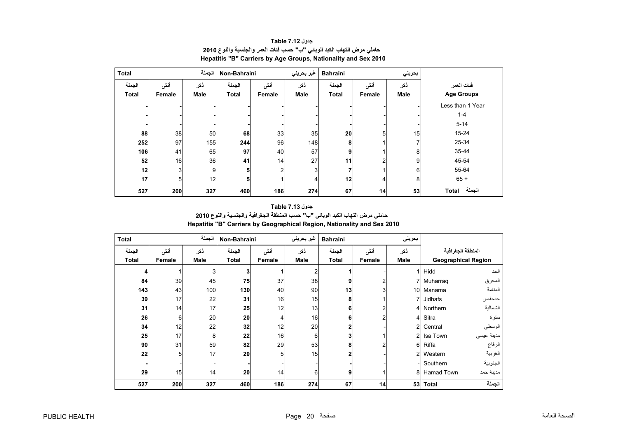<span id="page-20-0"></span>

| <b>Total</b> |                | الجملة      | Non-Bahraini |                | غير بحريني     | <b>Bahraini</b> |        | بحريني          |                   |
|--------------|----------------|-------------|--------------|----------------|----------------|-----------------|--------|-----------------|-------------------|
| الجملة       | أنشى           | نكر         | الجملة       | أنشى           | ذكر            | الجملة          | أنشى   | ذكر             | فئات العمر        |
| <b>Total</b> | Female         | <b>Male</b> | <b>Total</b> | Female         | <b>Male</b>    | <b>Total</b>    | Female | <b>Male</b>     | <b>Age Groups</b> |
|              |                |             |              |                |                |                 |        |                 | Less than 1 Year  |
|              |                |             |              |                |                |                 |        |                 | $1 - 4$           |
|              |                |             |              |                |                |                 |        |                 | $5 - 14$          |
| 88           | 38             | 50          | 68           | 33             | 35             | 20              | 5      | 15 <sub>l</sub> | 15-24             |
| 252          | 97             | 155         | 244          | 96             | 148            | 8               |        | 7               | 25-34             |
| 106          | 41             | 65          | 97           | 40             | 57             | 9               |        | 8               | 35-44             |
| 52           | 16             | 36          | 41           | 14             | 27             | 11              | 2      | 9               | 45-54             |
| 12           | 3 <sup>1</sup> | 9           | 5            | $\overline{2}$ | 3 <sub>l</sub> |                 |        | 6               | 55-64             |
| 17           | 5 <sup>1</sup> | 12          | 5            |                | 4              | 12              | 4      | 8               | $65 +$            |
| 527          | 200            | 327         | 460          | 186            | 274            | 67              | 14     | 53              | الجملة<br>Total   |

**جدول 7.12 Table حاملي مرض التھاب الكبد الوبائي "ب" حسب فئات العمر والجنسية والنوع <sup>2010</sup> Hepatitis "B" Carriers by Age Groups, Nationality and Sex 2010**

# **جدول 7.13 Table حاملي مرض التھاب الكبد الوبائي "ب" حسب المنطقة الجغرافية والجنسية والنوع <sup>2010</sup> Hepatitis "B" Carriers by Geographical Region, Nationality and Sex 2010**

| <b>Total</b> |        | الجملة | Non-Bahraini |                | غير بحريني       | <b>Bahraini</b> |        | بحريني          |            |                            |
|--------------|--------|--------|--------------|----------------|------------------|-----------------|--------|-----------------|------------|----------------------------|
| الجملة       | أنشى   | نكر    | الجملة       | أنشى           | ذكر              | الجملة          | أننى   | ذكر             |            | المنطقة الجغرافية          |
| <b>Total</b> | Female | Male   | <b>Total</b> | Female         | <b>Male</b>      | <b>Total</b>    | Female | Male            |            | <b>Geographical Region</b> |
|              |        | 3      |              |                | 2                |                 |        |                 | Hidd       | الحد                       |
| 84           | 39     | 45     | 75           | 37             | 38               | 9               |        |                 | Muharrag   | المحرق                     |
| 143          | 43     | 100    | 130          | 40             | 90               | 13              |        | 10 <sup>1</sup> | Manama     | المنامة                    |
| 39           | 17     | 22     | 31           | 16             | 15               | 8               |        |                 | Jidhafs    | جدحفص                      |
| 31           | 14     | 17     | 25           | 12             | 13               | 6               |        | 4               | Northern   | الشمالية                   |
| 26           | 6      | 20     | 20           | 4              | 16               | 6               | 2      | $\overline{4}$  | Sitra      | سترة                       |
| 34           | 12     | 22     | 32           | 12             | 20               |                 |        | $\overline{2}$  | Central    | الوسطى                     |
| 25           | 17     | 8      | 22           | 16             | 6 <sub>1</sub>   |                 |        | $\overline{2}$  | Isa Town   | مدينة عيسى                 |
| 90           | 31     | 59     | 82           | 29             | 53               | 8               |        | 6               | Riffa      | الرفاع                     |
| 22           | 5      | 17     | 20           | 5 <sup>1</sup> | 15               |                 |        | $\overline{2}$  | Western    | الغربية                    |
|              |        |        |              |                |                  |                 |        |                 | Southern   | الجنوبية                   |
| 29           | 15     | 14     | 20           | 14             | $6 \overline{6}$ | 9               |        | 8               | Hamad Town | مدينة حمد                  |
| 527          | 200    | 327    | 460          | 186            | 274              | 67              | 14     | 53              | Total      | الجملة                     |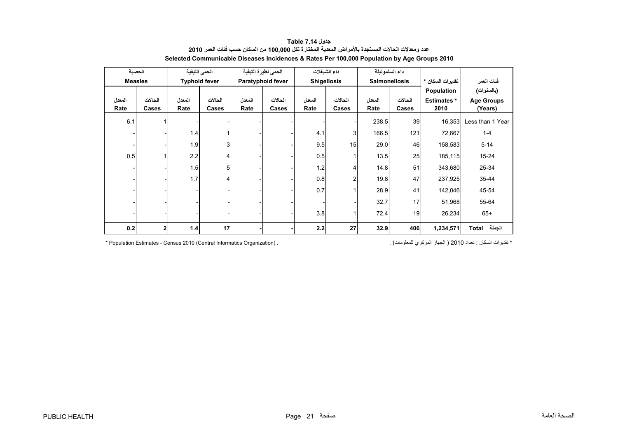<span id="page-21-0"></span>

| الحصبة         |         | الحمى التيفية |                      | الحمى نظيرة التيفية |                   | داء الشيغلات       |                |                      | داء السلمونيلة  |                    |                   |
|----------------|---------|---------------|----------------------|---------------------|-------------------|--------------------|----------------|----------------------|-----------------|--------------------|-------------------|
| <b>Measles</b> |         |               | <b>Typhoid fever</b> |                     | Paratyphoid fever | <b>Shigellosis</b> |                | <b>Salmonellosis</b> |                 | تقديرات السكان *   | فئات العمر        |
|                |         |               |                      |                     |                   |                    |                |                      |                 | Population         | (بالسنوات)        |
| المعدل         | الحالات | المعدل        | الحالات              | المعدل              | الحالات           | المعدل             | الحالات        | المعدل               | الحالات         | <b>Estimates</b> * | <b>Age Groups</b> |
| Rate           | Cases   | Rate          | Cases                | Rate                | Cases             | Rate               | Cases          | Rate                 | Cases           | 2010               | (Years)           |
| 6.1            | 1       |               |                      |                     |                   |                    |                | 238.5                | 39 <sup>1</sup> | 16,353             | Less than 1 Year  |
|                |         | 1.4           |                      |                     |                   | 4.1                | 3              | 166.5                | 121             | 72,667             | $1 - 4$           |
|                |         | 1.9           | 3                    |                     |                   | 9.5                | 15             | 29.0                 | 46              | 158,583            | $5 - 14$          |
| 0.5            |         | 2.2           | 4                    |                     |                   | 0.5                |                | 13.5                 | 25              | 185,115            | $15 - 24$         |
|                |         | 1.5           | 5                    |                     |                   | 1.2                | 4              | 14.8                 | 51              | 343,680            | 25-34             |
|                |         | 1.7           | 4                    |                     |                   | 0.8                | $\overline{2}$ | 19.8                 | 47              | 237,925            | $35 - 44$         |
|                |         |               |                      |                     |                   | 0.7                |                | 28.9                 | 41              | 142,046            | 45-54             |
|                |         |               |                      |                     |                   |                    |                | 32.7                 | 17              | 51,968             | 55-64             |
|                |         |               |                      |                     |                   | 3.8                |                | 72.4                 | 19              | 26,234             | $65+$             |
| 0.2            | 2       | $1.4$         | 17                   |                     |                   | 2.2                | 27             | 32.9                 | 406             | 1,234,571          | الجملة<br>Total   |

# **جدول 7.14 Table عدد ومعدالت الحاالت المستجدة باألمراض المعدية المختارة لكل 100,000 من السكان حسب فئات العمر <sup>2010</sup> Selected Communicable Diseases Incidences & Rates Per 100,000 Population by Age Groups 2010**

\* Population Estimates - Census 2010 (Central Informatics Organization) .

\* تقدير ات السكان : تعداد 2010 ( الجهاز المركز ي للمعلومات) .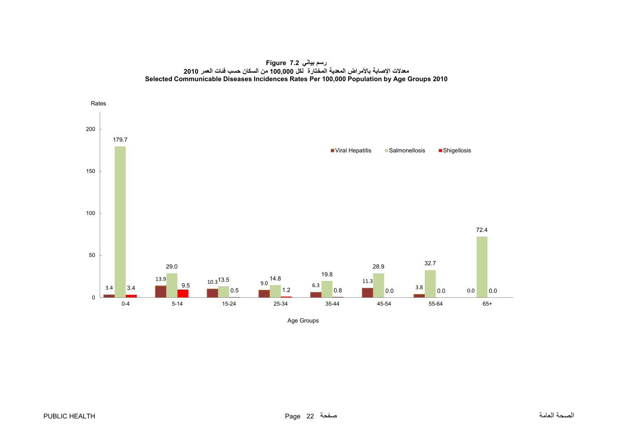**رسم بياني 7.2 Figure معدالت اإلصابة باألمراض المعدية المختارة لكل 100,000 من السكان حسب فئات العمر <sup>2010</sup> Selected Communicable Diseases Incidences Rates Per 100,000 Population by Age Groups 2010**

<span id="page-22-0"></span>

Age Groups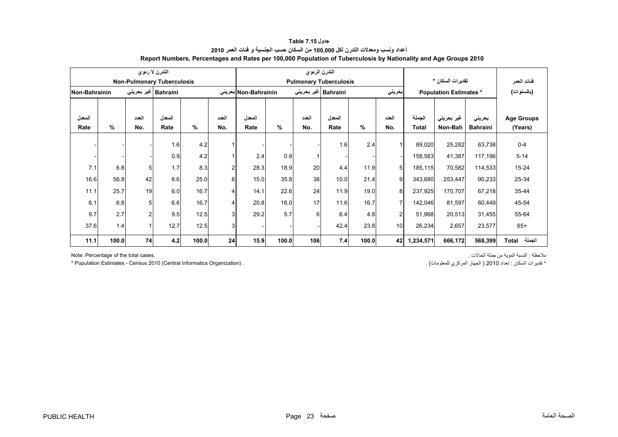<span id="page-23-0"></span>

|               |       |                | التدرن لا رئوى                    |       |       |                      |       | التدرن الرئوي |                               |       |                |              |                              |                 |                   |
|---------------|-------|----------------|-----------------------------------|-------|-------|----------------------|-------|---------------|-------------------------------|-------|----------------|--------------|------------------------------|-----------------|-------------------|
|               |       |                | <b>Non-Pulmonary Tuberculosis</b> |       |       |                      |       |               | <b>Pulmonary Tuberculosis</b> |       |                |              | تقديرات السكان *             |                 | فنات العمر        |
| Non-Bahrainin |       |                | Bahraini   غیر بحریئ <i>ی</i>     |       |       | Non-Bahrainin بحرينى |       |               | Bahraini   غیر بحرینی         |       | بحريني         |              | <b>Population Estimates*</b> |                 | (بالسنوات)        |
|               |       |                |                                   |       |       |                      |       |               |                               |       |                |              |                              |                 |                   |
| المعدل        |       | العدد          | المعدل                            |       | العدد | المعدل               |       | العدد         | المعدل                        |       | العدد          | الجملة       | غير بحريني                   | بحرينى          | <b>Age Groups</b> |
| Rate          | %     | No.            | Rate                              | $\%$  | No.   | Rate                 | $\%$  | No.           | Rate                          | %     | No.            | <b>Total</b> | Non-Bah                      | <b>Bahraini</b> | (Years)           |
|               |       |                | 1.6                               | 4.2   |       |                      |       |               | 1.6                           | 2.4   |                | 89,020       | 25,282                       | 63,738          | $0 - 4$           |
|               |       |                | 0.9                               | 4.2   |       | 2.4                  | 0.9   |               |                               |       |                | 158,583      | 41,387                       | 117,196         | $5 - 14$          |
| 7.1           | 6.8   | 5              | 1.7                               | 8.3   | 2     | 28.3                 | 18.9  | 20            | 4.4                           | 11.9  | 5 <sup>1</sup> | 185,115      | 70,582                       | 114,533         | $15 - 24$         |
| 16.6          | 56.8  | 42             | 6.6                               | 25.0  | 6     | 15.0                 | 35.8  | 38            | 10.0                          | 21.4  | 9              | 343,680      | 253,447                      | 90,233          | 25-34             |
| 11.1          | 25.7  | 19             | 6.0                               | 16.7  | 4     | 14.1                 | 22.6  | 24            | 11.9                          | 19.0  | 8              | 237,925      | 170,707                      | 67,218          | 35-44             |
| 6.1           | 6.8   | 5              | 6.6                               | 16.7  | 4     | 20.8                 | 16.0  | 17            | 11.6                          | 16.7  | 7              | 142,046      | 81,597                       | 60,449          | 45-54             |
| 9.7           | 2.7   | $\overline{2}$ | 9.5                               | 12.5  | 3     | 29.2                 | 5.7   | 6             | 6.4                           | 4.8   | $\mathfrak{p}$ | 51,968       | 20,513                       | 31,455          | 55-64             |
| 37.6          | 1.4   | 1              | 12.7                              | 12.5  | 3     |                      |       |               | 42.4                          | 23.8  | 10             | 26,234       | 2,657                        | 23,577          | $65+$             |
| 11.1          | 100.0 | 74             | 4.2                               | 100.0 | 24    | 15.9                 | 100.0 | 106           | 7.4                           | 100.0 | 42             | 1,234,571    | 666,172                      | 568,399         | الجملة<br>Total   |

# **جدول 7.15 Table أعداد ونسب ومعدالت التدرن لكل 100,000 من السكان حسب الجنسية <sup>و</sup> فئات العمر <sup>2010</sup> Report Numbers, Percentages and Rates per 100,000 Population of Tuberculosis by Nationality and Age Groups 2010**

\* Population Estimates - Census 2010 (Central Informatics Organization) .

ملاحظة : النسبة المؤية من جملة الحالات . .<br>ملاحظة : النسبة المؤية من جملة الحالات .

\* تقدير ات السكان : تعداد 2010 ( الجهاز المركزي للمعلومات) .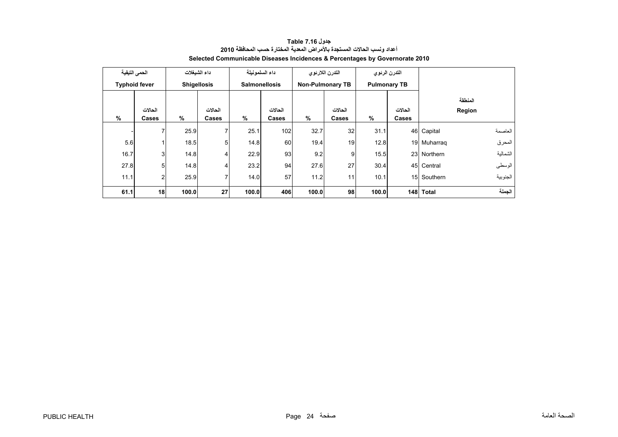<span id="page-24-0"></span>

|      | الحمى التيفية        |                   | داء الشبغلات       |       | داء السلمونيلة       | التدرن اللارنوى         |                |       | التدرن الرئوى       |             |          |
|------|----------------------|-------------------|--------------------|-------|----------------------|-------------------------|----------------|-------|---------------------|-------------|----------|
|      | <b>Typhoid fever</b> |                   | <b>Shigellosis</b> |       | <b>Salmonellosis</b> | <b>Non-Pulmonary TB</b> |                |       | <b>Pulmonary TB</b> |             |          |
|      |                      |                   |                    |       |                      |                         |                |       |                     |             | المنطقة  |
|      | الحالات              | الحالات           |                    |       | الحالات              |                         |                |       | الحالات             |             | Region   |
| %    | Cases                | %                 | Cases              | $\%$  | Cases                | $\%$                    | Cases          | %     | Cases               |             |          |
|      | $\overline{ }$       | 25.9              | 7                  | 25.1  | 102                  | 32.7                    | 32             | 31.1  |                     | 46 Capital  | العاصمة  |
| 5.6  |                      | 18.5              | 5                  | 14.8  | 60                   | 19.4                    | 19             | 12.8  |                     | 19 Muharrag | المحرق   |
| 16.7 | 3                    | 14.8              | 4                  | 22.9  | 93                   | 9.2                     | $\overline{9}$ | 15.5  |                     | 23 Northern | الشمالية |
| 27.8 | 5                    | 14.8              | 4                  | 23.2  | 94                   | 27.6                    | 27             | 30.4  |                     | 45 Central  | الوسطى   |
| 11.1 | $\overline{c}$       | 25.9              | 7                  | 14.0  | 57                   | 11.2                    | 11             |       | 10.1<br>15 Southern |             | الجنوبية |
| 61.1 |                      | 18<br>27<br>100.0 |                    | 100.0 | 406                  | 98<br>100.0             |                | 100.0 |                     | 148 Total   | الجملة   |

**جدول 7.16 Table أعداد ونسب الحاالت المستجدة باألمراض المعدية المختارة حسب المحافظة <sup>2010</sup> Selected Communicable Diseases Incidences & Percentages by Governorate 2010**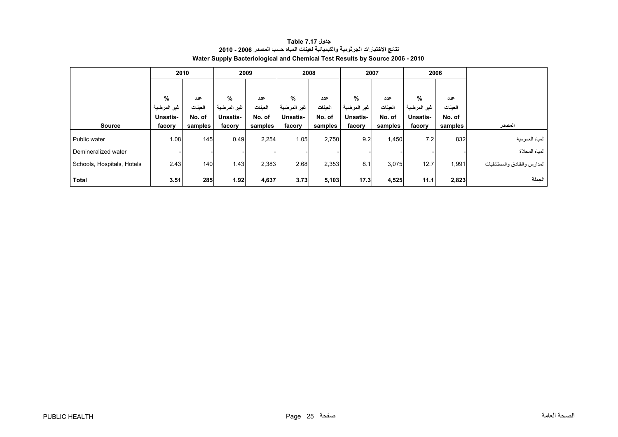<span id="page-25-0"></span>

|                            |             | 2010<br>2009 |             |         | 2008            |         | 2007            |         | 2006        |         |                              |
|----------------------------|-------------|--------------|-------------|---------|-----------------|---------|-----------------|---------|-------------|---------|------------------------------|
|                            |             |              |             |         |                 |         |                 |         |             |         |                              |
|                            | %           | عدد          | %           | عدد     | %               | عدد     | %               | عدد     | %           | عدد     |                              |
|                            | غير المرضية | العينات      | غير المرضية | العينات | غير المرضية     | العينات | غير المرضية     | العينات | غير المرضية | العينات |                              |
|                            | Unsatis-    | No. of       | Unsatis-    | No. of  | <b>Unsatis-</b> | No. of  | <b>Unsatis-</b> | No. of  | Unsatis-    | No. of  |                              |
| <b>Source</b>              | facory      | samples      | facory      | samples | facory          | samples | facory          | samples | facory      | samples | المصدر                       |
| Public water               | 1.08        | 145          | 0.49        | 2,254   | 1.05            | 2,750   | 9.2             | 1,450   | 7.2         | 832     | المياه العمومية              |
| Demineralized water        |             |              |             |         |                 |         |                 |         |             |         | المياه المحلاة               |
| Schools, Hospitals, Hotels | 2.43        | 140          | 1.43        | 2,383   | 2.68            | 2,353   | 8.1             | 3,075   | 12.7        | 1,991   | المدارس والفنادق والمستشفيات |
| <b>Total</b>               | 3.51        | 285          | 1.92        | 4,637   | 3.73            | 5,103   | 17.3            | 4,525   | 11.1        | 2,823   | الجملة                       |

# **جدول 7.17 Table نتائج االختبارات الجرثومية والكيميائية لعينات المياه حسب المصدر 2006 - 2010 Water Supply Bacteriological and Chemical Test Results by Source 2006 - 2010**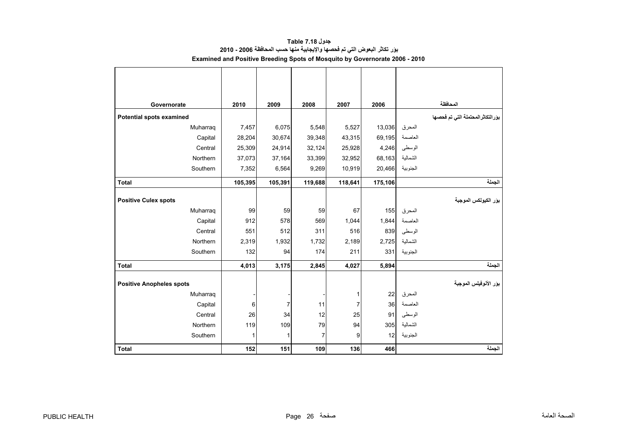<span id="page-26-0"></span>

| Governorate                     | 2010    | 2009           | 2008    | 2007           | 2006    |                   | المحافظة                          |
|---------------------------------|---------|----------------|---------|----------------|---------|-------------------|-----------------------------------|
| Potential spots examined        |         |                |         |                |         |                   | بوَرالتكاثرالمحتملة التي تم فحصها |
| Muharraq                        | 7,457   | 6,075          | 5,548   | 5,527          | 13,036  | المحرق            |                                   |
| Capital                         | 28,204  | 30,674         | 39,348  | 43,315         | 69,195  | العاصمة           |                                   |
| Central                         | 25,309  | 24,914         | 32,124  | 25,928         | 4,246   | الوسطى            |                                   |
| Northern                        | 37,073  | 37,164         | 33,399  | 32,952         | 68,163  | الشمالية          |                                   |
| Southern                        | 7,352   | 6,564          | 9,269   | 10,919         | 20,466  | الجنوبية          |                                   |
| <b>Total</b>                    | 105,395 | 105,391        | 119,688 | 118,641        | 175,106 |                   | الجملة                            |
|                                 |         |                |         |                |         |                   |                                   |
| <b>Positive Culex spots</b>     |         |                |         |                |         |                   | بؤر الكيولكس الموجبة              |
| Muharraq                        | 99      | 59             | 59      | 67             | 155     | المحرق            |                                   |
| Capital                         | 912     | 578            | 569     | 1,044          | 1,844   | العاصمة           |                                   |
| Central                         | 551     | 512            | 311     | 516            | 839     | الوسطى            |                                   |
| Northern                        | 2,319   | 1,932          | 1,732   | 2,189          | 2,725   | الشمالية          |                                   |
| Southern                        | 132     | 94             | 174     | 211            | 331     | الجنوبية          |                                   |
| <b>Total</b>                    | 4,013   | 3,175          | 2,845   | 4,027          | 5,894   |                   | الجملة                            |
|                                 |         |                |         |                |         |                   | بور الأنوفيلس الموجبة             |
| <b>Positive Anopheles spots</b> |         |                |         |                |         |                   |                                   |
| Muharraq                        |         |                |         | 1              | 22      | المحرق<br>العاصمة |                                   |
| Capital                         | 6       | $\overline{7}$ | 11      | $\overline{7}$ | 36      |                   |                                   |
| Central                         | 26      | 34             | 12      | 25             | 91      | الوسطى            |                                   |
| Northern                        | 119     | 109            | 79      | 94             | 305     | الشمالية          |                                   |
| Southern                        | 1       | 1              | 7       | 9              | 12      | الجنوبية          |                                   |
| <b>Total</b>                    | 152     | 151            | 109     | 136            | 466     |                   | الجملة                            |

**جدول 7.18 Table بؤر تكاثر البعوض التي تم فحصھا واإليجابية منھا حسب المحافظة 2006 - 2010 Examined and Positive Breeding Spots of Mosquito by Governorate 2006 - 2010**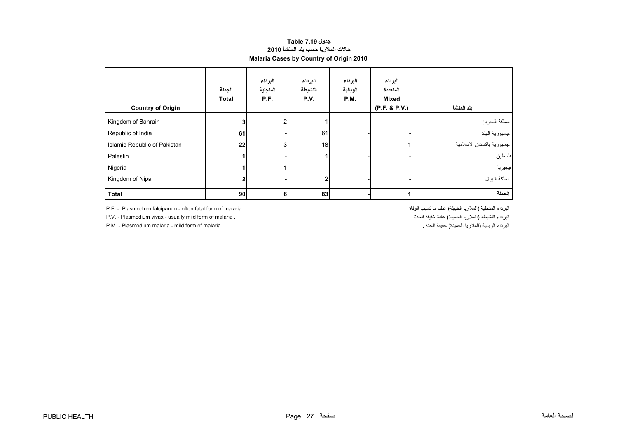# **حاالت المالريا حسب بلد المنشأ <sup>2010</sup> Malaria Cases by Country of Origin 2010 جدول 7.19 Table**

<span id="page-27-0"></span>

| <b>Country of Origin</b>     | الجملة<br><b>Total</b> | البرداء<br>المنجلية<br>P.F. | البرداء<br>النشيطة<br>P.V. | البرداء<br>الوبالية<br>P.M. | البرداء<br>المتعددة<br>Mixed<br>(P.F. & P.V.) | بلد المنشأ                |
|------------------------------|------------------------|-----------------------------|----------------------------|-----------------------------|-----------------------------------------------|---------------------------|
| Kingdom of Bahrain           | 3 <sub>1</sub>         | $\overline{2}$              |                            |                             |                                               | مملكة البحرين             |
| Republic of India            | 61                     |                             | 61                         |                             |                                               | ا جمهورية الهند           |
| Islamic Republic of Pakistan | 22                     | 3 <sub>l</sub>              | 18                         |                             |                                               | جمهورية باكستان الاسلامية |
| Palestin                     |                        |                             |                            |                             |                                               | فلسطين                    |
| Nigeria                      |                        |                             |                            |                             |                                               | انيجيريا                  |
| Kingdom of Nipal             | 2                      |                             | 2                          |                             |                                               | مملكة النيبال             |
| <b>Total</b>                 | 90                     | 6                           | 83                         |                             |                                               | الجملة                    |

P.F. - Plasmodium falciparum - often fatal form of malaria . . الوفاة تسبب ما غالبا) الخبيثة المالريا (المنجلية البرداء

P.V. - Plasmodium vivax - usually mild form of malaria . . الحدة خفيفة عادة) الحميدة المالريا (النشيطة البرداء . الحدة العدة المساحة المستقبل المستقبل المستقبل المستقبل المستقبل المستقبل المستقبل المستقبل المستقبل المستقب البرداء الوبالية (الملاريا الحميدة) خفيفة الحدة .

P.M. - Plasmodium malaria - mild form of malaria .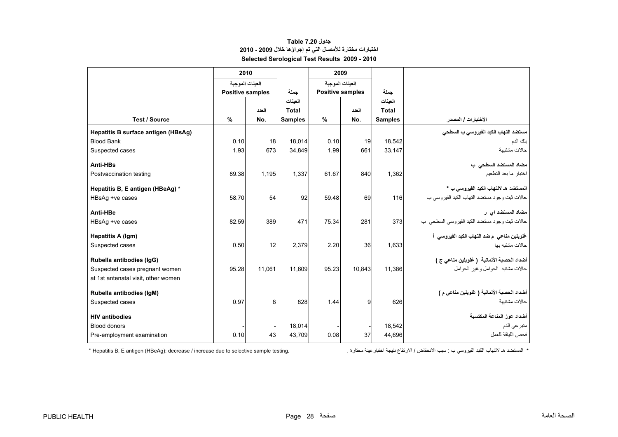# **جدول 7.20 Table اختبارات مختارة لألمصال التي تم إجراؤھا خالل 2009 - 2010 Selected Serological Test Results 2009 - 2010**

<span id="page-28-0"></span>

|                                     | 2010                    |                 |                |       | 2009                    |                |                                              |
|-------------------------------------|-------------------------|-----------------|----------------|-------|-------------------------|----------------|----------------------------------------------|
|                                     | العينات الموجبة         |                 |                |       | العينات الموجبة         |                |                                              |
|                                     | <b>Positive samples</b> |                 | جملة           |       | <b>Positive samples</b> | حملة           |                                              |
|                                     |                         |                 | العينات        |       |                         | العينات        |                                              |
|                                     |                         | العدد           | Total          |       | العدد                   | <b>Total</b>   |                                              |
| <b>Test / Source</b>                | $\%$                    | No.             | <b>Samples</b> | %     | No.                     | <b>Samples</b> | الأختبارات / المصدر                          |
| Hepatitis B surface antigen (HBsAg) |                         |                 |                |       |                         |                | مستضد التهاب الكبد الفيروسي ب السطحي         |
| <b>Blood Bank</b>                   | 0.10                    | 18 <sup>l</sup> | 18.014         | 0.10  | 19                      | 18.542         | بنك الدم                                     |
| Suspected cases                     | 1.93                    | 673             | 34,849         | 1.99  | 661                     | 33,147         | حالات مشتبهة                                 |
| Anti-HBs                            |                         |                 |                |       |                         |                | مضاد المستضد السطحي ب                        |
| Postvaccination testing             | 89.38                   | 1,195           | 1,337          | 61.67 | 840                     | 1,362          | اختبار ما بعد التطعيم                        |
| Hepatitis B, E antigen (HBeAg) *    |                         |                 |                |       |                         |                | المستضد هـ لالتهاب الكبد الفير وسي ب *       |
| HBsAg +ve cases                     | 58.70                   | 54              | 92             | 59.48 | 69                      | 116            | حالات ثبت وجود مستضد التهاب الكبد الفيروسي ب |
| Anti-HBe                            |                         |                 |                |       |                         |                | مضاد المستضد اي ر                            |
| HBsAq +ve cases                     | 82.59                   | 389             | 471            | 75.34 | 281                     | 373            | حالات ثبت وجود مستضد الكبد الفيروسي السطحي ب |
| Hepatitis A (Igm)                   |                         |                 |                |       |                         |                | غلوبلين مناعي  م ضد التهاب الكبد الفيروسي  أ |
| Suspected cases                     | 0.50                    | 12              | 2,379          | 2.20  | 36                      | 1,633          | حالات مشتبه بها                              |
| Rubella antibodies (IgG)            |                         |                 |                |       |                         |                | أضداد الحصبة الألمانية ( غلوبلين مناعي ج )   |
| Suspected cases pregnant women      | 95.28                   | 11,061          | 11,609         | 95.23 | 10,843                  | 11,386         | حالات مشتبه الحوامل وغير الحوامل             |
| at 1st antenatal visit, other women |                         |                 |                |       |                         |                |                                              |
| Rubella antibodies (IqM)            |                         |                 |                |       |                         |                | أضداد الحصبة الألمانية ( غلوبلين مناعي م )   |
| Suspected cases                     | 0.97                    | 8               | 828            | 1.44  | 9                       | 626            | حالات مشتبهة                                 |
| <b>HIV antibodies</b>               |                         |                 |                |       |                         |                | أضداد عوز المناعة المكتسبة                   |
| <b>Blood donors</b>                 |                         |                 | 18.014         |       |                         | 18,542         | متبر عي الدم                                 |
| Pre-employment examination          | 0.10                    | 43              | 43,709         | 0.08  | 37                      | 44,696         | فحص اللياقة للعمل                            |

\* المستضد ھـ

\* Hepatitis B, E antigen (HBeAg): decrease / increase due to selective sample testing.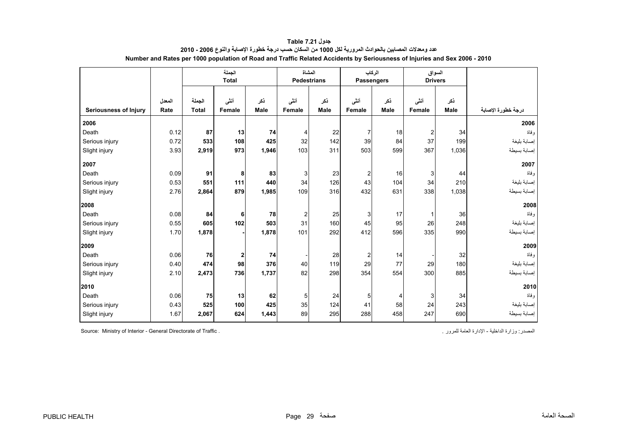<span id="page-29-0"></span>

|                              |                |                        | الجملة<br><b>Total</b> |             |                       | المشاة<br><b>Pedestrians</b> | الركاب<br><b>Passengers</b> |             |                      | السواق<br><b>Drivers</b> |                    |
|------------------------------|----------------|------------------------|------------------------|-------------|-----------------------|------------------------------|-----------------------------|-------------|----------------------|--------------------------|--------------------|
| <b>Seriousness of Injury</b> | المعدل<br>Rate | الجملة<br><b>Total</b> | أننى<br>Female         | نكر<br>Male | أننى<br><b>Female</b> | نكر<br>Male                  | أننى<br>Female              | ذكر<br>Male | أننى<br>Female       | ذكر<br><b>Male</b>       | درجة خطورة الإصابة |
| 2006                         |                |                        |                        |             |                       |                              |                             |             |                      |                          |                    |
|                              |                |                        |                        |             |                       |                              |                             |             |                      |                          | 2006<br>و فاة      |
| Death                        | 0.12           | 87                     | 13                     | 74          | 4                     | 22                           | $\overline{7}$<br>39        | 18          | $\overline{2}$<br>37 | 34                       |                    |
| Serious injury               | 0.72           | 533                    | 108                    | 425         | 32                    | 142                          |                             | 84          |                      | 199                      | إصابة بليغة        |
| Slight injury                | 3.93           | 2,919                  | 973                    | 1,946       | 103                   | 311                          | 503                         | 599         | 367                  | 1,036                    | إصبابة بسيطة       |
| 2007                         |                |                        |                        |             |                       |                              |                             |             |                      |                          | 2007               |
| Death                        | 0.09           | 91                     | 8                      | 83          | 3                     | 23                           | $\mathbf{2}$                | 16          | 3                    | 44                       | و فاة              |
| Serious injury               | 0.53           | 551                    | 111                    | 440         | 34                    | 126                          | 43                          | 104         | 34                   | 210                      | إصابة بليغة        |
| Slight injury                | 2.76           | 2,864                  | 879                    | 1,985       | 109                   | 316                          | 432                         | 631         | 338                  | 1,038                    | إصبابة بسيطة       |
| 2008                         |                |                        |                        |             |                       |                              |                             |             |                      |                          | 2008               |
| Death                        | 0.08           | 84                     | 6                      | 78          | 2                     | 25                           | $\mathbf{3}$                | 17          | $\mathbf{1}$         | 36                       | وفاة               |
| Serious injury               | 0.55           | 605                    | 102                    | 503         | 31                    | 160                          | 45                          | 95          | 26                   | 248                      | إصابة بليغة        |
| Slight injury                | 1.70           | 1,878                  |                        | 1,878       | 101                   | 292                          | 412                         | 596         | 335                  | 990                      | إصابة بسيطة        |
| 2009                         |                |                        |                        |             |                       |                              |                             |             |                      |                          | 2009               |
| Death                        | 0.06           | 76                     | $\mathbf{2}$           | 74          |                       | 28                           | $\overline{c}$              | 14          |                      | 32                       | و فاة              |
| Serious injury               | 0.40           | 474                    | 98                     | 376         | 40                    | 119                          | 29                          | 77          | 29                   | 180                      | إصابة بليغة        |
| Slight injury                | 2.10           | 2,473                  | 736                    | 1,737       | 82                    | 298                          | 354                         | 554         | 300                  | 885                      | إصابة بسيطة        |
| 2010                         |                |                        |                        |             |                       |                              |                             |             |                      |                          | 2010               |
| Death                        | 0.06           | 75                     | 13                     | 62          | 5                     | 24                           | 5 <sub>5</sub>              | 4           | 3                    | 34                       | وفاة               |
| Serious injury               | 0.43           | 525                    | 100                    | 425         | 35                    | 124                          | 41                          | 58          | 24                   | 243                      | إصابة بليغة        |
| Slight injury                | 1.67           | 2,067                  | 624                    | 1,443       | 89                    | 295                          | 288                         | 458         | 247                  | 690                      | إصبابة بسيطة       |

**جدول 7.21 Table عدد ومعدالت المصابين بالحوادث المرورية لكل <sup>1000</sup> من السكان حسب درجة خطورة اإلصابة والنوع 2006 - 2010 Number and Rates per 1000 population of Road and Traffic Related Accidents by Seriousness of Injuries and Sex 2006 - 2010** 

Source: Ministry of Interior - General Directorate of Traffic . . للمرور العامة اإلدارة - الداخلية وزارة :المصدر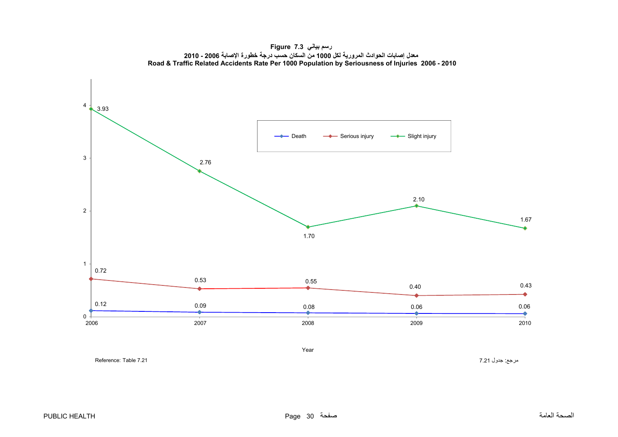<span id="page-30-0"></span>4 3.93 - Death - Serious injury - Slight injury 3 2.76 2.10 2 1.67 1.70 10.72 0.53 $3 \hspace{2.5cm} 0.55$ 0.40 0.43 ÷ 0.12 0.09 0.08 0.06 0.06 ó  $\bullet$ 0 2010 2006 2007 2008 2009 2010



مرجع: جدول 7.21 7.21 7.21 Table 7.21 7.21 7.21 Table 7.21 مرجع: جدول 7.21 Reference: Table 7.21

Year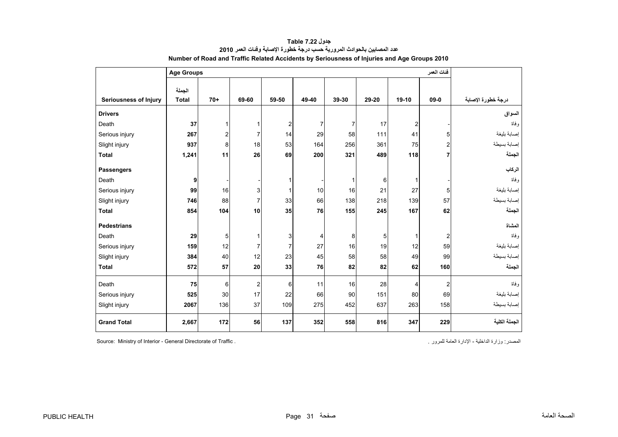<span id="page-31-0"></span>

|                              | <b>Age Groups</b> |       | فئات العمر              |                         |                |       |       |                         |                |                    |
|------------------------------|-------------------|-------|-------------------------|-------------------------|----------------|-------|-------|-------------------------|----------------|--------------------|
|                              | الجملة            |       |                         |                         |                |       |       |                         |                |                    |
| <b>Seriousness of Injury</b> | <b>Total</b>      | $70+$ | 69-60                   | 59-50                   | 49-40          | 39-30 | 29-20 | $19-10$                 | $09 - 0$       | درجة خطورة الإصابة |
| <b>Drivers</b>               |                   |       |                         |                         |                |       |       |                         |                | السواق             |
| Death                        | 37                | 1     | 1                       | $\overline{\mathbf{c}}$ | $\overline{7}$ | 7     | 17    | $\overline{\mathbf{c}}$ |                | وفاة               |
| Serious injury               | 267               | 2     | $\overline{7}$          | 14                      | 29             | 58    | 111   | 41                      | 5              | إصابة بليغة        |
| Slight injury                | 937               | 8     | 18                      | 53                      | 164            | 256   | 361   | 75                      | $\overline{2}$ | إصابة بسيطة        |
| <b>Total</b>                 | 1,241             | 11    | 26                      | 69                      | 200            | 321   | 489   | 118                     | $\overline{7}$ | الجملة             |
| <b>Passengers</b>            |                   |       |                         |                         |                |       |       |                         |                | الركاب             |
| Death                        | 9                 |       |                         | 1                       |                | 1     | 6     | $\mathbf{1}$            |                | وفاة               |
| Serious injury               | 99                | 16    | 3                       | 1                       | 10             | 16    | 21    | 27                      | 5              | إصابة بليغة        |
| Slight injury                | 746               | 88    | $\overline{7}$          | 33                      | 66             | 138   | 218   | 139                     | 57             | إصابة بسيطة        |
| <b>Total</b>                 | 854               | 104   | 10                      | 35                      | 76             | 155   | 245   | 167                     | 62             | الجملة             |
| <b>Pedestrians</b>           |                   |       |                         |                         |                |       |       |                         |                | المشاة             |
| Death                        | 29                | 5     | $\mathbf{1}$            | 3                       | 4              | 8     | 5     | 1                       | $\overline{2}$ | وفاة               |
| Serious injury               | 159               | 12    | $\overline{7}$          | 7                       | 27             | 16    | 19    | 12                      | 59             | إصابة بليغة        |
| Slight injury                | 384               | 40    | 12                      | 23                      | 45             | 58    | 58    | 49                      | 99             | إصابة بسيطة        |
| <b>Total</b>                 | 572               | 57    | 20                      | 33                      | 76             | 82    | 82    | 62                      | 160            | الجملة             |
| Death                        | 75                | 6     | $\overline{\mathbf{c}}$ | 6                       | 11             | 16    | 28    | 4                       | $\overline{2}$ | و فاة              |
| Serious injury               | 525               | 30    | 17                      | 22                      | 66             | 90    | 151   | 80                      | 69             | إصابة بليغة        |
| Slight injury                | 2067              | 136   | 37                      | 109                     | 275            | 452   | 637   | 263                     | 158            | إصابة بسيطة        |
| <b>Grand Total</b>           | 2,667             | 172   | 56                      | 137                     | 352            | 558   | 816   | 347                     | 229            | الجملة الكلية      |

**جدول 7.22 Table عدد المصابين بالحوادث المرورية حسب درجة خطورة اإلصابة وفئات العمر<sup>2010</sup> Number of Road and Traffic Related Accidents by Seriousness of Injuries and Age Groups 2010** 

Source: Ministry of Interior - General Directorate of Traffic . . للمرور العامة اإلدارة - الداخلية وزارة :المصدر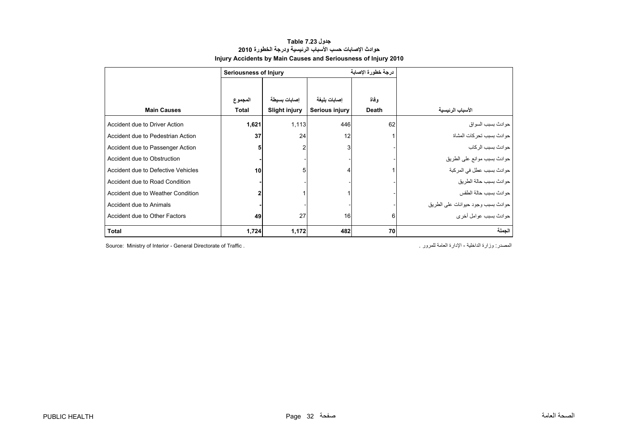# **جدول 7.23 Table حوادث اإلصابات حسب األسباب الرئيسية ودرجة الخطورة <sup>2010</sup> Injury Accidents by Main Causes and Seriousness of Injury 2010**

<span id="page-32-0"></span>

|                                    | Seriousness of Injury |                      |                | درجة خطورة الاصابة |                                    |
|------------------------------------|-----------------------|----------------------|----------------|--------------------|------------------------------------|
|                                    |                       |                      |                |                    |                                    |
|                                    | المجموع               | إصابات بسيطة         | إصابات بليغة   | وفاة               |                                    |
| <b>Main Causes</b>                 | Total                 | <b>Slight injury</b> | Serious injury | <b>Death</b>       | الأسباب الرئيسية                   |
| Accident due to Driver Action      | 1,621                 | 1,113                | 446            | 62                 | حو ادث بسبب السو اق                |
| Accident due to Pedestrian Action  | 37                    | 24                   | 12             |                    | حوادث بسبب تحركات المشاة           |
| Accident due to Passenger Action   |                       | $\overline{2}$       | 3              |                    | حو ادث بسبب الر کاب                |
| Accident due to Obstruction        |                       |                      |                |                    | حوادث بسبب موانع على الطريق        |
| Accident due to Defective Vehicles | 10                    | 5                    | 4              |                    | حوادث بسبب عطل في المركبة          |
| Accident due to Road Condition     |                       |                      |                |                    | حوادث بسبب حالة الطريق             |
| Accident due to Weather Condition  |                       |                      |                |                    | حو ادث بسبب حالة الطقس             |
| Accident due to Animals            |                       |                      |                |                    | حوادث بسبب وجود حيوانات على الطريق |
| Accident due to Other Factors      | 49                    | 27                   | 16             | 6                  | جو ادث بسبب عو امل اُخر ي          |
| <b>Total</b>                       | 1,724                 | 1,172                | 482            | 70                 | الجملة                             |

Source: Ministry of Interior - General Directorate of Traffic . . للمرور العامة اإلدارة - الداخلية وزارة :المصدر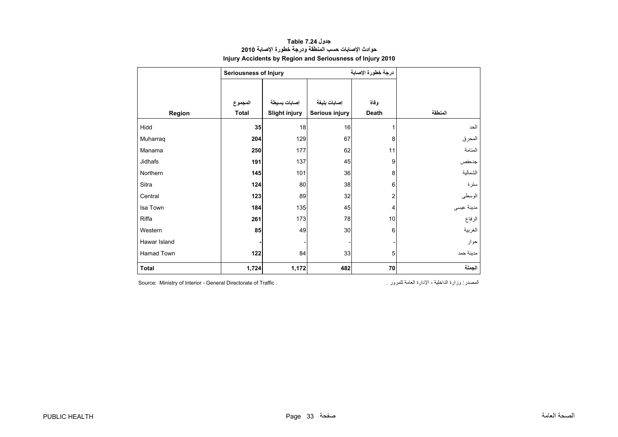# **جدول 7.24 Table حوادث اإلصابات حسب المنطقة ودرجة خطورة اإلصابة <sup>2010</sup> Injury Accidents by Region and Seriousness of Injury 2010**

<span id="page-33-0"></span>

|              | <b>Seriousness of Injury</b> |                      |                | درجة خطورة الإصابة      |            |
|--------------|------------------------------|----------------------|----------------|-------------------------|------------|
|              |                              |                      |                |                         |            |
|              | المجموع                      | إصابات بسيطة         | إصابات بليغة   | وفاة                    |            |
| Region       | <b>Total</b>                 | <b>Slight injury</b> | Serious injury | Death                   | المنطقة    |
| Hidd         | 35                           | 18                   | 16             | 1                       | الحد       |
| Muharraq     | 204                          | 129                  | 67             | 8                       | المحرق     |
| Manama       | 250                          | 177                  | 62             | 11                      | المنامة    |
| Jidhafs      | 191                          | 137                  | 45             | 9                       | جدحفص      |
| Northern     | 145                          | 101                  | 36             | 8                       | الشمالية   |
| Sitra        | 124                          | 80                   | 38             | 6                       | سترة       |
| Central      | 123                          | 89                   | 32             | $\overline{\mathbf{c}}$ | الوسطى     |
| Isa Town     | 184                          | 135                  | 45             | 4                       | مدينة عيسى |
| Riffa        | 261                          | 173                  | 78             | 10                      | الرفاع     |
| Western      | 85                           | 49                   | 30             | 6                       | الغربية    |
| Hawar Island |                              |                      |                |                         | حوار       |
| Hamad Town   | 122                          | 84                   | 33             | 5                       | مدينة حمد  |
| <b>Total</b> | 1,724                        | 1,172                | 482            | 70                      | الجملة     |

المصدر: وزارة الداخلية - الإدارة العامة للمرور . . . . . . Source: Ministry of Interior - General Directorate of Traffic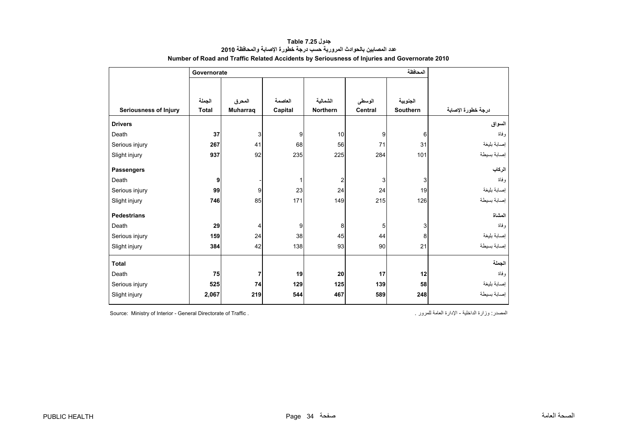<span id="page-34-0"></span>

|                              | Governorate  |          |         |                 |                |          |                    |
|------------------------------|--------------|----------|---------|-----------------|----------------|----------|--------------------|
|                              |              |          |         |                 |                |          |                    |
|                              | الجملة       | المحرق   | العاصمة | الشمالية        | الوسطى         | الجنوبية |                    |
| <b>Seriousness of Injury</b> | <b>Total</b> | Muharraq | Capital | <b>Northern</b> | <b>Central</b> | Southern | درجة خطورة الإصابة |
| <b>Drivers</b>               |              |          |         |                 |                |          | السواق             |
| Death                        | 37           | 3        | 9       | 10              | 9              | 6        | و فاة              |
| Serious injury               | 267          | 41       | 68      | 56              | 71             | 31       | إصابة بليغة        |
| Slight injury                | 937          | 92       | 235     | 225             | 284            | 101      | إصابة بسيطة        |
| <b>Passengers</b>            |              |          |         |                 |                |          | الركاب             |
| Death                        | 9            |          |         | 2               | 3              | 3        | وفاة               |
| Serious injury               | 99           | 9        | 23      | 24              | 24             | 19       | إصابة بليغة        |
| Slight injury                | 746          | 85       | 171     | 149             | 215            | 126      | إصابة بسيطة        |
| <b>Pedestrians</b>           |              |          |         |                 |                |          | المشاة             |
| Death                        | 29           | 4        | 9       | 8               | 5              | 3        | و فاة              |
| Serious injury               | 159          | 24       | 38      | 45              | 44             | 8        | إصابة بليغة        |
| Slight injury                | 384          | 42       | 138     | 93              | 90             | 21       | إصابة بسيطة        |
| <b>Total</b>                 |              |          |         |                 |                |          | الجملة             |
| Death                        | 75           | 7        | 19      | 20              | 17             | 12       | و فاة              |
| Serious injury               | 525          | 74       | 129     | 125             | 139            | 58       | إصابة بليغة        |
| Slight injury                | 2,067        | 219      | 544     | 467             | 589            | 248      | إصابة بسيطة        |

**جدول 7.25 Table عدد المصابين بالحوادث المرورية حسب درجة خطورة اإلصابة والمحافظة<sup>2010</sup> Number of Road and Traffic Related Accidents by Seriousness of Injuries and Governorate 2010** 

Source: Ministry of Interior - General Directorate of Traffic . . للمرور العامة اإلدارة - الداخلية وزارة :المصدر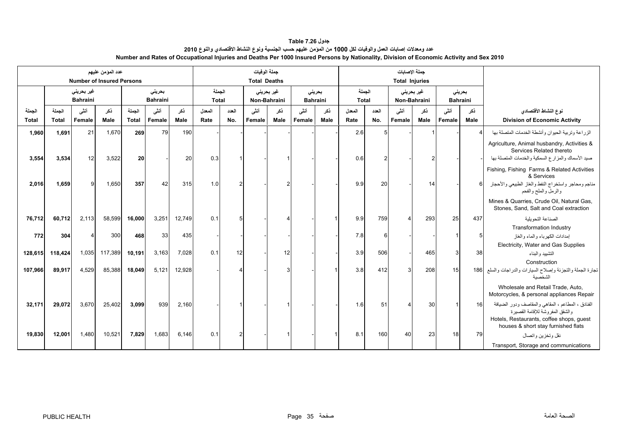## **جدول 7.26 Table عدد ومعدالت إصابات العمل والوفيات لكل 1000 من المؤمن عليھم حسب الجنسية ونوع النشاط االقتصادي والنوع <sup>2010</sup> Number and Rates of Occupational Injuries and Deaths Per 1000 Insured Persons by Nationality, Division of Economic Activity and Sex 2010**

<span id="page-35-0"></span>

|                        | عدد المؤمن عليهم<br><b>Number of Insured Persons</b> |                                       |             |                        |                           |             | جملة الوفيات<br><b>Total Deaths</b> |               |                |                            |                           |             |                        |              | جملة الإصابات<br><b>Total Injuries</b> |             |                |                           |                                                                                                                                                                           |
|------------------------|------------------------------------------------------|---------------------------------------|-------------|------------------------|---------------------------|-------------|-------------------------------------|---------------|----------------|----------------------------|---------------------------|-------------|------------------------|--------------|----------------------------------------|-------------|----------------|---------------------------|---------------------------------------------------------------------------------------------------------------------------------------------------------------------------|
|                        |                                                      | غیر بحرین <i>ی</i><br><b>Bahraini</b> |             |                        | بحريني<br><b>Bahraini</b> |             | الجملة<br><b>Total</b>              |               |                | غير بحريني<br>Non-Bahraini | بحرينى<br><b>Bahraini</b> |             | الجملة<br><b>Total</b> |              | غیر بحرین <i>ی</i><br>Non-Bahraini     |             |                | بحرينى<br><b>Bahraini</b> |                                                                                                                                                                           |
| الجملة<br><b>Total</b> | الحملة<br><b>Total</b>                               | أنشى<br>Female                        | ذكر<br>Male | الجملة<br><b>Total</b> | أنشى<br>Female            | ذكر<br>Male | المعدل<br>Rate                      | العدد<br>No.  | أنشى<br>Female | نكر<br>Male                | أنشى<br>Female            | نكر<br>Male | المعدل<br>Rate         | العدد<br>No. | أنشى<br>Female                         | ذكر<br>Male | أنشى<br>Female | ذكر<br>Male               | نوع النشاط الأقتصادي<br><b>Division of Economic Activity</b>                                                                                                              |
| 1,960                  | 1,691                                                | 21                                    | 1,670       | 269                    | 79                        | 190         |                                     |               |                |                            |                           |             | 2.6                    |              |                                        |             |                |                           | الزراعة وتربية الحيوان وأنشطة الخدمات المتصلة بها                                                                                                                         |
| 3,554                  | 3,534                                                | 12                                    | 3,522       | 20                     |                           | 20          | 0.3                                 |               |                |                            |                           |             | 0.6                    |              |                                        |             |                |                           | Agriculture, Animal husbandry, Activities &<br>Services Related thereto<br>صيد الأسماك والمزارع السمكية والخدمات المتصلة بها                                              |
|                        |                                                      |                                       |             |                        |                           |             |                                     |               |                |                            |                           |             |                        |              |                                        |             |                |                           | Fishing, Fishing Farms & Related Activities<br>& Services                                                                                                                 |
| 2,016                  | 1.659                                                |                                       | 1,650       | 357                    | 42                        | 315         | 1.0                                 |               |                |                            |                           |             | 9.9                    | 20           |                                        | 14          |                | $6 \overline{6}$          | مناجم ومحاجر واستخراج النفط والغاز الطبيعي والأحجار<br>والرمل والملح والفحم                                                                                               |
|                        |                                                      |                                       |             |                        |                           |             |                                     |               |                |                            |                           |             |                        |              |                                        |             |                |                           | Mines & Quarries, Crude Oil, Natural Gas,<br>Stones, Sand, Salt and Coal extraction                                                                                       |
| 76,712                 | 60,712                                               | 2,113                                 | 58,599      | 16,000                 | 3,251                     | 12,749      | 0.1                                 |               |                |                            |                           |             | 9.9                    | 759          |                                        | 293         | 25             | 437                       | الصناعة التحويلية                                                                                                                                                         |
|                        |                                                      |                                       |             |                        |                           |             |                                     |               |                |                            |                           |             |                        |              |                                        |             |                |                           | <b>Transformation Industry</b>                                                                                                                                            |
| 772                    | 304                                                  |                                       | 300         | 468                    | 33                        | 435         |                                     |               |                |                            |                           |             | 7.8                    | ĥ            |                                        |             |                | 5 <sub>5</sub>            | إمدادات الكهرباء والماء والغاز                                                                                                                                            |
|                        |                                                      |                                       |             |                        |                           |             |                                     |               |                |                            |                           |             |                        |              |                                        |             |                |                           | Electricity, Water and Gas Supplies                                                                                                                                       |
| 128,615                | 118,424                                              | 1,035                                 | 117,389     | 10,191                 | 3,163                     | 7,028       | 0.1                                 | 12            |                | 12                         |                           |             | 3.9                    | 506          |                                        | 465         | 3              | 38                        | التشييد والبناء                                                                                                                                                           |
| 107,966                | 89,917                                               | 4,529                                 | 85,388      | 18,049                 | 5,121                     | 12,928      |                                     |               |                |                            |                           |             | 3.8                    | 412          |                                        | 208         | 15             |                           | Construction<br>تجارة الجملة والتجزئة وإصلاح السيارات والدراجات والسلع 186<br>الشخصية                                                                                     |
|                        |                                                      |                                       |             |                        |                           |             |                                     |               |                |                            |                           |             |                        |              |                                        |             |                |                           | Wholesale and Retail Trade, Auto,<br>Motorcycles, & personal appliances Repair                                                                                            |
| 32.171                 | 29,072                                               | 3,670                                 | 25,402      | 3,099                  | 939                       | 2,160       |                                     |               |                |                            |                           |             | 1.6                    | 51           |                                        | 30          |                | 16                        | الفنادق ، المطاعم ، المقاهي والمقاصف ودور الضيافة<br>والشقق المفر وشة للإقامة القصير ة<br>Hotels, Restaurants, coffee shops, guest<br>houses & short stay furnished flats |
| 19,830                 | 12,001                                               | 1,480                                 | 10,521      | 7,829                  | 1,683                     | 6,146       | 0.1                                 | $\mathcal{P}$ |                |                            |                           |             | 8.1                    | 160          | 40                                     | 23          | 18             | 79                        | نقل وتخزين واتصال                                                                                                                                                         |
|                        |                                                      |                                       |             |                        |                           |             |                                     |               |                |                            |                           |             |                        |              |                                        |             |                |                           | Transport, Storage and communications                                                                                                                                     |